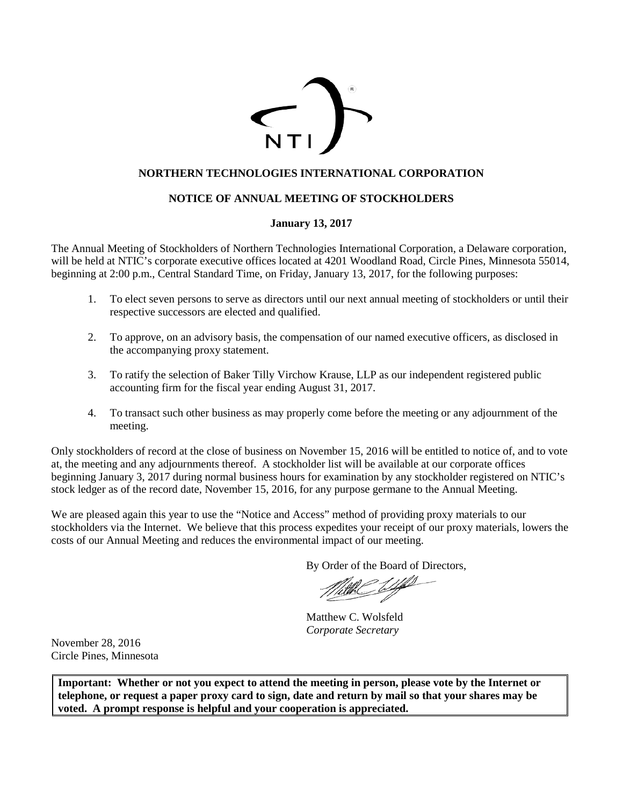

# **NORTHERN TECHNOLOGIES INTERNATIONAL CORPORATION**

# **NOTICE OF ANNUAL MEETING OF STOCKHOLDERS**

# **January 13, 2017**

The Annual Meeting of Stockholders of Northern Technologies International Corporation, a Delaware corporation, will be held at NTIC's corporate executive offices located at 4201 Woodland Road, Circle Pines, Minnesota 55014, beginning at 2:00 p.m., Central Standard Time, on Friday, January 13, 2017, for the following purposes:

- 1. To elect seven persons to serve as directors until our next annual meeting of stockholders or until their respective successors are elected and qualified.
- 2. To approve, on an advisory basis, the compensation of our named executive officers, as disclosed in the accompanying proxy statement.
- 3. To ratify the selection of Baker Tilly Virchow Krause, LLP as our independent registered public accounting firm for the fiscal year ending August 31, 2017.
- 4. To transact such other business as may properly come before the meeting or any adjournment of the meeting.

Only stockholders of record at the close of business on November 15, 2016 will be entitled to notice of, and to vote at, the meeting and any adjournments thereof. A stockholder list will be available at our corporate offices beginning January 3, 2017 during normal business hours for examination by any stockholder registered on NTIC's stock ledger as of the record date, November 15, 2016, for any purpose germane to the Annual Meeting.

We are pleased again this year to use the "Notice and Access" method of providing proxy materials to our stockholders via the Internet. We believe that this process expedites your receipt of our proxy materials, lowers the costs of our Annual Meeting and reduces the environmental impact of our meeting.

By Order of the Board of Directors,

Matthew C. Wolsfeld *Corporate Secretary*

November 28, 2016 Circle Pines, Minnesota

**Important: Whether or not you expect to attend the meeting in person, please vote by the Internet or telephone, or request a paper proxy card to sign, date and return by mail so that your shares may be voted. A prompt response is helpful and your cooperation is appreciated.**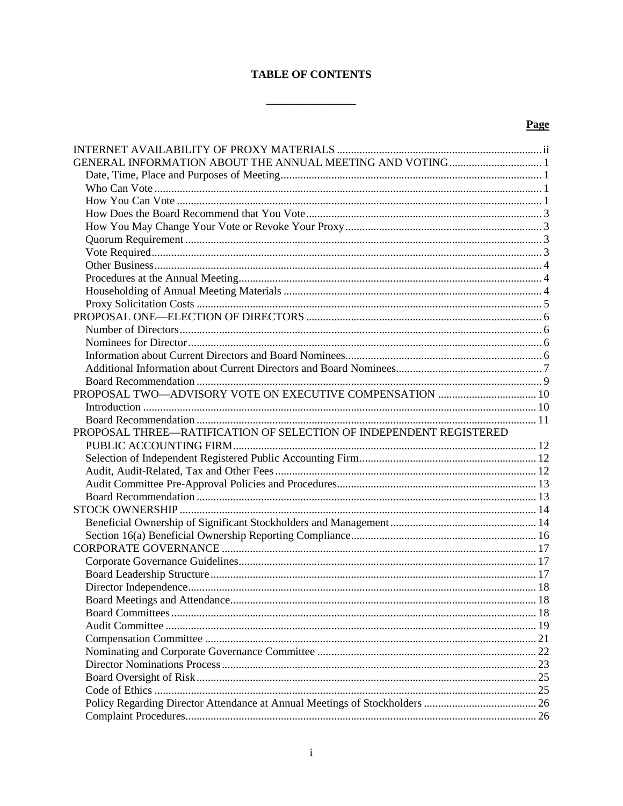# **TABLE OF CONTENTS**

<u> Alexandro Alexandro Alexandro Alexandro Alexandro Alexandro Alexandro Alexandro Alexandro Alexandro Alexandro A</u>

# Page

| PROPOSAL THREE—RATIFICATION OF SELECTION OF INDEPENDENT REGISTERED |  |
|--------------------------------------------------------------------|--|
|                                                                    |  |
|                                                                    |  |
|                                                                    |  |
|                                                                    |  |
|                                                                    |  |
|                                                                    |  |
|                                                                    |  |
|                                                                    |  |
|                                                                    |  |
|                                                                    |  |
|                                                                    |  |
|                                                                    |  |
|                                                                    |  |
|                                                                    |  |
|                                                                    |  |
|                                                                    |  |
|                                                                    |  |
|                                                                    |  |
|                                                                    |  |
|                                                                    |  |
|                                                                    |  |
|                                                                    |  |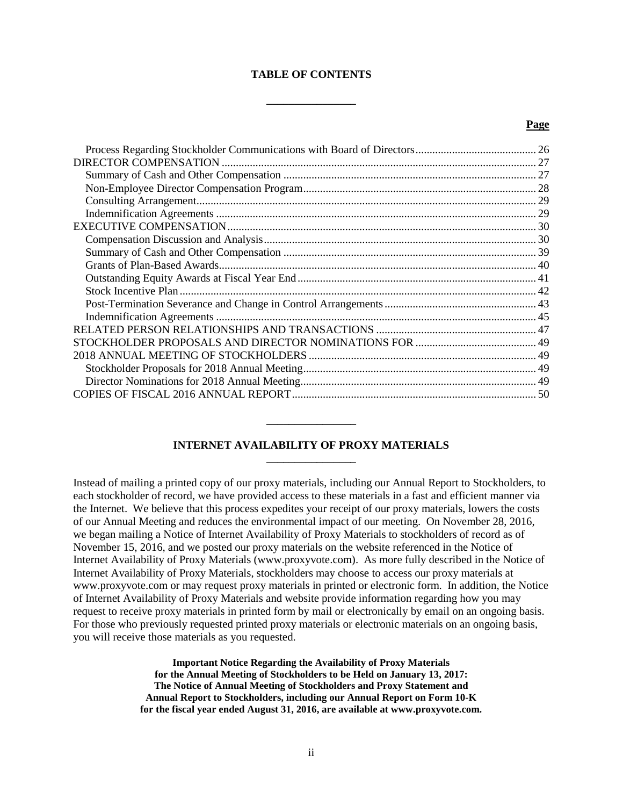#### **TABLE OF CONTENTS**

**\_\_\_\_\_\_\_\_\_\_\_\_\_\_\_\_**

#### **Page**

# **INTERNET AVAILABILITY OF PROXY MATERIALS \_\_\_\_\_\_\_\_\_\_\_\_\_\_\_\_**

**\_\_\_\_\_\_\_\_\_\_\_\_\_\_\_\_**

<span id="page-2-0"></span>Instead of mailing a printed copy of our proxy materials, including our Annual Report to Stockholders, to each stockholder of record, we have provided access to these materials in a fast and efficient manner via the Internet. We believe that this process expedites your receipt of our proxy materials, lowers the costs of our Annual Meeting and reduces the environmental impact of our meeting. On November 28, 2016, we began mailing a Notice of Internet Availability of Proxy Materials to stockholders of record as of November 15, 2016, and we posted our proxy materials on the website referenced in the Notice of Internet Availability of Proxy Materials (www.proxyvote.com). As more fully described in the Notice of Internet Availability of Proxy Materials, stockholders may choose to access our proxy materials at www.proxyvote.com or may request proxy materials in printed or electronic form. In addition, the Notice of Internet Availability of Proxy Materials and website provide information regarding how you may request to receive proxy materials in printed form by mail or electronically by email on an ongoing basis. For those who previously requested printed proxy materials or electronic materials on an ongoing basis, you will receive those materials as you requested.

> **Important Notice Regarding the Availability of Proxy Materials for the Annual Meeting of Stockholders to be Held on January 13, 2017: The Notice of Annual Meeting of Stockholders and Proxy Statement and Annual Report to Stockholders, including our Annual Report on Form 10-K for the fiscal year ended August 31, 2016, are available at www.proxyvote.com.**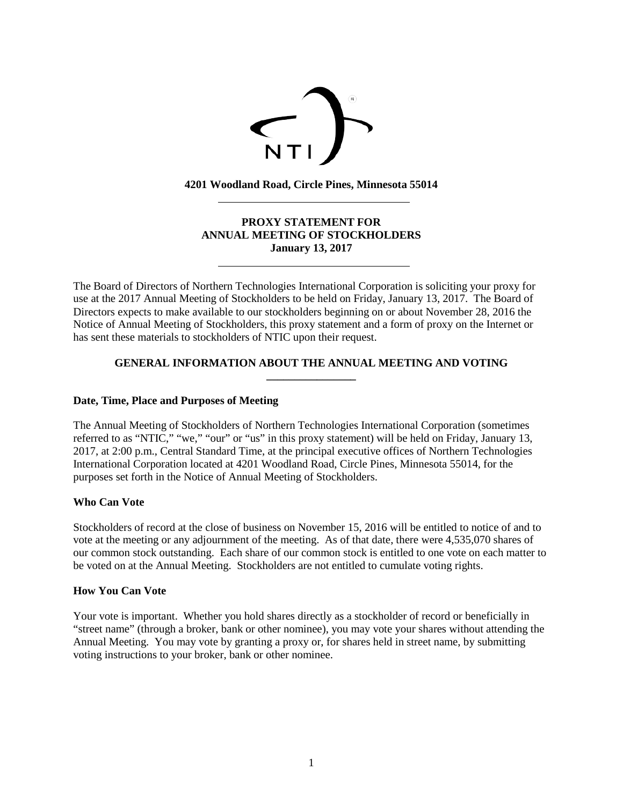

**4201 Woodland Road, Circle Pines, Minnesota 55014**

# **PROXY STATEMENT FOR ANNUAL MEETING OF STOCKHOLDERS January 13, 2017**

The Board of Directors of Northern Technologies International Corporation is soliciting your proxy for use at the 2017 Annual Meeting of Stockholders to be held on Friday, January 13, 2017. The Board of Directors expects to make available to our stockholders beginning on or about November 28, 2016 the Notice of Annual Meeting of Stockholders, this proxy statement and a form of proxy on the Internet or has sent these materials to stockholders of NTIC upon their request.

# **GENERAL INFORMATION ABOUT THE ANNUAL MEETING AND VOTING \_\_\_\_\_\_\_\_\_\_\_\_\_\_\_\_**

# <span id="page-3-1"></span><span id="page-3-0"></span>**Date, Time, Place and Purposes of Meeting**

The Annual Meeting of Stockholders of Northern Technologies International Corporation (sometimes referred to as "NTIC," "we," "our" or "us" in this proxy statement) will be held on Friday, January 13, 2017, at 2:00 p.m., Central Standard Time, at the principal executive offices of Northern Technologies International Corporation located at 4201 Woodland Road, Circle Pines, Minnesota 55014, for the purposes set forth in the Notice of Annual Meeting of Stockholders.

# <span id="page-3-2"></span>**Who Can Vote**

Stockholders of record at the close of business on November 15, 2016 will be entitled to notice of and to vote at the meeting or any adjournment of the meeting. As of that date, there were 4,535,070 shares of our common stock outstanding. Each share of our common stock is entitled to one vote on each matter to be voted on at the Annual Meeting. Stockholders are not entitled to cumulate voting rights.

#### <span id="page-3-3"></span>**How You Can Vote**

Your vote is important. Whether you hold shares directly as a stockholder of record or beneficially in "street name" (through a broker, bank or other nominee), you may vote your shares without attending the Annual Meeting. You may vote by granting a proxy or, for shares held in street name, by submitting voting instructions to your broker, bank or other nominee.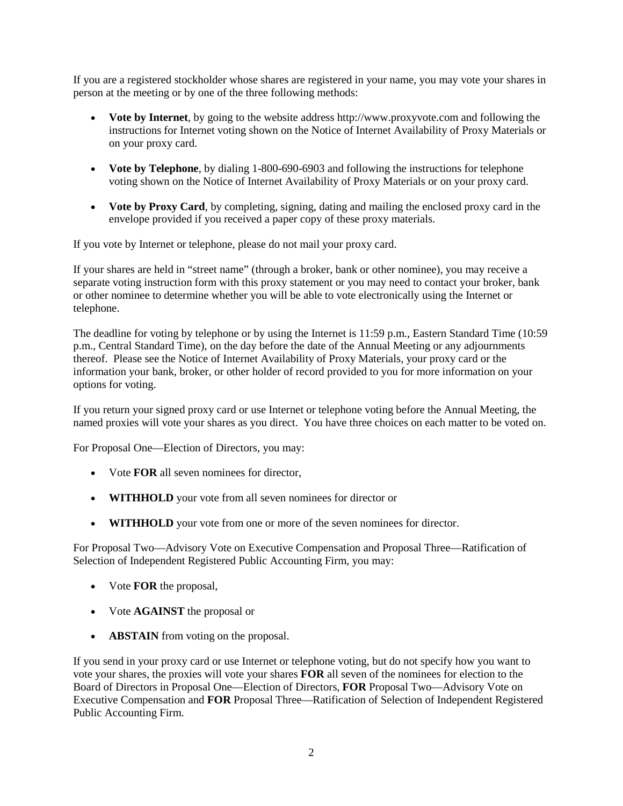If you are a registered stockholder whose shares are registered in your name, you may vote your shares in person at the meeting or by one of the three following methods:

- **Vote by Internet**, by going to the website address http://www.proxyvote.com and following the instructions for Internet voting shown on the Notice of Internet Availability of Proxy Materials or on your proxy card.
- **Vote by Telephone**, by dialing 1-800-690-6903 and following the instructions for telephone voting shown on the Notice of Internet Availability of Proxy Materials or on your proxy card.
- **Vote by Proxy Card**, by completing, signing, dating and mailing the enclosed proxy card in the envelope provided if you received a paper copy of these proxy materials.

If you vote by Internet or telephone, please do not mail your proxy card.

If your shares are held in "street name" (through a broker, bank or other nominee), you may receive a separate voting instruction form with this proxy statement or you may need to contact your broker, bank or other nominee to determine whether you will be able to vote electronically using the Internet or telephone.

The deadline for voting by telephone or by using the Internet is 11:59 p.m., Eastern Standard Time (10:59 p.m., Central Standard Time), on the day before the date of the Annual Meeting or any adjournments thereof. Please see the Notice of Internet Availability of Proxy Materials, your proxy card or the information your bank, broker, or other holder of record provided to you for more information on your options for voting.

If you return your signed proxy card or use Internet or telephone voting before the Annual Meeting, the named proxies will vote your shares as you direct. You have three choices on each matter to be voted on.

For Proposal One—Election of Directors, you may:

- Vote **FOR** all seven nominees for director,
- **WITHHOLD** your vote from all seven nominees for director or
- **WITHHOLD** your vote from one or more of the seven nominees for director.

For Proposal Two—Advisory Vote on Executive Compensation and Proposal Three—Ratification of Selection of Independent Registered Public Accounting Firm, you may:

- Vote **FOR** the proposal,
- Vote **AGAINST** the proposal or
- **ABSTAIN** from voting on the proposal.

If you send in your proxy card or use Internet or telephone voting, but do not specify how you want to vote your shares, the proxies will vote your shares **FOR** all seven of the nominees for election to the Board of Directors in Proposal One—Election of Directors, **FOR** Proposal Two—Advisory Vote on Executive Compensation and **FOR** Proposal Three—Ratification of Selection of Independent Registered Public Accounting Firm.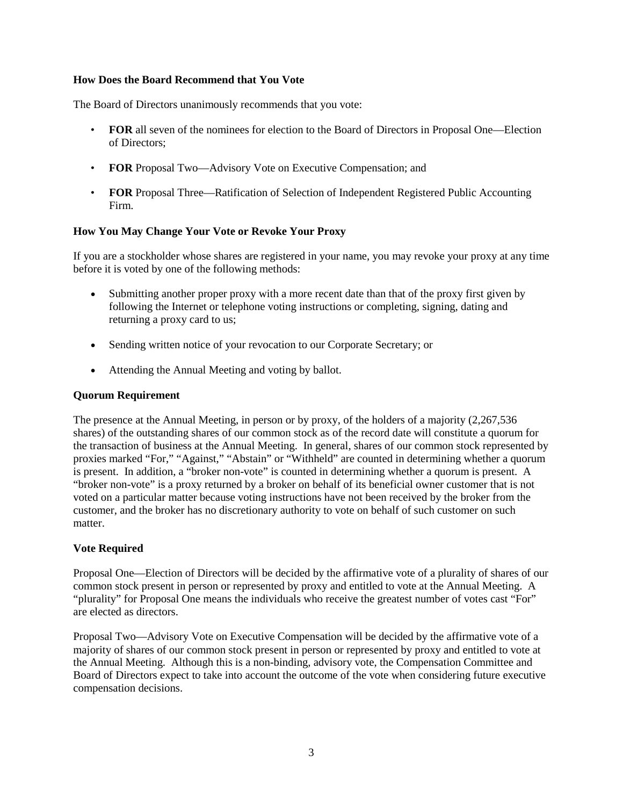# <span id="page-5-0"></span>**How Does the Board Recommend that You Vote**

The Board of Directors unanimously recommends that you vote:

- **FOR** all seven of the nominees for election to the Board of Directors in Proposal One—Election of Directors;
- **FOR** Proposal Two—Advisory Vote on Executive Compensation; and
- **FOR** Proposal Three—Ratification of Selection of Independent Registered Public Accounting Firm.

# <span id="page-5-1"></span>**How You May Change Your Vote or Revoke Your Proxy**

If you are a stockholder whose shares are registered in your name, you may revoke your proxy at any time before it is voted by one of the following methods:

- Submitting another proper proxy with a more recent date than that of the proxy first given by following the Internet or telephone voting instructions or completing, signing, dating and returning a proxy card to us;
- Sending written notice of your revocation to our Corporate Secretary; or
- Attending the Annual Meeting and voting by ballot.

# <span id="page-5-2"></span>**Quorum Requirement**

The presence at the Annual Meeting, in person or by proxy, of the holders of a majority (2,267,536 shares) of the outstanding shares of our common stock as of the record date will constitute a quorum for the transaction of business at the Annual Meeting. In general, shares of our common stock represented by proxies marked "For," "Against," "Abstain" or "Withheld" are counted in determining whether a quorum is present. In addition, a "broker non-vote" is counted in determining whether a quorum is present. A "broker non-vote" is a proxy returned by a broker on behalf of its beneficial owner customer that is not voted on a particular matter because voting instructions have not been received by the broker from the customer, and the broker has no discretionary authority to vote on behalf of such customer on such matter.

# <span id="page-5-3"></span>**Vote Required**

Proposal One—Election of Directors will be decided by the affirmative vote of a plurality of shares of our common stock present in person or represented by proxy and entitled to vote at the Annual Meeting. A "plurality" for Proposal One means the individuals who receive the greatest number of votes cast "For" are elected as directors.

Proposal Two—Advisory Vote on Executive Compensation will be decided by the affirmative vote of a majority of shares of our common stock present in person or represented by proxy and entitled to vote at the Annual Meeting. Although this is a non-binding, advisory vote, the Compensation Committee and Board of Directors expect to take into account the outcome of the vote when considering future executive compensation decisions.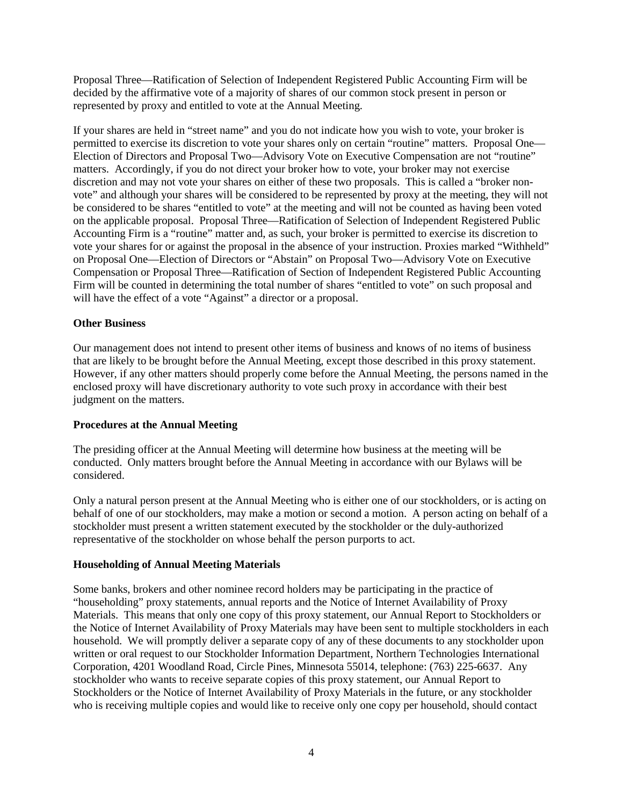Proposal Three—Ratification of Selection of Independent Registered Public Accounting Firm will be decided by the affirmative vote of a majority of shares of our common stock present in person or represented by proxy and entitled to vote at the Annual Meeting.

If your shares are held in "street name" and you do not indicate how you wish to vote, your broker is permitted to exercise its discretion to vote your shares only on certain "routine" matters. Proposal One— Election of Directors and Proposal Two—Advisory Vote on Executive Compensation are not "routine" matters. Accordingly, if you do not direct your broker how to vote, your broker may not exercise discretion and may not vote your shares on either of these two proposals. This is called a "broker nonvote" and although your shares will be considered to be represented by proxy at the meeting, they will not be considered to be shares "entitled to vote" at the meeting and will not be counted as having been voted on the applicable proposal. Proposal Three—Ratification of Selection of Independent Registered Public Accounting Firm is a "routine" matter and, as such, your broker is permitted to exercise its discretion to vote your shares for or against the proposal in the absence of your instruction. Proxies marked "Withheld" on Proposal One—Election of Directors or "Abstain" on Proposal Two—Advisory Vote on Executive Compensation or Proposal Three—Ratification of Section of Independent Registered Public Accounting Firm will be counted in determining the total number of shares "entitled to vote" on such proposal and will have the effect of a vote "Against" a director or a proposal.

# <span id="page-6-0"></span>**Other Business**

Our management does not intend to present other items of business and knows of no items of business that are likely to be brought before the Annual Meeting, except those described in this proxy statement. However, if any other matters should properly come before the Annual Meeting, the persons named in the enclosed proxy will have discretionary authority to vote such proxy in accordance with their best judgment on the matters.

# <span id="page-6-1"></span>**Procedures at the Annual Meeting**

The presiding officer at the Annual Meeting will determine how business at the meeting will be conducted. Only matters brought before the Annual Meeting in accordance with our Bylaws will be considered.

Only a natural person present at the Annual Meeting who is either one of our stockholders, or is acting on behalf of one of our stockholders, may make a motion or second a motion. A person acting on behalf of a stockholder must present a written statement executed by the stockholder or the duly-authorized representative of the stockholder on whose behalf the person purports to act.

# <span id="page-6-2"></span>**Householding of Annual Meeting Materials**

Some banks, brokers and other nominee record holders may be participating in the practice of "householding" proxy statements, annual reports and the Notice of Internet Availability of Proxy Materials. This means that only one copy of this proxy statement, our Annual Report to Stockholders or the Notice of Internet Availability of Proxy Materials may have been sent to multiple stockholders in each household. We will promptly deliver a separate copy of any of these documents to any stockholder upon written or oral request to our Stockholder Information Department, Northern Technologies International Corporation, 4201 Woodland Road, Circle Pines, Minnesota 55014, telephone: (763) 225-6637. Any stockholder who wants to receive separate copies of this proxy statement, our Annual Report to Stockholders or the Notice of Internet Availability of Proxy Materials in the future, or any stockholder who is receiving multiple copies and would like to receive only one copy per household, should contact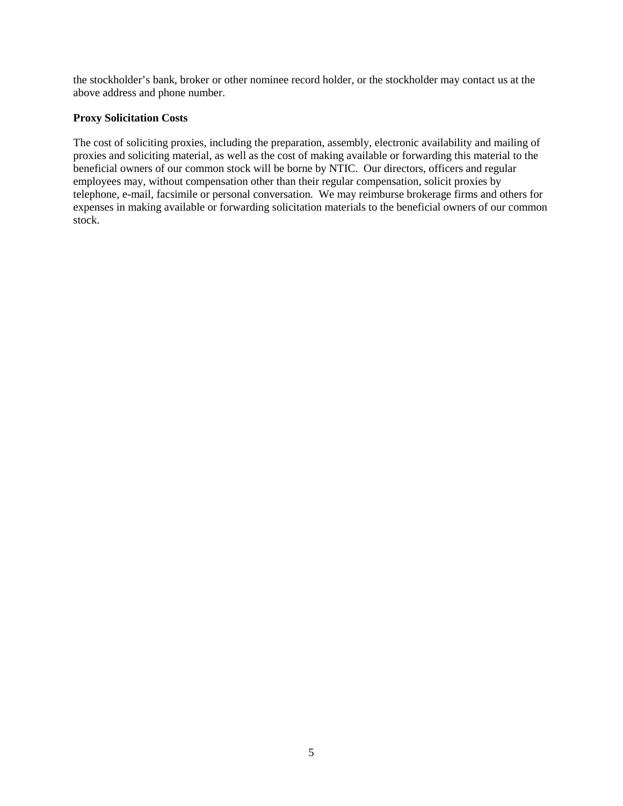the stockholder's bank, broker or other nominee record holder, or the stockholder may contact us at the above address and phone number.

# <span id="page-7-0"></span>**Proxy Solicitation Costs**

The cost of soliciting proxies, including the preparation, assembly, electronic availability and mailing of proxies and soliciting material, as well as the cost of making available or forwarding this material to the beneficial owners of our common stock will be borne by NTIC. Our directors, officers and regular employees may, without compensation other than their regular compensation, solicit proxies by telephone, e-mail, facsimile or personal conversation. We may reimburse brokerage firms and others for expenses in making available or forwarding solicitation materials to the beneficial owners of our common stock.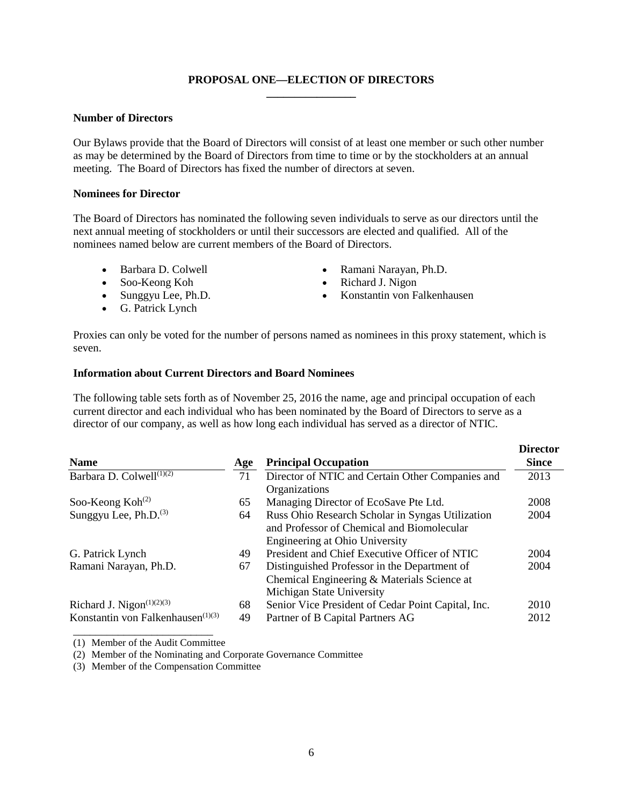# **PROPOSAL ONE—ELECTION OF DIRECTORS \_\_\_\_\_\_\_\_\_\_\_\_\_\_\_\_**

# <span id="page-8-1"></span><span id="page-8-0"></span>**Number of Directors**

Our Bylaws provide that the Board of Directors will consist of at least one member or such other number as may be determined by the Board of Directors from time to time or by the stockholders at an annual meeting. The Board of Directors has fixed the number of directors at seven.

#### <span id="page-8-2"></span>**Nominees for Director**

The Board of Directors has nominated the following seven individuals to serve as our directors until the next annual meeting of stockholders or until their successors are elected and qualified. All of the nominees named below are current members of the Board of Directors.

- 
- 
- Soo-Keong Koh Richard J. Nigon
- G. Patrick Lynch
- Barbara D. Colwell Ramani Narayan, Ph.D.
	-
	- Konstantin von Falkenhausen

Proxies can only be voted for the number of persons named as nominees in this proxy statement, which is seven.

#### <span id="page-8-3"></span>**Information about Current Directors and Board Nominees**

The following table sets forth as of November 25, 2016 the name, age and principal occupation of each current director and each individual who has been nominated by the Board of Directors to serve as a director of our company, as well as how long each individual has served as a director of NTIC.

|                                      |     |                                                                                                                                  | <b>Director</b> |
|--------------------------------------|-----|----------------------------------------------------------------------------------------------------------------------------------|-----------------|
| <b>Name</b>                          | Age | <b>Principal Occupation</b>                                                                                                      | <b>Since</b>    |
| Barbara D. Colwell <sup>(1)(2)</sup> | 71  | Director of NTIC and Certain Other Companies and<br>Organizations                                                                | 2013            |
| Soo-Keong $Koh(2)$                   | 65  | Managing Director of EcoSave Pte Ltd.                                                                                            | 2008            |
| Sunggyu Lee, $Ph.D.(3)$              | 64  | Russ Ohio Research Scholar in Syngas Utilization<br>and Professor of Chemical and Biomolecular<br>Engineering at Ohio University | 2004            |
| G. Patrick Lynch                     | 49  | President and Chief Executive Officer of NTIC                                                                                    | 2004            |
| Ramani Narayan, Ph.D.                | 67  | Distinguished Professor in the Department of<br>Chemical Engineering & Materials Science at<br>Michigan State University         | 2004            |
| Richard J. Nigon $(1)(2)(3)$         | 68  | Senior Vice President of Cedar Point Capital, Inc.                                                                               | 2010            |
| Konstantin von Falkenhausen $(1)(3)$ | 49  | Partner of B Capital Partners AG                                                                                                 | 2012            |

\_\_\_\_\_\_\_\_\_\_\_\_\_\_\_\_\_\_\_\_\_\_\_\_\_ (1) Member of the Audit Committee

(2) Member of the Nominating and Corporate Governance Committee

(3) Member of the Compensation Committee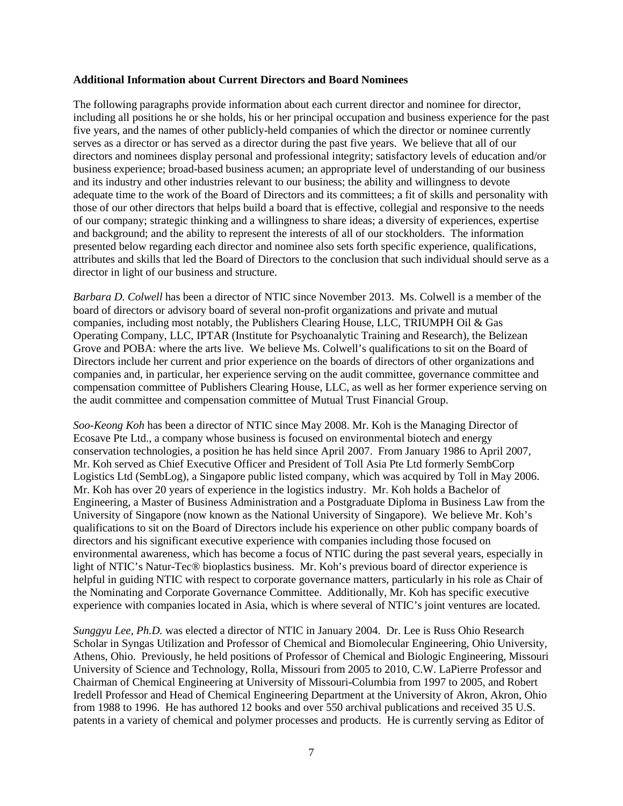#### <span id="page-9-0"></span>**Additional Information about Current Directors and Board Nominees**

The following paragraphs provide information about each current director and nominee for director, including all positions he or she holds, his or her principal occupation and business experience for the past five years, and the names of other publicly-held companies of which the director or nominee currently serves as a director or has served as a director during the past five years. We believe that all of our directors and nominees display personal and professional integrity; satisfactory levels of education and/or business experience; broad-based business acumen; an appropriate level of understanding of our business and its industry and other industries relevant to our business; the ability and willingness to devote adequate time to the work of the Board of Directors and its committees; a fit of skills and personality with those of our other directors that helps build a board that is effective, collegial and responsive to the needs of our company; strategic thinking and a willingness to share ideas; a diversity of experiences, expertise and background; and the ability to represent the interests of all of our stockholders. The information presented below regarding each director and nominee also sets forth specific experience, qualifications, attributes and skills that led the Board of Directors to the conclusion that such individual should serve as a director in light of our business and structure.

*Barbara D. Colwell* has been a director of NTIC since November 2013. Ms. Colwell is a member of the board of directors or advisory board of several non-profit organizations and private and mutual companies, including most notably, the Publishers Clearing House, LLC, TRIUMPH Oil & Gas Operating Company, LLC, IPTAR (Institute for Psychoanalytic Training and Research), the Belizean Grove and POBA: where the arts live. We believe Ms. Colwell's qualifications to sit on the Board of Directors include her current and prior experience on the boards of directors of other organizations and companies and, in particular, her experience serving on the audit committee, governance committee and compensation committee of Publishers Clearing House, LLC, as well as her former experience serving on the audit committee and compensation committee of Mutual Trust Financial Group.

*Soo-Keong Koh* has been a director of NTIC since May 2008. Mr. Koh is the Managing Director of Ecosave Pte Ltd., a company whose business is focused on environmental biotech and energy conservation technologies, a position he has held since April 2007. From January 1986 to April 2007, Mr. Koh served as Chief Executive Officer and President of Toll Asia Pte Ltd formerly SembCorp Logistics Ltd (SembLog), a Singapore public listed company, which was acquired by Toll in May 2006. Mr. Koh has over 20 years of experience in the logistics industry. Mr. Koh holds a Bachelor of Engineering, a Master of Business Administration and a Postgraduate Diploma in Business Law from the University of Singapore (now known as the National University of Singapore). We believe Mr. Koh's qualifications to sit on the Board of Directors include his experience on other public company boards of directors and his significant executive experience with companies including those focused on environmental awareness, which has become a focus of NTIC during the past several years, especially in light of NTIC's Natur-Tec® bioplastics business. Mr. Koh's previous board of director experience is helpful in guiding NTIC with respect to corporate governance matters, particularly in his role as Chair of the Nominating and Corporate Governance Committee. Additionally, Mr. Koh has specific executive experience with companies located in Asia, which is where several of NTIC's joint ventures are located.

*Sunggyu Lee, Ph.D.* was elected a director of NTIC in January 2004. Dr. Lee is Russ Ohio Research Scholar in Syngas Utilization and Professor of Chemical and Biomolecular Engineering, Ohio University, Athens, Ohio. Previously, he held positions of Professor of Chemical and Biologic Engineering, Missouri University of Science and Technology, Rolla, Missouri from 2005 to 2010, C.W. LaPierre Professor and Chairman of Chemical Engineering at University of Missouri-Columbia from 1997 to 2005, and Robert Iredell Professor and Head of Chemical Engineering Department at the University of Akron, Akron, Ohio from 1988 to 1996. He has authored 12 books and over 550 archival publications and received 35 U.S. patents in a variety of chemical and polymer processes and products. He is currently serving as Editor of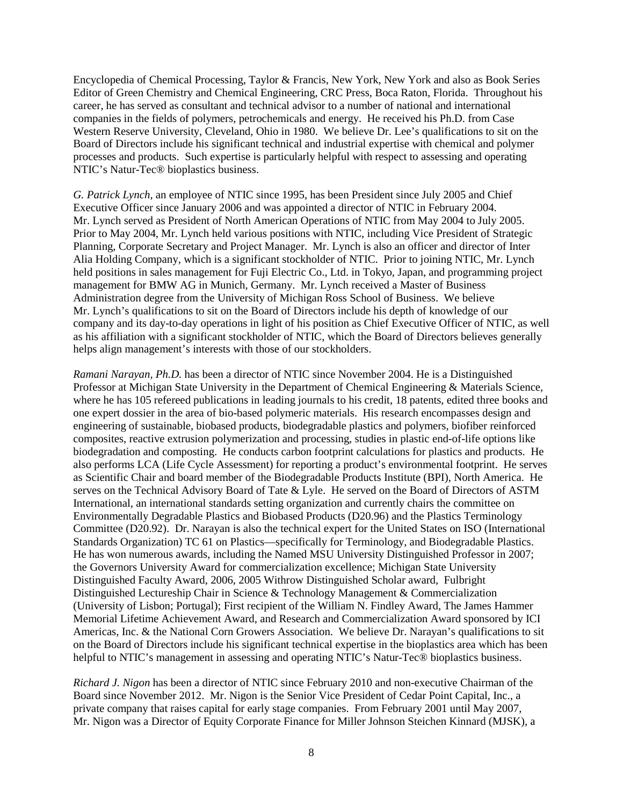Encyclopedia of Chemical Processing, Taylor & Francis, New York, New York and also as Book Series Editor of Green Chemistry and Chemical Engineering, CRC Press, Boca Raton, Florida. Throughout his career, he has served as consultant and technical advisor to a number of national and international companies in the fields of polymers, petrochemicals and energy. He received his Ph.D. from Case Western Reserve University, Cleveland, Ohio in 1980. We believe Dr. Lee's qualifications to sit on the Board of Directors include his significant technical and industrial expertise with chemical and polymer processes and products. Such expertise is particularly helpful with respect to assessing and operating NTIC's Natur-Tec® bioplastics business.

*G. Patrick Lynch*, an employee of NTIC since 1995, has been President since July 2005 and Chief Executive Officer since January 2006 and was appointed a director of NTIC in February 2004. Mr. Lynch served as President of North American Operations of NTIC from May 2004 to July 2005. Prior to May 2004, Mr. Lynch held various positions with NTIC, including Vice President of Strategic Planning, Corporate Secretary and Project Manager. Mr. Lynch is also an officer and director of Inter Alia Holding Company, which is a significant stockholder of NTIC. Prior to joining NTIC, Mr. Lynch held positions in sales management for Fuji Electric Co., Ltd. in Tokyo, Japan, and programming project management for BMW AG in Munich, Germany. Mr. Lynch received a Master of Business Administration degree from the University of Michigan Ross School of Business. We believe Mr. Lynch's qualifications to sit on the Board of Directors include his depth of knowledge of our company and its day-to-day operations in light of his position as Chief Executive Officer of NTIC, as well as his affiliation with a significant stockholder of NTIC, which the Board of Directors believes generally helps align management's interests with those of our stockholders.

*Ramani Narayan, Ph.D.* has been a director of NTIC since November 2004. He is a Distinguished Professor at Michigan State University in the Department of Chemical Engineering & Materials Science, where he has 105 refereed publications in leading journals to his credit, 18 patents, edited three books and one expert dossier in the area of bio-based polymeric materials. His research encompasses design and engineering of sustainable, biobased products, biodegradable plastics and polymers, biofiber reinforced composites, reactive extrusion polymerization and processing, studies in plastic end-of-life options like biodegradation and composting. He conducts carbon footprint calculations for plastics and products. He also performs LCA (Life Cycle Assessment) for reporting a product's environmental footprint. He serves as Scientific Chair and board member of the Biodegradable Products Institute (BPI), North America. He serves on the Technical Advisory Board of Tate & Lyle. He served on the Board of Directors of ASTM International, an international standards setting organization and currently chairs the committee on Environmentally Degradable Plastics and Biobased Products (D20.96) and the Plastics Terminology Committee (D20.92). Dr. Narayan is also the technical expert for the United States on ISO (International Standards Organization) TC 61 on Plastics—specifically for Terminology, and Biodegradable Plastics. He has won numerous awards, including the Named MSU University Distinguished Professor in 2007; the Governors University Award for commercialization excellence; Michigan State University Distinguished Faculty Award, 2006, 2005 Withrow Distinguished Scholar award, Fulbright Distinguished Lectureship Chair in Science & Technology Management & Commercialization (University of Lisbon; Portugal); First recipient of the William N. Findley Award, The James Hammer Memorial Lifetime Achievement Award, and Research and Commercialization Award sponsored by ICI Americas, Inc. & the National Corn Growers Association. We believe Dr. Narayan's qualifications to sit on the Board of Directors include his significant technical expertise in the bioplastics area which has been helpful to NTIC's management in assessing and operating NTIC's Natur-Tec® bioplastics business.

*Richard J. Nigon* has been a director of NTIC since February 2010 and non-executive Chairman of the Board since November 2012. Mr. Nigon is the Senior Vice President of Cedar Point Capital, Inc., a private company that raises capital for early stage companies. From February 2001 until May 2007, Mr. Nigon was a Director of Equity Corporate Finance for Miller Johnson Steichen Kinnard (MJSK), a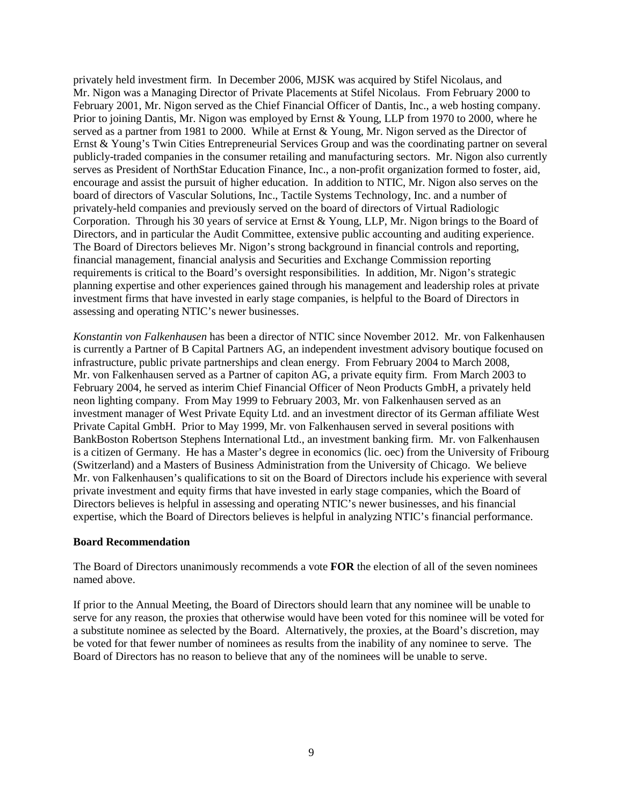privately held investment firm. In December 2006, MJSK was acquired by Stifel Nicolaus, and Mr. Nigon was a Managing Director of Private Placements at Stifel Nicolaus. From February 2000 to February 2001, Mr. Nigon served as the Chief Financial Officer of Dantis, Inc., a web hosting company. Prior to joining Dantis, Mr. Nigon was employed by Ernst & Young, LLP from 1970 to 2000, where he served as a partner from 1981 to 2000. While at Ernst & Young, Mr. Nigon served as the Director of Ernst & Young's Twin Cities Entrepreneurial Services Group and was the coordinating partner on several publicly-traded companies in the consumer retailing and manufacturing sectors. Mr. Nigon also currently serves as President of NorthStar Education Finance, Inc., a non-profit organization formed to foster, aid, encourage and assist the pursuit of higher education. In addition to NTIC, Mr. Nigon also serves on the board of directors of Vascular Solutions, Inc., Tactile Systems Technology, Inc. and a number of privately-held companies and previously served on the board of directors of Virtual Radiologic Corporation. Through his 30 years of service at Ernst & Young, LLP, Mr. Nigon brings to the Board of Directors, and in particular the Audit Committee, extensive public accounting and auditing experience. The Board of Directors believes Mr. Nigon's strong background in financial controls and reporting, financial management, financial analysis and Securities and Exchange Commission reporting requirements is critical to the Board's oversight responsibilities. In addition, Mr. Nigon's strategic planning expertise and other experiences gained through his management and leadership roles at private investment firms that have invested in early stage companies, is helpful to the Board of Directors in assessing and operating NTIC's newer businesses.

*Konstantin von Falkenhausen* has been a director of NTIC since November 2012. Mr. von Falkenhausen is currently a Partner of B Capital Partners AG, an independent investment advisory boutique focused on infrastructure, public private partnerships and clean energy. From February 2004 to March 2008, Mr. von Falkenhausen served as a Partner of capiton AG, a private equity firm. From March 2003 to February 2004, he served as interim Chief Financial Officer of Neon Products GmbH, a privately held neon lighting company. From May 1999 to February 2003, Mr. von Falkenhausen served as an investment manager of West Private Equity Ltd. and an investment director of its German affiliate West Private Capital GmbH. Prior to May 1999, Mr. von Falkenhausen served in several positions with BankBoston Robertson Stephens International Ltd., an investment banking firm. Mr. von Falkenhausen is a citizen of Germany. He has a Master's degree in economics (lic. oec) from the University of Fribourg (Switzerland) and a Masters of Business Administration from the University of Chicago. We believe Mr. von Falkenhausen's qualifications to sit on the Board of Directors include his experience with several private investment and equity firms that have invested in early stage companies, which the Board of Directors believes is helpful in assessing and operating NTIC's newer businesses, and his financial expertise, which the Board of Directors believes is helpful in analyzing NTIC's financial performance.

#### <span id="page-11-0"></span>**Board Recommendation**

The Board of Directors unanimously recommends a vote **FOR** the election of all of the seven nominees named above.

If prior to the Annual Meeting, the Board of Directors should learn that any nominee will be unable to serve for any reason, the proxies that otherwise would have been voted for this nominee will be voted for a substitute nominee as selected by the Board. Alternatively, the proxies, at the Board's discretion, may be voted for that fewer number of nominees as results from the inability of any nominee to serve. The Board of Directors has no reason to believe that any of the nominees will be unable to serve.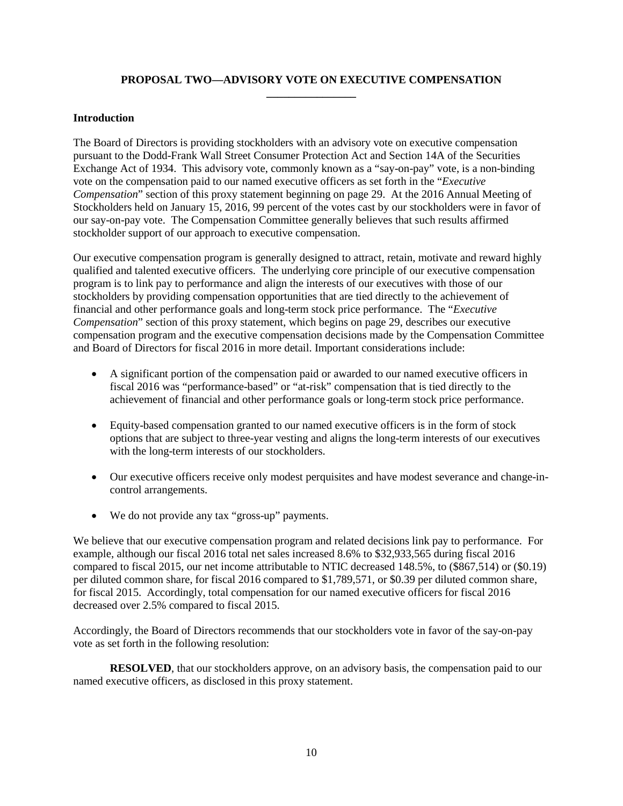# **PROPOSAL TWO—ADVISORY VOTE ON EXECUTIVE COMPENSATION \_\_\_\_\_\_\_\_\_\_\_\_\_\_\_\_**

# <span id="page-12-1"></span><span id="page-12-0"></span>**Introduction**

The Board of Directors is providing stockholders with an advisory vote on executive compensation pursuant to the Dodd-Frank Wall Street Consumer Protection Act and Section 14A of the Securities Exchange Act of 1934. This advisory vote, commonly known as a "say-on-pay" vote, is a non-binding vote on the compensation paid to our named executive officers as set forth in the "*Executive Compensation*" section of this proxy statement beginning on page 29. At the 2016 Annual Meeting of Stockholders held on January 15, 2016, 99 percent of the votes cast by our stockholders were in favor of our say-on-pay vote. The Compensation Committee generally believes that such results affirmed stockholder support of our approach to executive compensation.

Our executive compensation program is generally designed to attract, retain, motivate and reward highly qualified and talented executive officers. The underlying core principle of our executive compensation program is to link pay to performance and align the interests of our executives with those of our stockholders by providing compensation opportunities that are tied directly to the achievement of financial and other performance goals and long-term stock price performance. The "*Executive Compensation*" section of this proxy statement, which begins on page 29, describes our executive compensation program and the executive compensation decisions made by the Compensation Committee and Board of Directors for fiscal 2016 in more detail. Important considerations include:

- A significant portion of the compensation paid or awarded to our named executive officers in fiscal 2016 was "performance-based" or "at-risk" compensation that is tied directly to the achievement of financial and other performance goals or long-term stock price performance.
- Equity-based compensation granted to our named executive officers is in the form of stock options that are subject to three-year vesting and aligns the long-term interests of our executives with the long-term interests of our stockholders.
- Our executive officers receive only modest perquisites and have modest severance and change-incontrol arrangements.
- We do not provide any tax "gross-up" payments.

We believe that our executive compensation program and related decisions link pay to performance. For example, although our fiscal 2016 total net sales increased 8.6% to \$32,933,565 during fiscal 2016 compared to fiscal 2015, our net income attributable to NTIC decreased 148.5%, to (\$867,514) or (\$0.19) per diluted common share, for fiscal 2016 compared to \$1,789,571, or \$0.39 per diluted common share, for fiscal 2015. Accordingly, total compensation for our named executive officers for fiscal 2016 decreased over 2.5% compared to fiscal 2015.

Accordingly, the Board of Directors recommends that our stockholders vote in favor of the say-on-pay vote as set forth in the following resolution:

**RESOLVED**, that our stockholders approve, on an advisory basis, the compensation paid to our named executive officers, as disclosed in this proxy statement.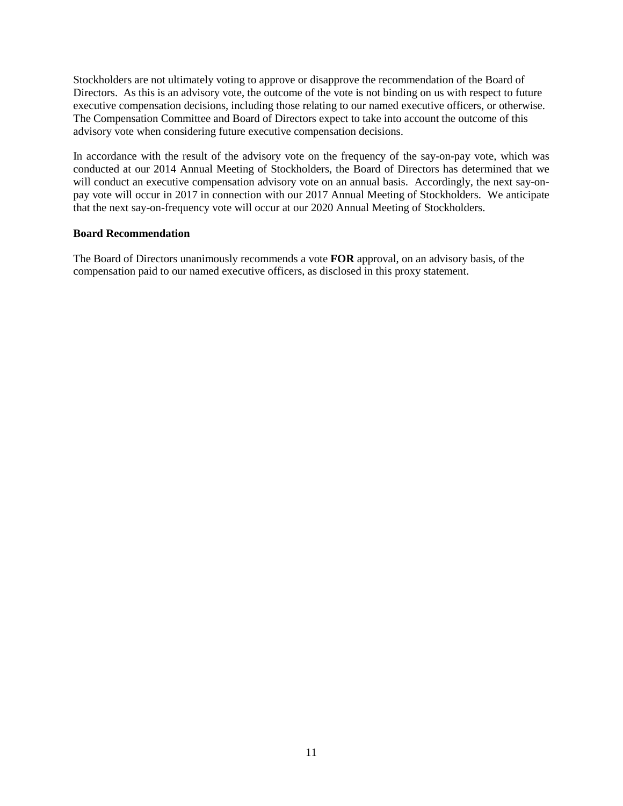Stockholders are not ultimately voting to approve or disapprove the recommendation of the Board of Directors. As this is an advisory vote, the outcome of the vote is not binding on us with respect to future executive compensation decisions, including those relating to our named executive officers, or otherwise. The Compensation Committee and Board of Directors expect to take into account the outcome of this advisory vote when considering future executive compensation decisions.

In accordance with the result of the advisory vote on the frequency of the say-on-pay vote, which was conducted at our 2014 Annual Meeting of Stockholders, the Board of Directors has determined that we will conduct an executive compensation advisory vote on an annual basis. Accordingly, the next say-onpay vote will occur in 2017 in connection with our 2017 Annual Meeting of Stockholders. We anticipate that the next say-on-frequency vote will occur at our 2020 Annual Meeting of Stockholders.

### <span id="page-13-0"></span>**Board Recommendation**

The Board of Directors unanimously recommends a vote **FOR** approval, on an advisory basis, of the compensation paid to our named executive officers, as disclosed in this proxy statement.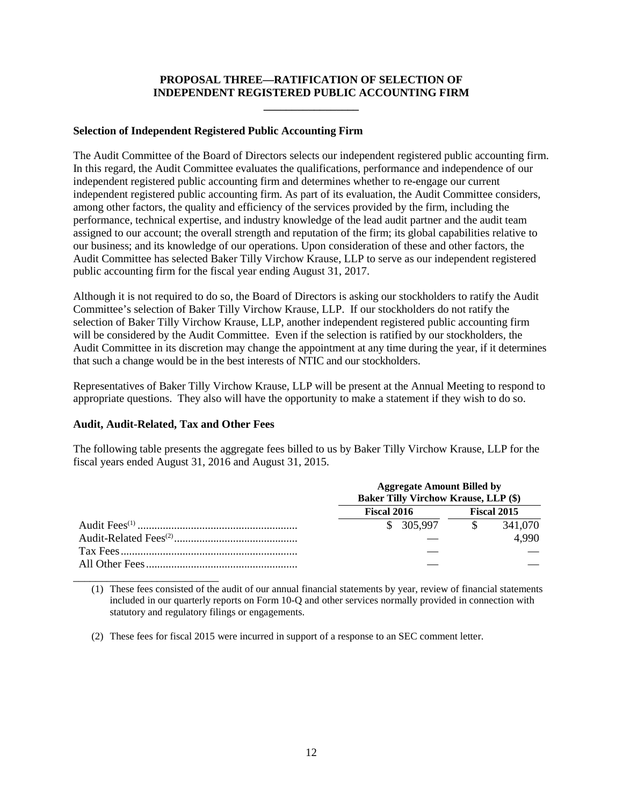# **PROPOSAL THREE—RATIFICATION OF SELECTION OF INDEPENDENT REGISTERED PUBLIC ACCOUNTING FIRM**

**\_\_\_\_\_\_\_\_\_\_\_\_\_\_\_\_\_**

## <span id="page-14-1"></span><span id="page-14-0"></span>**Selection of Independent Registered Public Accounting Firm**

The Audit Committee of the Board of Directors selects our independent registered public accounting firm. In this regard, the Audit Committee evaluates the qualifications, performance and independence of our independent registered public accounting firm and determines whether to re-engage our current independent registered public accounting firm. As part of its evaluation, the Audit Committee considers, among other factors, the quality and efficiency of the services provided by the firm, including the performance, technical expertise, and industry knowledge of the lead audit partner and the audit team assigned to our account; the overall strength and reputation of the firm; its global capabilities relative to our business; and its knowledge of our operations. Upon consideration of these and other factors, the Audit Committee has selected Baker Tilly Virchow Krause, LLP to serve as our independent registered public accounting firm for the fiscal year ending August 31, 2017.

Although it is not required to do so, the Board of Directors is asking our stockholders to ratify the Audit Committee's selection of Baker Tilly Virchow Krause, LLP. If our stockholders do not ratify the selection of Baker Tilly Virchow Krause, LLP, another independent registered public accounting firm will be considered by the Audit Committee. Even if the selection is ratified by our stockholders, the Audit Committee in its discretion may change the appointment at any time during the year, if it determines that such a change would be in the best interests of NTIC and our stockholders.

Representatives of Baker Tilly Virchow Krause, LLP will be present at the Annual Meeting to respond to appropriate questions. They also will have the opportunity to make a statement if they wish to do so.

# <span id="page-14-2"></span>**Audit, Audit-Related, Tax and Other Fees**

The following table presents the aggregate fees billed to us by Baker Tilly Virchow Krause, LLP for the fiscal years ended August 31, 2016 and August 31, 2015.

| <b>Aggregate Amount Billed by</b><br><b>Baker Tilly Virchow Krause, LLP (\$)</b> |  |                    |  |  |
|----------------------------------------------------------------------------------|--|--------------------|--|--|
| Fiscal 2016                                                                      |  | <b>Fiscal 2015</b> |  |  |
|                                                                                  |  | 341,070            |  |  |
|                                                                                  |  | 4.990              |  |  |
|                                                                                  |  |                    |  |  |
|                                                                                  |  |                    |  |  |

\_\_\_\_\_\_\_\_\_\_\_\_\_\_\_\_\_\_\_\_\_\_\_\_\_\_ (1) These fees consisted of the audit of our annual financial statements by year, review of financial statements included in our quarterly reports on Form 10-Q and other services normally provided in connection with statutory and regulatory filings or engagements.

<span id="page-14-3"></span>(2) These fees for fiscal 2015 were incurred in support of a response to an SEC comment letter.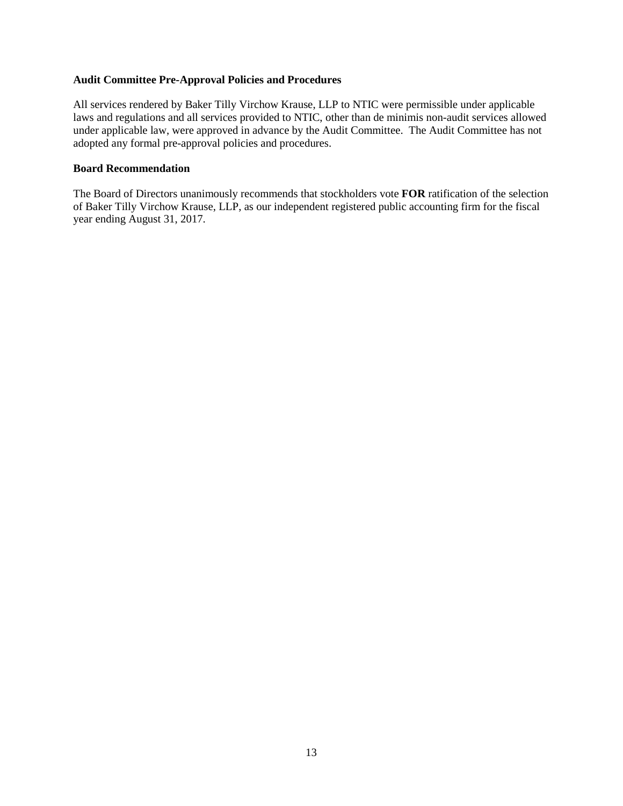### **Audit Committee Pre-Approval Policies and Procedures**

All services rendered by Baker Tilly Virchow Krause, LLP to NTIC were permissible under applicable laws and regulations and all services provided to NTIC, other than de minimis non-audit services allowed under applicable law, were approved in advance by the Audit Committee. The Audit Committee has not adopted any formal pre-approval policies and procedures.

## <span id="page-15-0"></span>**Board Recommendation**

The Board of Directors unanimously recommends that stockholders vote **FOR** ratification of the selection of Baker Tilly Virchow Krause, LLP, as our independent registered public accounting firm for the fiscal year ending August 31, 2017.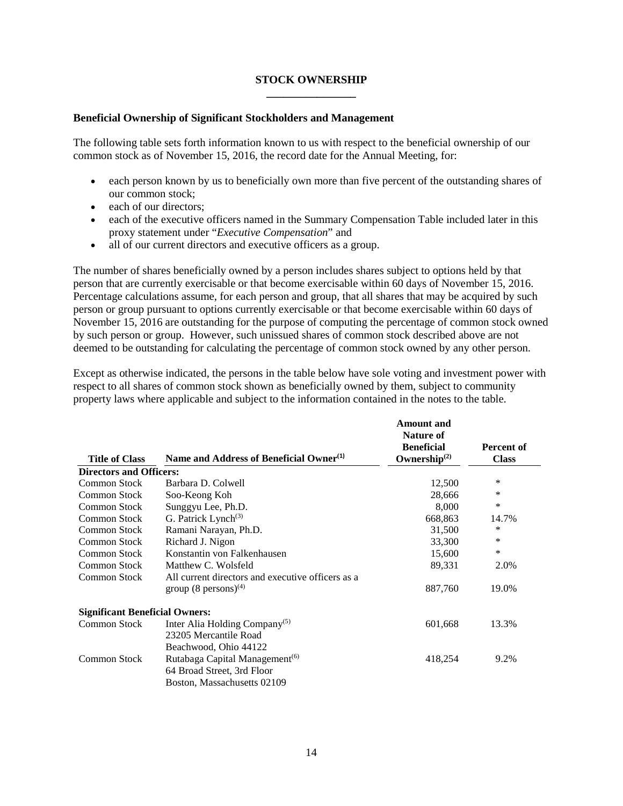# **STOCK OWNERSHIP \_\_\_\_\_\_\_\_\_\_\_\_\_\_\_\_**

### <span id="page-16-1"></span><span id="page-16-0"></span>**Beneficial Ownership of Significant Stockholders and Management**

The following table sets forth information known to us with respect to the beneficial ownership of our common stock as of November 15, 2016, the record date for the Annual Meeting, for:

- each person known by us to beneficially own more than five percent of the outstanding shares of our common stock;
- each of our directors:
- each of the executive officers named in the Summary Compensation Table included later in this proxy statement under "*Executive Compensation*" and
- all of our current directors and executive officers as a group.

The number of shares beneficially owned by a person includes shares subject to options held by that person that are currently exercisable or that become exercisable within 60 days of November 15, 2016. Percentage calculations assume, for each person and group, that all shares that may be acquired by such person or group pursuant to options currently exercisable or that become exercisable within 60 days of November 15, 2016 are outstanding for the purpose of computing the percentage of common stock owned by such person or group. However, such unissued shares of common stock described above are not deemed to be outstanding for calculating the percentage of common stock owned by any other person.

Except as otherwise indicated, the persons in the table below have sole voting and investment power with respect to all shares of common stock shown as beneficially owned by them, subject to community property laws where applicable and subject to the information contained in the notes to the table.

|                                       |                                                     | <b>Amount</b> and<br><b>Nature of</b><br><b>Beneficial</b> | Percent of   |
|---------------------------------------|-----------------------------------------------------|------------------------------------------------------------|--------------|
| <b>Title of Class</b>                 | Name and Address of Beneficial Owner <sup>(1)</sup> | Ownership $^{(2)}$                                         | <b>Class</b> |
| <b>Directors and Officers:</b>        |                                                     |                                                            |              |
| Common Stock                          | Barbara D. Colwell                                  | 12,500                                                     | ∗            |
| <b>Common Stock</b>                   | Soo-Keong Koh                                       | 28,666                                                     | ∗            |
| Common Stock                          | Sunggyu Lee, Ph.D.                                  | 8,000                                                      | ∗            |
| <b>Common Stock</b>                   | G. Patrick Lynch <sup>(3)</sup>                     | 668,863                                                    | 14.7%        |
| <b>Common Stock</b>                   | Ramani Narayan, Ph.D.                               | 31,500                                                     | *            |
| <b>Common Stock</b>                   | Richard J. Nigon                                    | 33,300                                                     | ∗            |
| <b>Common Stock</b>                   | Konstantin von Falkenhausen                         | 15,600                                                     | ∗            |
| <b>Common Stock</b>                   | Matthew C. Wolsfeld                                 | 89,331                                                     | 2.0%         |
| <b>Common Stock</b>                   | All current directors and executive officers as a   |                                                            |              |
|                                       | group $(8 \text{ persons})^{(4)}$                   | 887,760                                                    | 19.0%        |
| <b>Significant Beneficial Owners:</b> |                                                     |                                                            |              |
| Common Stock                          | Inter Alia Holding Company <sup>(5)</sup>           | 601,668                                                    | 13.3%        |
|                                       | 23205 Mercantile Road                               |                                                            |              |
|                                       | Beachwood, Ohio 44122                               |                                                            |              |
| <b>Common Stock</b>                   | Rutabaga Capital Management <sup>(6)</sup>          | 418,254                                                    | 9.2%         |
|                                       | 64 Broad Street, 3rd Floor                          |                                                            |              |
|                                       | Boston, Massachusetts 02109                         |                                                            |              |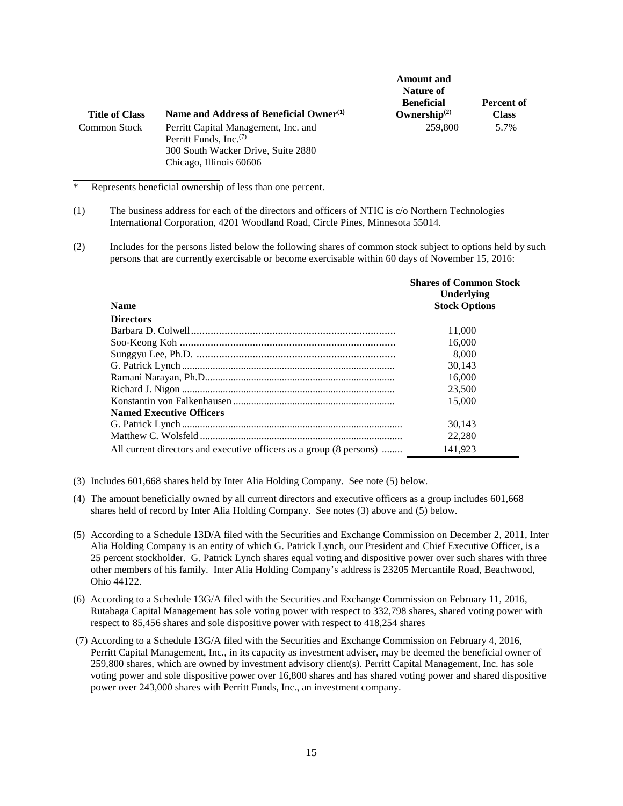| <b>Title of Class</b> | Name and Address of Beneficial Owner <sup>(1)</sup> | Ашоиш апи<br>Nature of<br><b>Beneficial</b><br>Ownership $^{(2)}$ | Percent of<br><b>Class</b> |
|-----------------------|-----------------------------------------------------|-------------------------------------------------------------------|----------------------------|
| <b>Common Stock</b>   | Perritt Capital Management, Inc. and                | 259,800                                                           | 5.7%                       |
|                       | Perritt Funds, Inc. <sup>(7)</sup>                  |                                                                   |                            |
|                       | 300 South Wacker Drive, Suite 2880                  |                                                                   |                            |
|                       | Chicago, Illinois 60606                             |                                                                   |                            |

**Amount and** 

Represents beneficial ownership of less than one percent.

(2) Includes for the persons listed below the following shares of common stock subject to options held by such persons that are currently exercisable or become exercisable within 60 days of November 15, 2016:

|                                                                     | <b>Shares of Common Stock</b><br>Underlying |
|---------------------------------------------------------------------|---------------------------------------------|
| <b>Name</b>                                                         | <b>Stock Options</b>                        |
| <b>Directors</b>                                                    |                                             |
|                                                                     | 11,000                                      |
|                                                                     | 16,000                                      |
|                                                                     | 8.000                                       |
|                                                                     | 30.143                                      |
|                                                                     | 16,000                                      |
|                                                                     | 23,500                                      |
|                                                                     | 15,000                                      |
| <b>Named Executive Officers</b>                                     |                                             |
|                                                                     | 30.143                                      |
|                                                                     | 22,280                                      |
| All current directors and executive officers as a group (8 persons) | 141.923                                     |

- (3) Includes 601,668 shares held by Inter Alia Holding Company. See note (5) below.
- (4) The amount beneficially owned by all current directors and executive officers as a group includes 601,668 shares held of record by Inter Alia Holding Company. See notes (3) above and (5) below.
- (5) According to a Schedule 13D/A filed with the Securities and Exchange Commission on December 2, 2011, Inter Alia Holding Company is an entity of which G. Patrick Lynch, our President and Chief Executive Officer, is a 25 percent stockholder. G. Patrick Lynch shares equal voting and dispositive power over such shares with three other members of his family. Inter Alia Holding Company's address is 23205 Mercantile Road, Beachwood, Ohio 44122.
- (6) According to a Schedule 13G/A filed with the Securities and Exchange Commission on February 11, 2016, Rutabaga Capital Management has sole voting power with respect to 332,798 shares, shared voting power with respect to 85,456 shares and sole dispositive power with respect to 418,254 shares
- (7) According to a Schedule 13G/A filed with the Securities and Exchange Commission on February 4, 2016, Perritt Capital Management, Inc., in its capacity as investment adviser, may be deemed the beneficial owner of 259,800 shares, which are owned by investment advisory client(s). Perritt Capital Management, Inc. has sole voting power and sole dispositive power over 16,800 shares and has shared voting power and shared dispositive power over 243,000 shares with Perritt Funds, Inc., an investment company.

<sup>(1)</sup> The business address for each of the directors and officers of NTIC is c/o Northern Technologies International Corporation, 4201 Woodland Road, Circle Pines, Minnesota 55014.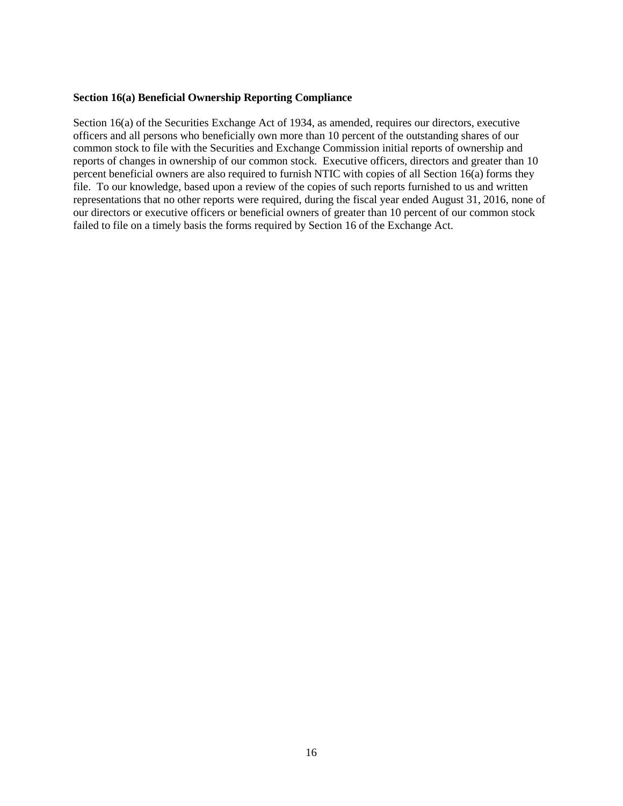### <span id="page-18-0"></span>**Section 16(a) Beneficial Ownership Reporting Compliance**

Section 16(a) of the Securities Exchange Act of 1934, as amended, requires our directors, executive officers and all persons who beneficially own more than 10 percent of the outstanding shares of our common stock to file with the Securities and Exchange Commission initial reports of ownership and reports of changes in ownership of our common stock. Executive officers, directors and greater than 10 percent beneficial owners are also required to furnish NTIC with copies of all Section 16(a) forms they file. To our knowledge, based upon a review of the copies of such reports furnished to us and written representations that no other reports were required, during the fiscal year ended August 31, 2016, none of our directors or executive officers or beneficial owners of greater than 10 percent of our common stock failed to file on a timely basis the forms required by Section 16 of the Exchange Act.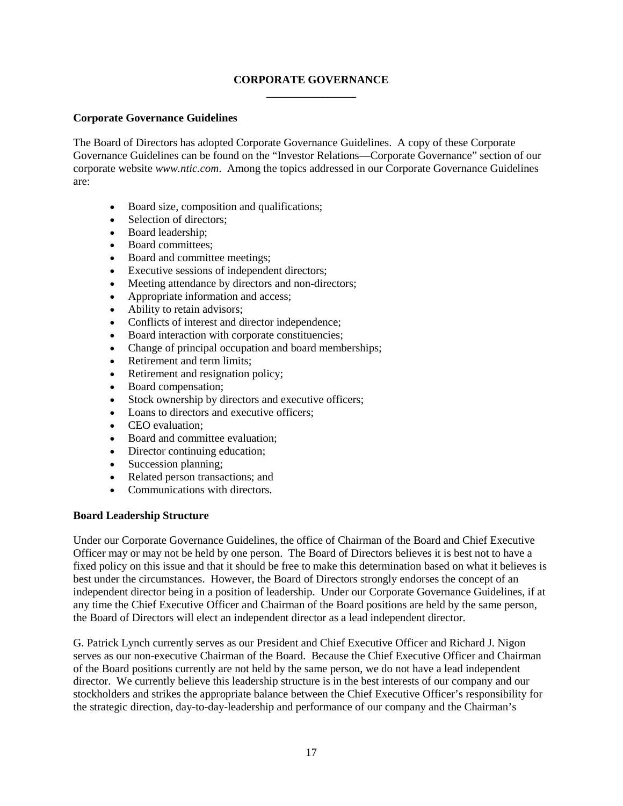# **CORPORATE GOVERNANCE \_\_\_\_\_\_\_\_\_\_\_\_\_\_\_\_**

# <span id="page-19-1"></span><span id="page-19-0"></span>**Corporate Governance Guidelines**

The Board of Directors has adopted Corporate Governance Guidelines. A copy of these Corporate Governance Guidelines can be found on the "Investor Relations—Corporate Governance" section of our corporate website *www.ntic.com*. Among the topics addressed in our Corporate Governance Guidelines are:

- Board size, composition and qualifications;
- Selection of directors;
- Board leadership;
- Board committees;
- Board and committee meetings;
- Executive sessions of independent directors;
- Meeting attendance by directors and non-directors;
- Appropriate information and access;
- Ability to retain advisors;
- Conflicts of interest and director independence;
- Board interaction with corporate constituencies;
- Change of principal occupation and board memberships;
- Retirement and term limits;
- Retirement and resignation policy;
- Board compensation;
- Stock ownership by directors and executive officers;
- Loans to directors and executive officers;
- CEO evaluation:
- Board and committee evaluation:
- Director continuing education;
- Succession planning;
- Related person transactions; and
- Communications with directors.

# <span id="page-19-2"></span>**Board Leadership Structure**

Under our Corporate Governance Guidelines, the office of Chairman of the Board and Chief Executive Officer may or may not be held by one person. The Board of Directors believes it is best not to have a fixed policy on this issue and that it should be free to make this determination based on what it believes is best under the circumstances. However, the Board of Directors strongly endorses the concept of an independent director being in a position of leadership. Under our Corporate Governance Guidelines, if at any time the Chief Executive Officer and Chairman of the Board positions are held by the same person, the Board of Directors will elect an independent director as a lead independent director.

G. Patrick Lynch currently serves as our President and Chief Executive Officer and Richard J. Nigon serves as our non-executive Chairman of the Board. Because the Chief Executive Officer and Chairman of the Board positions currently are not held by the same person, we do not have a lead independent director. We currently believe this leadership structure is in the best interests of our company and our stockholders and strikes the appropriate balance between the Chief Executive Officer's responsibility for the strategic direction, day-to-day-leadership and performance of our company and the Chairman's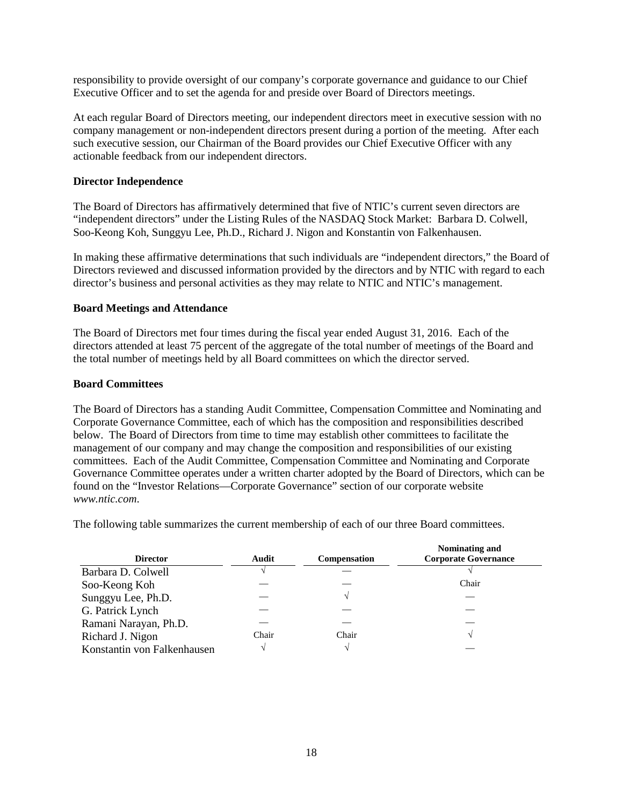responsibility to provide oversight of our company's corporate governance and guidance to our Chief Executive Officer and to set the agenda for and preside over Board of Directors meetings.

At each regular Board of Directors meeting, our independent directors meet in executive session with no company management or non-independent directors present during a portion of the meeting. After each such executive session, our Chairman of the Board provides our Chief Executive Officer with any actionable feedback from our independent directors.

# <span id="page-20-0"></span>**Director Independence**

The Board of Directors has affirmatively determined that five of NTIC's current seven directors are "independent directors" under the Listing Rules of the NASDAQ Stock Market: Barbara D. Colwell, Soo-Keong Koh, Sunggyu Lee, Ph.D., Richard J. Nigon and Konstantin von Falkenhausen.

In making these affirmative determinations that such individuals are "independent directors," the Board of Directors reviewed and discussed information provided by the directors and by NTIC with regard to each director's business and personal activities as they may relate to NTIC and NTIC's management.

# <span id="page-20-1"></span>**Board Meetings and Attendance**

The Board of Directors met four times during the fiscal year ended August 31, 2016. Each of the directors attended at least 75 percent of the aggregate of the total number of meetings of the Board and the total number of meetings held by all Board committees on which the director served.

# <span id="page-20-2"></span>**Board Committees**

The Board of Directors has a standing Audit Committee, Compensation Committee and Nominating and Corporate Governance Committee, each of which has the composition and responsibilities described below. The Board of Directors from time to time may establish other committees to facilitate the management of our company and may change the composition and responsibilities of our existing committees. Each of the Audit Committee, Compensation Committee and Nominating and Corporate Governance Committee operates under a written charter adopted by the Board of Directors, which can be found on the "Investor Relations—Corporate Governance" section of our corporate website *www.ntic.com*.

The following table summarizes the current membership of each of our three Board committees.

| <b>Director</b>             | Audit | <b>Compensation</b> | Nominating and<br><b>Corporate Governance</b> |
|-----------------------------|-------|---------------------|-----------------------------------------------|
| Barbara D. Colwell          |       |                     |                                               |
| Soo-Keong Koh               |       |                     | Chair                                         |
| Sunggyu Lee, Ph.D.          |       |                     |                                               |
| G. Patrick Lynch            |       |                     |                                               |
| Ramani Narayan, Ph.D.       |       |                     |                                               |
| Richard J. Nigon            | Chair | Chair               |                                               |
| Konstantin von Falkenhausen |       |                     |                                               |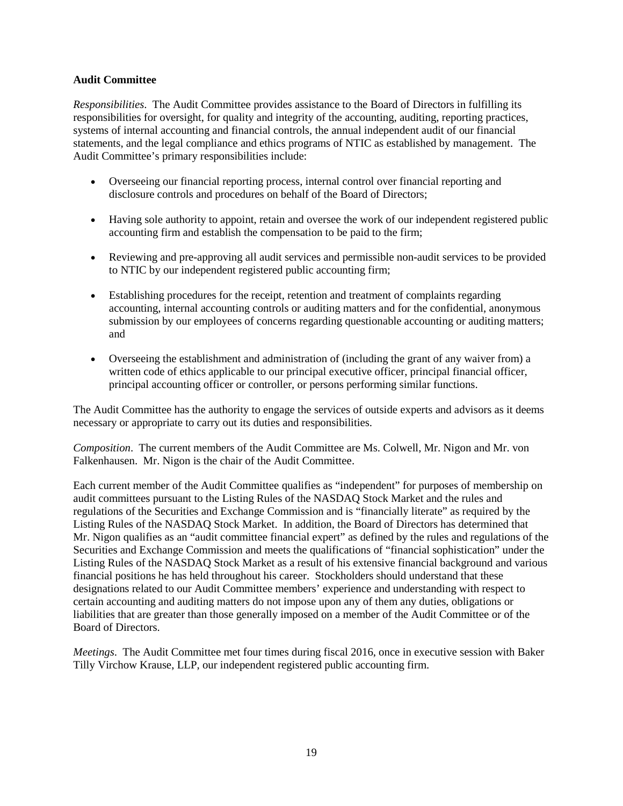# <span id="page-21-0"></span>**Audit Committee**

*Responsibilities*. The Audit Committee provides assistance to the Board of Directors in fulfilling its responsibilities for oversight, for quality and integrity of the accounting, auditing, reporting practices, systems of internal accounting and financial controls, the annual independent audit of our financial statements, and the legal compliance and ethics programs of NTIC as established by management. The Audit Committee's primary responsibilities include:

- Overseeing our financial reporting process, internal control over financial reporting and disclosure controls and procedures on behalf of the Board of Directors;
- Having sole authority to appoint, retain and oversee the work of our independent registered public accounting firm and establish the compensation to be paid to the firm;
- Reviewing and pre-approving all audit services and permissible non-audit services to be provided to NTIC by our independent registered public accounting firm;
- Establishing procedures for the receipt, retention and treatment of complaints regarding accounting, internal accounting controls or auditing matters and for the confidential, anonymous submission by our employees of concerns regarding questionable accounting or auditing matters; and
- Overseeing the establishment and administration of (including the grant of any waiver from) a written code of ethics applicable to our principal executive officer, principal financial officer, principal accounting officer or controller, or persons performing similar functions.

The Audit Committee has the authority to engage the services of outside experts and advisors as it deems necessary or appropriate to carry out its duties and responsibilities.

*Composition*. The current members of the Audit Committee are Ms. Colwell, Mr. Nigon and Mr. von Falkenhausen. Mr. Nigon is the chair of the Audit Committee.

Each current member of the Audit Committee qualifies as "independent" for purposes of membership on audit committees pursuant to the Listing Rules of the NASDAQ Stock Market and the rules and regulations of the Securities and Exchange Commission and is "financially literate" as required by the Listing Rules of the NASDAQ Stock Market. In addition, the Board of Directors has determined that Mr. Nigon qualifies as an "audit committee financial expert" as defined by the rules and regulations of the Securities and Exchange Commission and meets the qualifications of "financial sophistication" under the Listing Rules of the NASDAQ Stock Market as a result of his extensive financial background and various financial positions he has held throughout his career. Stockholders should understand that these designations related to our Audit Committee members' experience and understanding with respect to certain accounting and auditing matters do not impose upon any of them any duties, obligations or liabilities that are greater than those generally imposed on a member of the Audit Committee or of the Board of Directors.

*Meetings*. The Audit Committee met four times during fiscal 2016, once in executive session with Baker Tilly Virchow Krause, LLP, our independent registered public accounting firm.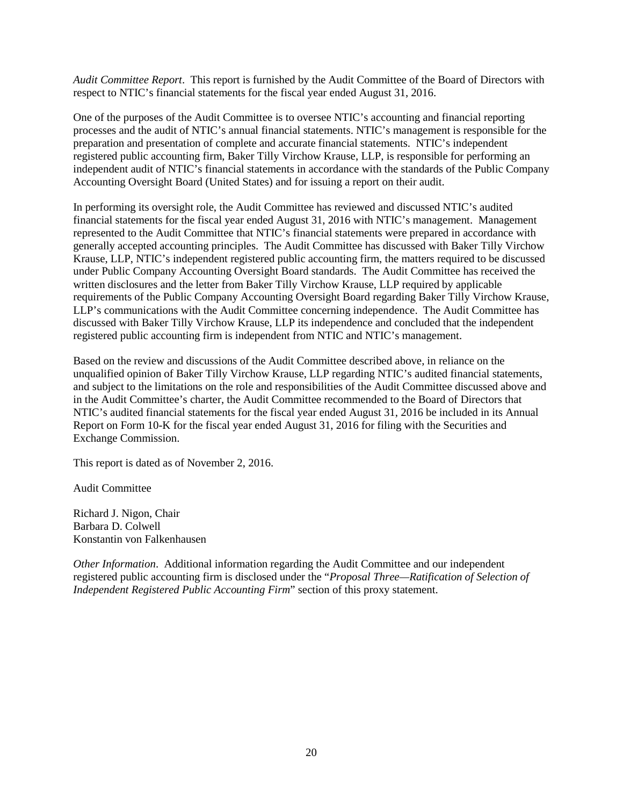*Audit Committee Report*. This report is furnished by the Audit Committee of the Board of Directors with respect to NTIC's financial statements for the fiscal year ended August 31, 2016.

One of the purposes of the Audit Committee is to oversee NTIC's accounting and financial reporting processes and the audit of NTIC's annual financial statements. NTIC's management is responsible for the preparation and presentation of complete and accurate financial statements. NTIC's independent registered public accounting firm, Baker Tilly Virchow Krause, LLP, is responsible for performing an independent audit of NTIC's financial statements in accordance with the standards of the Public Company Accounting Oversight Board (United States) and for issuing a report on their audit.

In performing its oversight role, the Audit Committee has reviewed and discussed NTIC's audited financial statements for the fiscal year ended August 31, 2016 with NTIC's management. Management represented to the Audit Committee that NTIC's financial statements were prepared in accordance with generally accepted accounting principles. The Audit Committee has discussed with Baker Tilly Virchow Krause, LLP, NTIC's independent registered public accounting firm, the matters required to be discussed under Public Company Accounting Oversight Board standards. The Audit Committee has received the written disclosures and the letter from Baker Tilly Virchow Krause, LLP required by applicable requirements of the Public Company Accounting Oversight Board regarding Baker Tilly Virchow Krause, LLP's communications with the Audit Committee concerning independence. The Audit Committee has discussed with Baker Tilly Virchow Krause, LLP its independence and concluded that the independent registered public accounting firm is independent from NTIC and NTIC's management.

Based on the review and discussions of the Audit Committee described above, in reliance on the unqualified opinion of Baker Tilly Virchow Krause, LLP regarding NTIC's audited financial statements, and subject to the limitations on the role and responsibilities of the Audit Committee discussed above and in the Audit Committee's charter, the Audit Committee recommended to the Board of Directors that NTIC's audited financial statements for the fiscal year ended August 31, 2016 be included in its Annual Report on Form 10-K for the fiscal year ended August 31, 2016 for filing with the Securities and Exchange Commission.

This report is dated as of November 2, 2016.

Audit Committee

Richard J. Nigon, Chair Barbara D. Colwell Konstantin von Falkenhausen

*Other Information*. Additional information regarding the Audit Committee and our independent registered public accounting firm is disclosed under the "*Proposal Three—Ratification of Selection of Independent Registered Public Accounting Firm*" section of this proxy statement.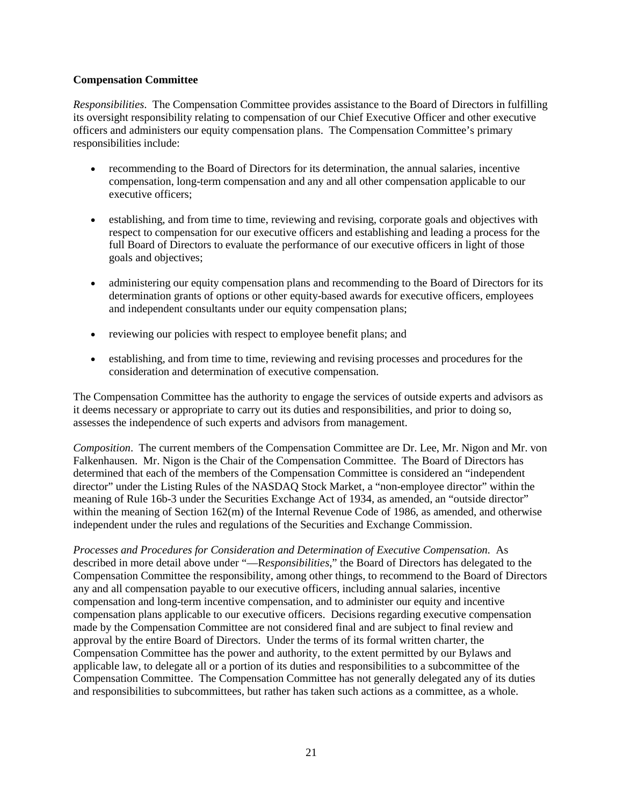# <span id="page-23-0"></span>**Compensation Committee**

*Responsibilities*. The Compensation Committee provides assistance to the Board of Directors in fulfilling its oversight responsibility relating to compensation of our Chief Executive Officer and other executive officers and administers our equity compensation plans. The Compensation Committee's primary responsibilities include:

- recommending to the Board of Directors for its determination, the annual salaries, incentive compensation, long-term compensation and any and all other compensation applicable to our executive officers;
- establishing, and from time to time, reviewing and revising, corporate goals and objectives with respect to compensation for our executive officers and establishing and leading a process for the full Board of Directors to evaluate the performance of our executive officers in light of those goals and objectives;
- administering our equity compensation plans and recommending to the Board of Directors for its determination grants of options or other equity-based awards for executive officers, employees and independent consultants under our equity compensation plans;
- reviewing our policies with respect to employee benefit plans; and
- establishing, and from time to time, reviewing and revising processes and procedures for the consideration and determination of executive compensation.

The Compensation Committee has the authority to engage the services of outside experts and advisors as it deems necessary or appropriate to carry out its duties and responsibilities, and prior to doing so, assesses the independence of such experts and advisors from management.

*Composition*. The current members of the Compensation Committee are Dr. Lee, Mr. Nigon and Mr. von Falkenhausen. Mr. Nigon is the Chair of the Compensation Committee. The Board of Directors has determined that each of the members of the Compensation Committee is considered an "independent director" under the Listing Rules of the NASDAQ Stock Market, a "non-employee director" within the meaning of Rule 16b-3 under the Securities Exchange Act of 1934, as amended, an "outside director" within the meaning of Section 162(m) of the Internal Revenue Code of 1986, as amended, and otherwise independent under the rules and regulations of the Securities and Exchange Commission.

*Processes and Procedures for Consideration and Determination of Executive Compensation*. As described in more detail above under "—R*esponsibilities*," the Board of Directors has delegated to the Compensation Committee the responsibility, among other things, to recommend to the Board of Directors any and all compensation payable to our executive officers, including annual salaries, incentive compensation and long-term incentive compensation, and to administer our equity and incentive compensation plans applicable to our executive officers. Decisions regarding executive compensation made by the Compensation Committee are not considered final and are subject to final review and approval by the entire Board of Directors. Under the terms of its formal written charter, the Compensation Committee has the power and authority, to the extent permitted by our Bylaws and applicable law, to delegate all or a portion of its duties and responsibilities to a subcommittee of the Compensation Committee. The Compensation Committee has not generally delegated any of its duties and responsibilities to subcommittees, but rather has taken such actions as a committee, as a whole.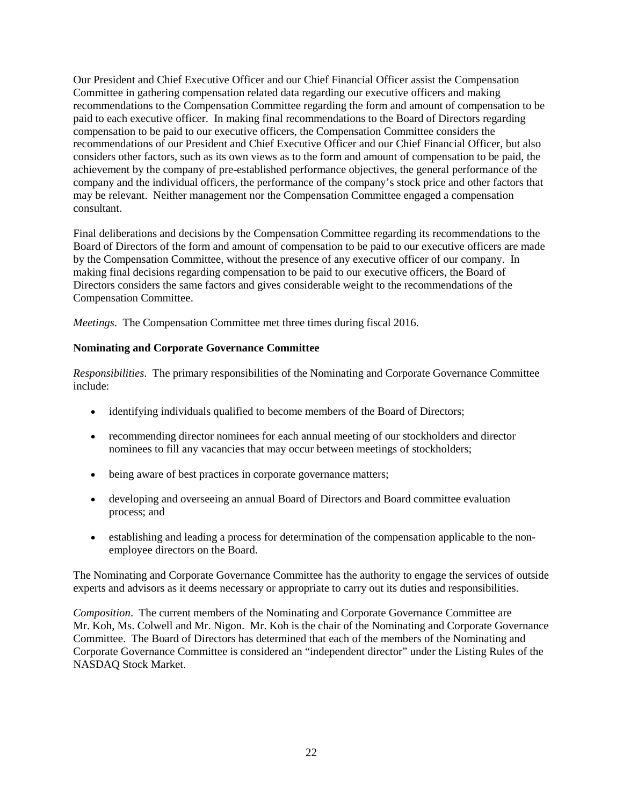Our President and Chief Executive Officer and our Chief Financial Officer assist the Compensation Committee in gathering compensation related data regarding our executive officers and making recommendations to the Compensation Committee regarding the form and amount of compensation to be paid to each executive officer. In making final recommendations to the Board of Directors regarding compensation to be paid to our executive officers, the Compensation Committee considers the recommendations of our President and Chief Executive Officer and our Chief Financial Officer, but also considers other factors, such as its own views as to the form and amount of compensation to be paid, the achievement by the company of pre-established performance objectives, the general performance of the company and the individual officers, the performance of the company's stock price and other factors that may be relevant. Neither management nor the Compensation Committee engaged a compensation consultant.

Final deliberations and decisions by the Compensation Committee regarding its recommendations to the Board of Directors of the form and amount of compensation to be paid to our executive officers are made by the Compensation Committee, without the presence of any executive officer of our company. In making final decisions regarding compensation to be paid to our executive officers, the Board of Directors considers the same factors and gives considerable weight to the recommendations of the Compensation Committee.

*Meetings*. The Compensation Committee met three times during fiscal 2016.

# <span id="page-24-0"></span>**Nominating and Corporate Governance Committee**

*Responsibilities*. The primary responsibilities of the Nominating and Corporate Governance Committee include:

- identifying individuals qualified to become members of the Board of Directors;
- recommending director nominees for each annual meeting of our stockholders and director nominees to fill any vacancies that may occur between meetings of stockholders;
- being aware of best practices in corporate governance matters;
- developing and overseeing an annual Board of Directors and Board committee evaluation process; and
- establishing and leading a process for determination of the compensation applicable to the nonemployee directors on the Board.

The Nominating and Corporate Governance Committee has the authority to engage the services of outside experts and advisors as it deems necessary or appropriate to carry out its duties and responsibilities.

*Composition*. The current members of the Nominating and Corporate Governance Committee are Mr. Koh, Ms. Colwell and Mr. Nigon. Mr. Koh is the chair of the Nominating and Corporate Governance Committee. The Board of Directors has determined that each of the members of the Nominating and Corporate Governance Committee is considered an "independent director" under the Listing Rules of the NASDAQ Stock Market.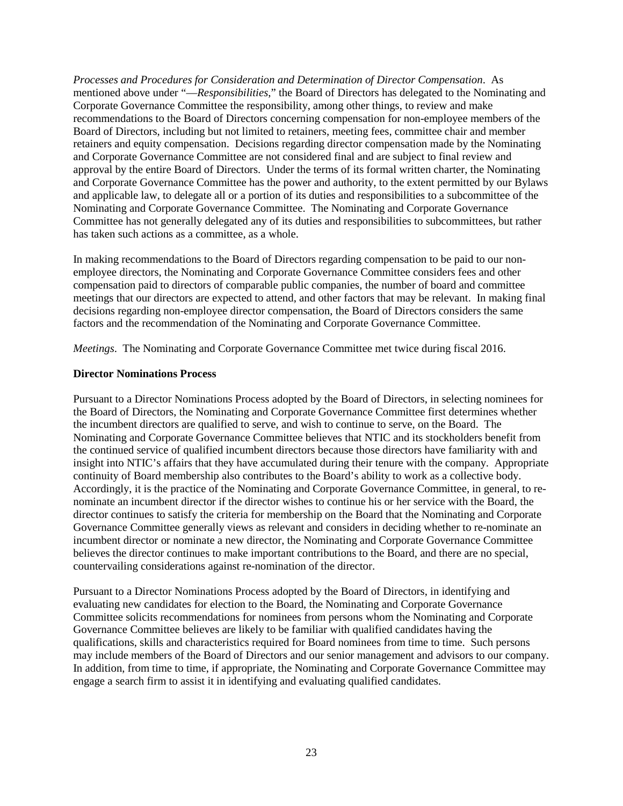*Processes and Procedures for Consideration and Determination of Director Compensation*. As mentioned above under "—*Responsibilities*," the Board of Directors has delegated to the Nominating and Corporate Governance Committee the responsibility, among other things, to review and make recommendations to the Board of Directors concerning compensation for non-employee members of the Board of Directors, including but not limited to retainers, meeting fees, committee chair and member retainers and equity compensation. Decisions regarding director compensation made by the Nominating and Corporate Governance Committee are not considered final and are subject to final review and approval by the entire Board of Directors. Under the terms of its formal written charter, the Nominating and Corporate Governance Committee has the power and authority, to the extent permitted by our Bylaws and applicable law, to delegate all or a portion of its duties and responsibilities to a subcommittee of the Nominating and Corporate Governance Committee. The Nominating and Corporate Governance Committee has not generally delegated any of its duties and responsibilities to subcommittees, but rather has taken such actions as a committee, as a whole.

In making recommendations to the Board of Directors regarding compensation to be paid to our nonemployee directors, the Nominating and Corporate Governance Committee considers fees and other compensation paid to directors of comparable public companies, the number of board and committee meetings that our directors are expected to attend, and other factors that may be relevant. In making final decisions regarding non-employee director compensation, the Board of Directors considers the same factors and the recommendation of the Nominating and Corporate Governance Committee.

*Meetings*. The Nominating and Corporate Governance Committee met twice during fiscal 2016.

### <span id="page-25-0"></span>**Director Nominations Process**

Pursuant to a Director Nominations Process adopted by the Board of Directors, in selecting nominees for the Board of Directors, the Nominating and Corporate Governance Committee first determines whether the incumbent directors are qualified to serve, and wish to continue to serve, on the Board. The Nominating and Corporate Governance Committee believes that NTIC and its stockholders benefit from the continued service of qualified incumbent directors because those directors have familiarity with and insight into NTIC's affairs that they have accumulated during their tenure with the company. Appropriate continuity of Board membership also contributes to the Board's ability to work as a collective body. Accordingly, it is the practice of the Nominating and Corporate Governance Committee, in general, to renominate an incumbent director if the director wishes to continue his or her service with the Board, the director continues to satisfy the criteria for membership on the Board that the Nominating and Corporate Governance Committee generally views as relevant and considers in deciding whether to re-nominate an incumbent director or nominate a new director, the Nominating and Corporate Governance Committee believes the director continues to make important contributions to the Board, and there are no special, countervailing considerations against re-nomination of the director.

Pursuant to a Director Nominations Process adopted by the Board of Directors, in identifying and evaluating new candidates for election to the Board, the Nominating and Corporate Governance Committee solicits recommendations for nominees from persons whom the Nominating and Corporate Governance Committee believes are likely to be familiar with qualified candidates having the qualifications, skills and characteristics required for Board nominees from time to time. Such persons may include members of the Board of Directors and our senior management and advisors to our company. In addition, from time to time, if appropriate, the Nominating and Corporate Governance Committee may engage a search firm to assist it in identifying and evaluating qualified candidates.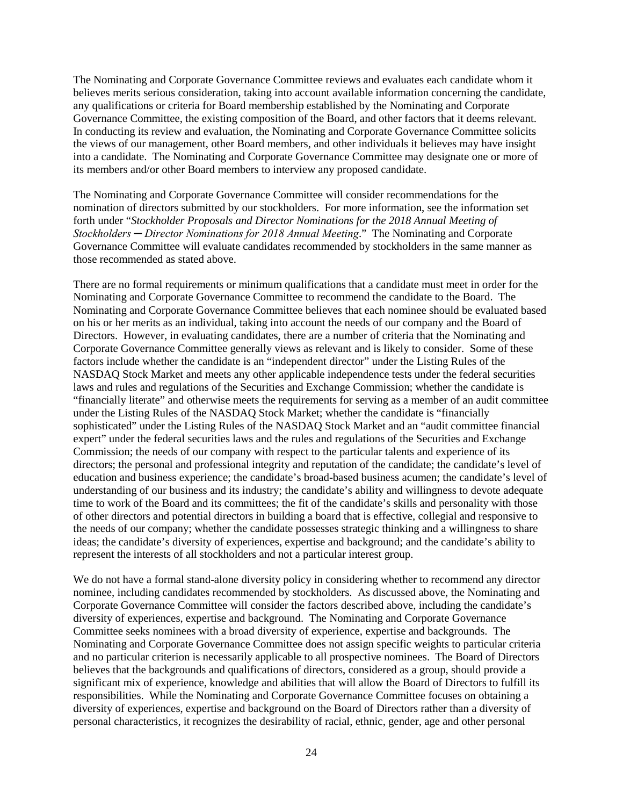The Nominating and Corporate Governance Committee reviews and evaluates each candidate whom it believes merits serious consideration, taking into account available information concerning the candidate, any qualifications or criteria for Board membership established by the Nominating and Corporate Governance Committee, the existing composition of the Board, and other factors that it deems relevant. In conducting its review and evaluation, the Nominating and Corporate Governance Committee solicits the views of our management, other Board members, and other individuals it believes may have insight into a candidate. The Nominating and Corporate Governance Committee may designate one or more of its members and/or other Board members to interview any proposed candidate.

The Nominating and Corporate Governance Committee will consider recommendations for the nomination of directors submitted by our stockholders. For more information, see the information set forth under "*Stockholder Proposals and Director Nominations for the 2018 Annual Meeting of Stockholders ─ Director Nominations for 2018 Annual Meeting*." The Nominating and Corporate Governance Committee will evaluate candidates recommended by stockholders in the same manner as those recommended as stated above.

There are no formal requirements or minimum qualifications that a candidate must meet in order for the Nominating and Corporate Governance Committee to recommend the candidate to the Board. The Nominating and Corporate Governance Committee believes that each nominee should be evaluated based on his or her merits as an individual, taking into account the needs of our company and the Board of Directors. However, in evaluating candidates, there are a number of criteria that the Nominating and Corporate Governance Committee generally views as relevant and is likely to consider. Some of these factors include whether the candidate is an "independent director" under the Listing Rules of the NASDAQ Stock Market and meets any other applicable independence tests under the federal securities laws and rules and regulations of the Securities and Exchange Commission; whether the candidate is "financially literate" and otherwise meets the requirements for serving as a member of an audit committee under the Listing Rules of the NASDAQ Stock Market; whether the candidate is "financially sophisticated" under the Listing Rules of the NASDAQ Stock Market and an "audit committee financial expert" under the federal securities laws and the rules and regulations of the Securities and Exchange Commission; the needs of our company with respect to the particular talents and experience of its directors; the personal and professional integrity and reputation of the candidate; the candidate's level of education and business experience; the candidate's broad-based business acumen; the candidate's level of understanding of our business and its industry; the candidate's ability and willingness to devote adequate time to work of the Board and its committees; the fit of the candidate's skills and personality with those of other directors and potential directors in building a board that is effective, collegial and responsive to the needs of our company; whether the candidate possesses strategic thinking and a willingness to share ideas; the candidate's diversity of experiences, expertise and background; and the candidate's ability to represent the interests of all stockholders and not a particular interest group.

We do not have a formal stand-alone diversity policy in considering whether to recommend any director nominee, including candidates recommended by stockholders. As discussed above, the Nominating and Corporate Governance Committee will consider the factors described above, including the candidate's diversity of experiences, expertise and background. The Nominating and Corporate Governance Committee seeks nominees with a broad diversity of experience, expertise and backgrounds. The Nominating and Corporate Governance Committee does not assign specific weights to particular criteria and no particular criterion is necessarily applicable to all prospective nominees. The Board of Directors believes that the backgrounds and qualifications of directors, considered as a group, should provide a significant mix of experience, knowledge and abilities that will allow the Board of Directors to fulfill its responsibilities. While the Nominating and Corporate Governance Committee focuses on obtaining a diversity of experiences, expertise and background on the Board of Directors rather than a diversity of personal characteristics, it recognizes the desirability of racial, ethnic, gender, age and other personal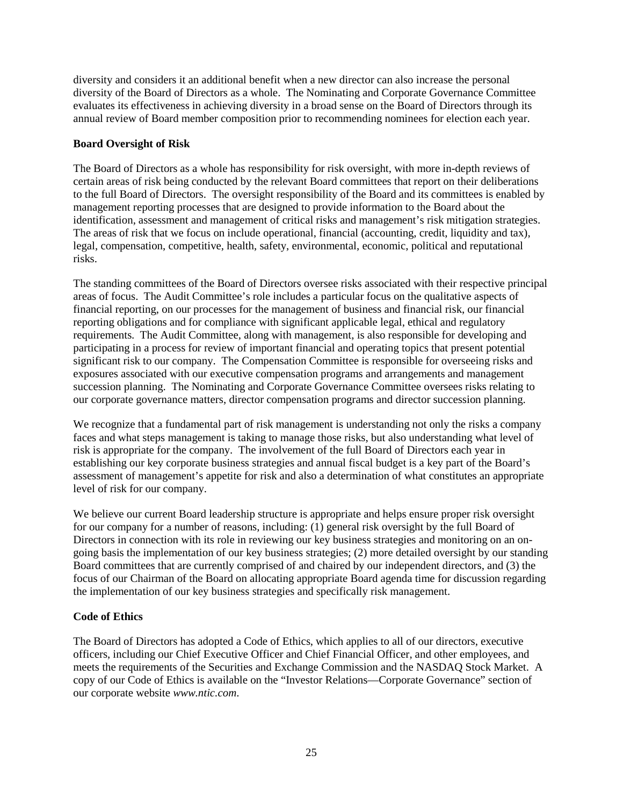diversity and considers it an additional benefit when a new director can also increase the personal diversity of the Board of Directors as a whole. The Nominating and Corporate Governance Committee evaluates its effectiveness in achieving diversity in a broad sense on the Board of Directors through its annual review of Board member composition prior to recommending nominees for election each year.

# <span id="page-27-0"></span>**Board Oversight of Risk**

The Board of Directors as a whole has responsibility for risk oversight, with more in-depth reviews of certain areas of risk being conducted by the relevant Board committees that report on their deliberations to the full Board of Directors. The oversight responsibility of the Board and its committees is enabled by management reporting processes that are designed to provide information to the Board about the identification, assessment and management of critical risks and management's risk mitigation strategies. The areas of risk that we focus on include operational, financial (accounting, credit, liquidity and tax), legal, compensation, competitive, health, safety, environmental, economic, political and reputational risks.

The standing committees of the Board of Directors oversee risks associated with their respective principal areas of focus. The Audit Committee's role includes a particular focus on the qualitative aspects of financial reporting, on our processes for the management of business and financial risk, our financial reporting obligations and for compliance with significant applicable legal, ethical and regulatory requirements. The Audit Committee, along with management, is also responsible for developing and participating in a process for review of important financial and operating topics that present potential significant risk to our company. The Compensation Committee is responsible for overseeing risks and exposures associated with our executive compensation programs and arrangements and management succession planning. The Nominating and Corporate Governance Committee oversees risks relating to our corporate governance matters, director compensation programs and director succession planning.

We recognize that a fundamental part of risk management is understanding not only the risks a company faces and what steps management is taking to manage those risks, but also understanding what level of risk is appropriate for the company. The involvement of the full Board of Directors each year in establishing our key corporate business strategies and annual fiscal budget is a key part of the Board's assessment of management's appetite for risk and also a determination of what constitutes an appropriate level of risk for our company.

We believe our current Board leadership structure is appropriate and helps ensure proper risk oversight for our company for a number of reasons, including: (1) general risk oversight by the full Board of Directors in connection with its role in reviewing our key business strategies and monitoring on an ongoing basis the implementation of our key business strategies; (2) more detailed oversight by our standing Board committees that are currently comprised of and chaired by our independent directors, and (3) the focus of our Chairman of the Board on allocating appropriate Board agenda time for discussion regarding the implementation of our key business strategies and specifically risk management.

# <span id="page-27-1"></span>**Code of Ethics**

The Board of Directors has adopted a Code of Ethics, which applies to all of our directors, executive officers, including our Chief Executive Officer and Chief Financial Officer, and other employees, and meets the requirements of the Securities and Exchange Commission and the NASDAQ Stock Market. A copy of our Code of Ethics is available on the "Investor Relations—Corporate Governance" section of our corporate website *[www.ntic.com](http://www.ntic.com/)*.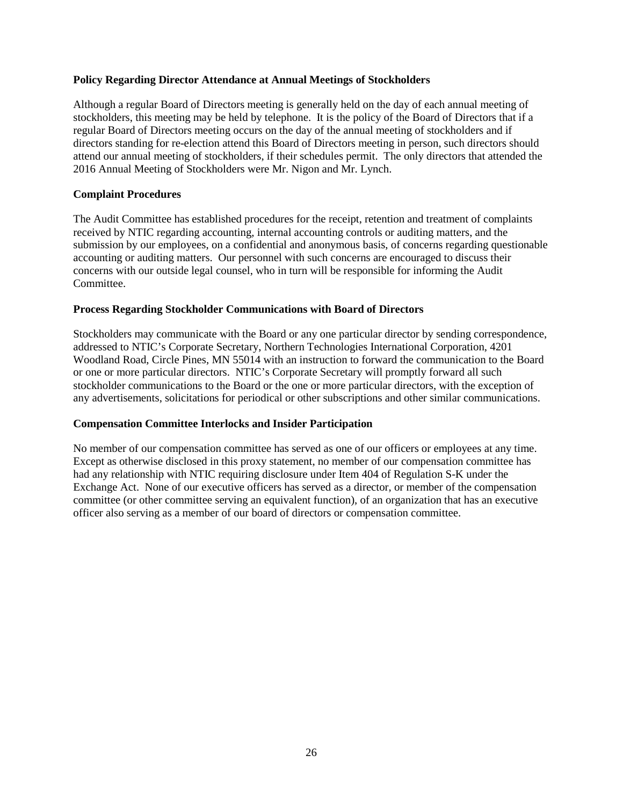### <span id="page-28-0"></span>**Policy Regarding Director Attendance at Annual Meetings of Stockholders**

Although a regular Board of Directors meeting is generally held on the day of each annual meeting of stockholders, this meeting may be held by telephone. It is the policy of the Board of Directors that if a regular Board of Directors meeting occurs on the day of the annual meeting of stockholders and if directors standing for re-election attend this Board of Directors meeting in person, such directors should attend our annual meeting of stockholders, if their schedules permit. The only directors that attended the 2016 Annual Meeting of Stockholders were Mr. Nigon and Mr. Lynch.

### <span id="page-28-1"></span>**Complaint Procedures**

The Audit Committee has established procedures for the receipt, retention and treatment of complaints received by NTIC regarding accounting, internal accounting controls or auditing matters, and the submission by our employees, on a confidential and anonymous basis, of concerns regarding questionable accounting or auditing matters. Our personnel with such concerns are encouraged to discuss their concerns with our outside legal counsel, who in turn will be responsible for informing the Audit **Committee** 

### <span id="page-28-2"></span>**Process Regarding Stockholder Communications with Board of Directors**

Stockholders may communicate with the Board or any one particular director by sending correspondence, addressed to NTIC's Corporate Secretary, Northern Technologies International Corporation, 4201 Woodland Road, Circle Pines, MN 55014 with an instruction to forward the communication to the Board or one or more particular directors. NTIC's Corporate Secretary will promptly forward all such stockholder communications to the Board or the one or more particular directors, with the exception of any advertisements, solicitations for periodical or other subscriptions and other similar communications.

# **Compensation Committee Interlocks and Insider Participation**

No member of our compensation committee has served as one of our officers or employees at any time. Except as otherwise disclosed in this proxy statement, no member of our compensation committee has had any relationship with NTIC requiring disclosure under Item 404 of Regulation S-K under the Exchange Act. None of our executive officers has served as a director, or member of the compensation committee (or other committee serving an equivalent function), of an organization that has an executive officer also serving as a member of our board of directors or compensation committee.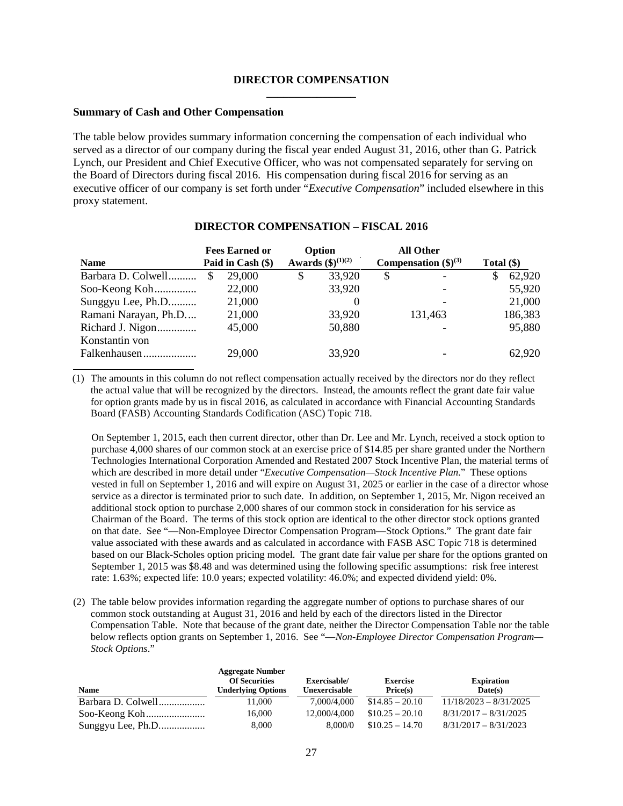### **DIRECTOR COMPENSATION \_\_\_\_\_\_\_\_\_\_\_\_\_\_\_\_**

#### <span id="page-29-1"></span><span id="page-29-0"></span>**Summary of Cash and Other Compensation**

The table below provides summary information concerning the compensation of each individual who served as a director of our company during the fiscal year ended August 31, 2016, other than G. Patrick Lynch, our President and Chief Executive Officer, who was not compensated separately for serving on the Board of Directors during fiscal 2016. His compensation during fiscal 2016 for serving as an executive officer of our company is set forth under "*Executive Compensation*" included elsewhere in this proxy statement.

| <b>Name</b>          | Option<br><b>Fees Earned or</b><br><b>Awards</b> $(\$)^{(1)(2)}$<br>Paid in Cash (\$) |   | <b>All Other</b><br>Compensation $(\text{$\$})^{(3)}$ |    | Total $(\$)$ |   |         |
|----------------------|---------------------------------------------------------------------------------------|---|-------------------------------------------------------|----|--------------|---|---------|
| Barbara D. Colwell   | 29,000<br>S                                                                           | S | 33,920                                                | \$ |              | S | 62,920  |
| Soo-Keong Koh        | 22,000                                                                                |   | 33,920                                                |    |              |   | 55,920  |
| Sunggyu Lee, Ph.D    | 21,000                                                                                |   |                                                       |    |              |   | 21,000  |
| Ramani Narayan, Ph.D | 21,000                                                                                |   | 33,920                                                |    | 131,463      |   | 186,383 |
| Richard J. Nigon     | 45,000                                                                                |   | 50,880                                                |    |              |   | 95,880  |
| Konstantin von       |                                                                                       |   |                                                       |    |              |   |         |
| Falkenhausen         | 29,000                                                                                |   | 33,920                                                |    |              |   | 62,920  |

#### **DIRECTOR COMPENSATION – FISCAL 2016**

(1) The amounts in this column do not reflect compensation actually received by the directors nor do they reflect the actual value that will be recognized by the directors. Instead, the amounts reflect the grant date fair value for option grants made by us in fiscal 2016, as calculated in accordance with Financial Accounting Standards Board (FASB) Accounting Standards Codification (ASC) Topic 718.

On September 1, 2015, each then current director, other than Dr. Lee and Mr. Lynch, received a stock option to purchase 4,000 shares of our common stock at an exercise price of \$14.85 per share granted under the Northern Technologies International Corporation Amended and Restated 2007 Stock Incentive Plan, the material terms of which are described in more detail under "*Executive Compensation—Stock Incentive Plan*." These options vested in full on September 1, 2016 and will expire on August 31, 2025 or earlier in the case of a director whose service as a director is terminated prior to such date. In addition, on September 1, 2015, Mr. Nigon received an additional stock option to purchase 2,000 shares of our common stock in consideration for his service as Chairman of the Board. The terms of this stock option are identical to the other director stock options granted on that date. See "—Non-Employee Director Compensation Program—Stock Options." The grant date fair value associated with these awards and as calculated in accordance with FASB ASC Topic 718 is determined based on our Black-Scholes option pricing model. The grant date fair value per share for the options granted on September 1, 2015 was \$8.48 and was determined using the following specific assumptions: risk free interest rate: 1.63%; expected life: 10.0 years; expected volatility: 46.0%; and expected dividend yield: 0%.

(2) The table below provides information regarding the aggregate number of options to purchase shares of our common stock outstanding at August 31, 2016 and held by each of the directors listed in the Director Compensation Table. Note that because of the grant date, neither the Director Compensation Table nor the table below reflects option grants on September 1, 2016. See "—*Non-Employee Director Compensation Program— Stock Options*."

|                    | <b>Aggregate Number</b><br><b>Of Securities</b> | Exercisable/  | <b>Exercise</b>  | <b>Expiration</b>        |
|--------------------|-------------------------------------------------|---------------|------------------|--------------------------|
| <b>Name</b>        | <b>Underlying Options</b>                       | Unexercisable | Price(s)         | Date(s)                  |
| Barbara D. Colwell | 11.000                                          | 7.000/4.000   | $$14.85 - 20.10$ | $11/18/2023 - 8/31/2025$ |
|                    | 16.000                                          | 12,000/4,000  | $$10.25 - 20.10$ | $8/31/2017 - 8/31/2025$  |
| Sunggyu Lee, Ph.D  | 8,000                                           | 8.000/0       | $$10.25 - 14.70$ | $8/31/2017 - 8/31/2023$  |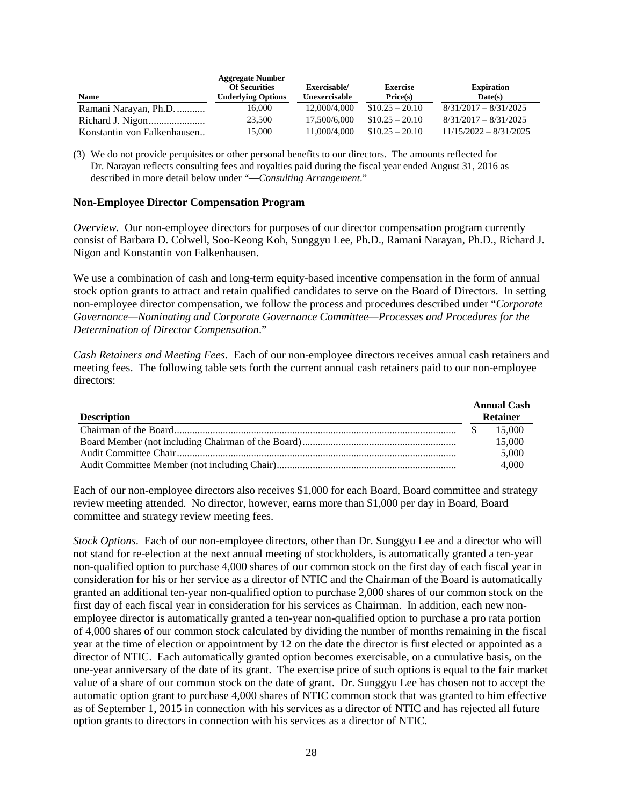| <b>Name</b>                 | <b>Aggregate Number</b><br><b>Of Securities</b><br><b>Underlying Options</b> | Exercisable/<br>Unexercisable | <b>Exercise</b><br>Price(s) | <b>Expiration</b><br>Date(s) |
|-----------------------------|------------------------------------------------------------------------------|-------------------------------|-----------------------------|------------------------------|
| Ramani Narayan, Ph.D.       | 16.000                                                                       | 12,000/4,000                  | $$10.25 - 20.10$            | $8/31/2017 - 8/31/2025$      |
|                             | 23,500                                                                       | 17,500/6,000                  | $$10.25 - 20.10$            | $8/31/2017 - 8/31/2025$      |
| Konstantin von Falkenhausen | 15.000                                                                       | 11,000/4,000                  | $$10.25 - 20.10$            | $11/15/2022 - 8/31/2025$     |

(3) We do not provide perquisites or other personal benefits to our directors. The amounts reflected for Dr. Narayan reflects consulting fees and royalties paid during the fiscal year ended August 31, 2016 as described in more detail below under "—*Consulting Arrangement*."

#### <span id="page-30-0"></span>**Non-Employee Director Compensation Program**

*Overview.* Our non-employee directors for purposes of our director compensation program currently consist of Barbara D. Colwell, Soo-Keong Koh, Sunggyu Lee, Ph.D., Ramani Narayan, Ph.D., Richard J. Nigon and Konstantin von Falkenhausen.

We use a combination of cash and long-term equity-based incentive compensation in the form of annual stock option grants to attract and retain qualified candidates to serve on the Board of Directors. In setting non-employee director compensation, we follow the process and procedures described under "*Corporate Governance—Nominating and Corporate Governance Committee—Processes and Procedures for the Determination of Director Compensation*."

*Cash Retainers and Meeting Fees*. Each of our non-employee directors receives annual cash retainers and meeting fees. The following table sets forth the current annual cash retainers paid to our non-employee directors:

| <b>Description</b> | <b>Annual Cash</b><br><b>Retainer</b> |
|--------------------|---------------------------------------|
|                    | 15.000                                |
|                    | 15,000                                |
|                    | 5,000                                 |
|                    | 4.000                                 |

Each of our non-employee directors also receives \$1,000 for each Board, Board committee and strategy review meeting attended. No director, however, earns more than \$1,000 per day in Board, Board committee and strategy review meeting fees.

*Stock Options*. Each of our non-employee directors, other than Dr. Sunggyu Lee and a director who will not stand for re-election at the next annual meeting of stockholders, is automatically granted a ten-year non-qualified option to purchase 4,000 shares of our common stock on the first day of each fiscal year in consideration for his or her service as a director of NTIC and the Chairman of the Board is automatically granted an additional ten-year non-qualified option to purchase 2,000 shares of our common stock on the first day of each fiscal year in consideration for his services as Chairman. In addition, each new nonemployee director is automatically granted a ten-year non-qualified option to purchase a pro rata portion of 4,000 shares of our common stock calculated by dividing the number of months remaining in the fiscal year at the time of election or appointment by 12 on the date the director is first elected or appointed as a director of NTIC. Each automatically granted option becomes exercisable, on a cumulative basis, on the one-year anniversary of the date of its grant. The exercise price of such options is equal to the fair market value of a share of our common stock on the date of grant. Dr. Sunggyu Lee has chosen not to accept the automatic option grant to purchase 4,000 shares of NTIC common stock that was granted to him effective as of September 1, 2015 in connection with his services as a director of NTIC and has rejected all future option grants to directors in connection with his services as a director of NTIC.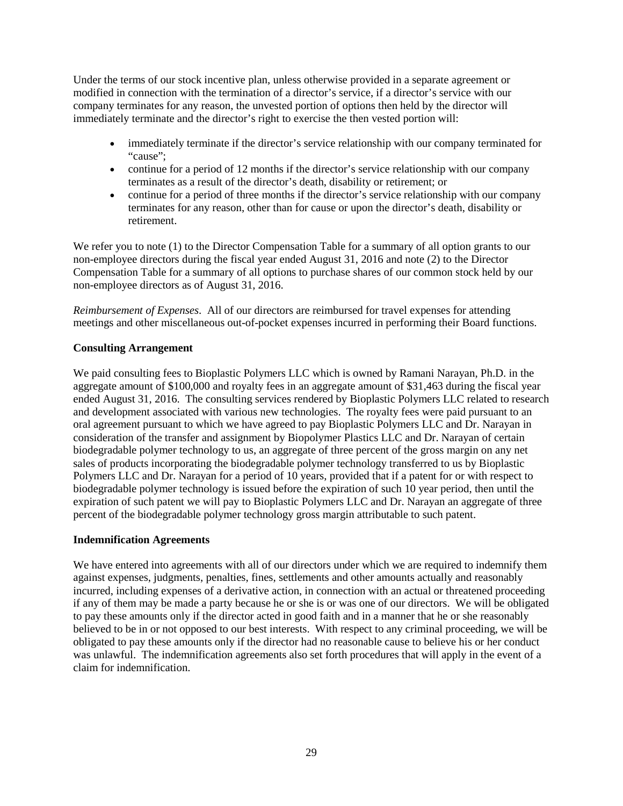Under the terms of our stock incentive plan, unless otherwise provided in a separate agreement or modified in connection with the termination of a director's service, if a director's service with our company terminates for any reason, the unvested portion of options then held by the director will immediately terminate and the director's right to exercise the then vested portion will:

- immediately terminate if the director's service relationship with our company terminated for "cause";
- continue for a period of 12 months if the director's service relationship with our company terminates as a result of the director's death, disability or retirement; or
- continue for a period of three months if the director's service relationship with our company terminates for any reason, other than for cause or upon the director's death, disability or retirement.

We refer you to note (1) to the Director Compensation Table for a summary of all option grants to our non-employee directors during the fiscal year ended August 31, 2016 and note (2) to the Director Compensation Table for a summary of all options to purchase shares of our common stock held by our non-employee directors as of August 31, 2016.

*Reimbursement of Expenses*. All of our directors are reimbursed for travel expenses for attending meetings and other miscellaneous out-of-pocket expenses incurred in performing their Board functions.

# <span id="page-31-0"></span>**Consulting Arrangement**

We paid consulting fees to Bioplastic Polymers LLC which is owned by Ramani Narayan, Ph.D. in the aggregate amount of \$100,000 and royalty fees in an aggregate amount of \$31,463 during the fiscal year ended August 31, 2016. The consulting services rendered by Bioplastic Polymers LLC related to research and development associated with various new technologies. The royalty fees were paid pursuant to an oral agreement pursuant to which we have agreed to pay Bioplastic Polymers LLC and Dr. Narayan in consideration of the transfer and assignment by Biopolymer Plastics LLC and Dr. Narayan of certain biodegradable polymer technology to us, an aggregate of three percent of the gross margin on any net sales of products incorporating the biodegradable polymer technology transferred to us by Bioplastic Polymers LLC and Dr. Narayan for a period of 10 years, provided that if a patent for or with respect to biodegradable polymer technology is issued before the expiration of such 10 year period, then until the expiration of such patent we will pay to Bioplastic Polymers LLC and Dr. Narayan an aggregate of three percent of the biodegradable polymer technology gross margin attributable to such patent.

# <span id="page-31-1"></span>**Indemnification Agreements**

We have entered into agreements with all of our directors under which we are required to indemnify them against expenses, judgments, penalties, fines, settlements and other amounts actually and reasonably incurred, including expenses of a derivative action, in connection with an actual or threatened proceeding if any of them may be made a party because he or she is or was one of our directors. We will be obligated to pay these amounts only if the director acted in good faith and in a manner that he or she reasonably believed to be in or not opposed to our best interests. With respect to any criminal proceeding, we will be obligated to pay these amounts only if the director had no reasonable cause to believe his or her conduct was unlawful. The indemnification agreements also set forth procedures that will apply in the event of a claim for indemnification.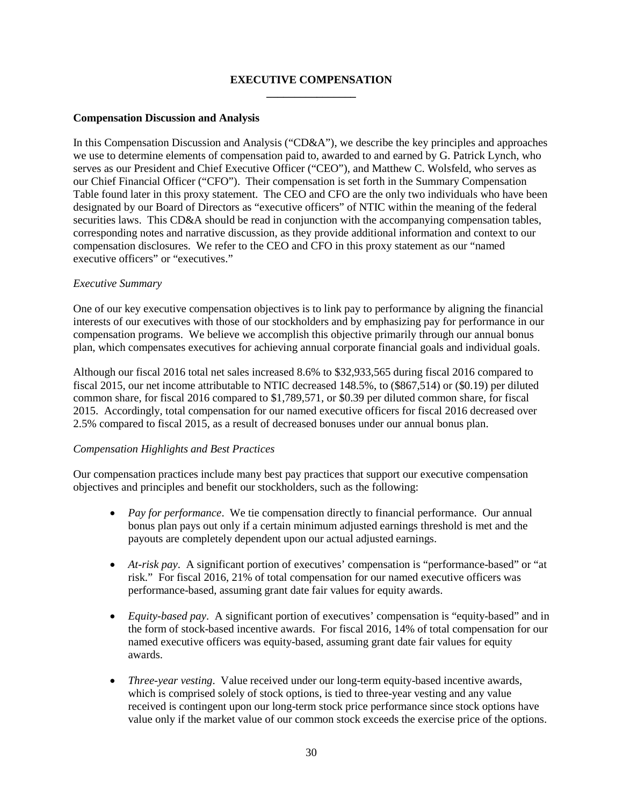# **EXECUTIVE COMPENSATION \_\_\_\_\_\_\_\_\_\_\_\_\_\_\_\_**

# <span id="page-32-1"></span><span id="page-32-0"></span>**Compensation Discussion and Analysis**

In this Compensation Discussion and Analysis ("CD&A"), we describe the key principles and approaches we use to determine elements of compensation paid to, awarded to and earned by G. Patrick Lynch, who serves as our President and Chief Executive Officer ("CEO"), and Matthew C. Wolsfeld, who serves as our Chief Financial Officer ("CFO"). Their compensation is set forth in the Summary Compensation Table found later in this proxy statement. The CEO and CFO are the only two individuals who have been designated by our Board of Directors as "executive officers" of NTIC within the meaning of the federal securities laws. This CD&A should be read in conjunction with the accompanying compensation tables, corresponding notes and narrative discussion, as they provide additional information and context to our compensation disclosures. We refer to the CEO and CFO in this proxy statement as our "named executive officers" or "executives."

### *Executive Summary*

One of our key executive compensation objectives is to link pay to performance by aligning the financial interests of our executives with those of our stockholders and by emphasizing pay for performance in our compensation programs. We believe we accomplish this objective primarily through our annual bonus plan, which compensates executives for achieving annual corporate financial goals and individual goals.

Although our fiscal 2016 total net sales increased 8.6% to \$32,933,565 during fiscal 2016 compared to fiscal 2015, our net income attributable to NTIC decreased 148.5%, to (\$867,514) or (\$0.19) per diluted common share, for fiscal 2016 compared to \$1,789,571, or \$0.39 per diluted common share, for fiscal 2015. Accordingly, total compensation for our named executive officers for fiscal 2016 decreased over 2.5% compared to fiscal 2015, as a result of decreased bonuses under our annual bonus plan.

# *Compensation Highlights and Best Practices*

Our compensation practices include many best pay practices that support our executive compensation objectives and principles and benefit our stockholders, such as the following:

- *Pay for performance*. We tie compensation directly to financial performance. Our annual bonus plan pays out only if a certain minimum adjusted earnings threshold is met and the payouts are completely dependent upon our actual adjusted earnings.
- *At-risk pay*. A significant portion of executives' compensation is "performance-based" or "at risk." For fiscal 2016, 21% of total compensation for our named executive officers was performance-based, assuming grant date fair values for equity awards.
- *Equity-based pay*. A significant portion of executives' compensation is "equity-based" and in the form of stock-based incentive awards. For fiscal 2016, 14% of total compensation for our named executive officers was equity-based, assuming grant date fair values for equity awards.
- *Three-year vesting*. Value received under our long-term equity-based incentive awards, which is comprised solely of stock options, is tied to three-year vesting and any value received is contingent upon our long-term stock price performance since stock options have value only if the market value of our common stock exceeds the exercise price of the options.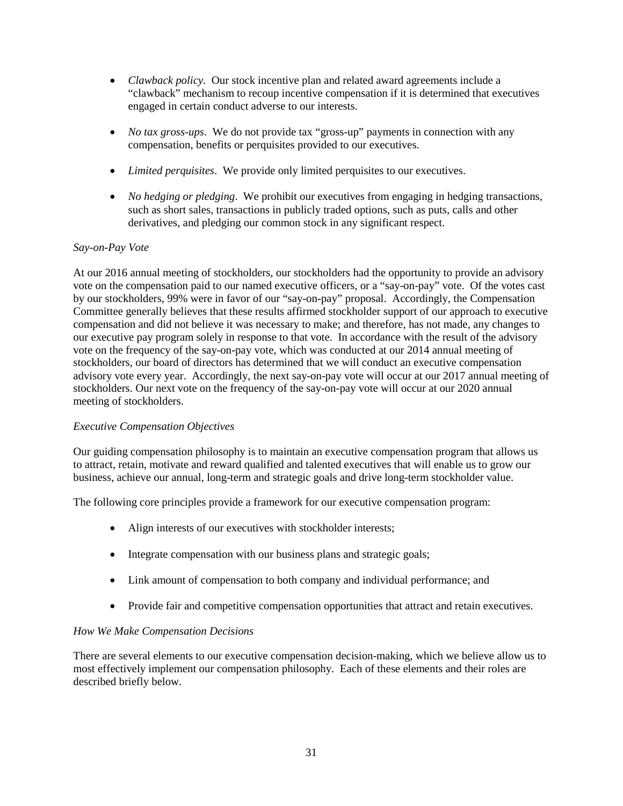- *Clawback policy*. Our stock incentive plan and related award agreements include a "clawback" mechanism to recoup incentive compensation if it is determined that executives engaged in certain conduct adverse to our interests.
- *No tax gross-ups*. We do not provide tax "gross-up" payments in connection with any compensation, benefits or perquisites provided to our executives.
- *Limited perquisites*. We provide only limited perquisites to our executives.
- *No hedging or pledging*. We prohibit our executives from engaging in hedging transactions, such as short sales, transactions in publicly traded options, such as puts, calls and other derivatives, and pledging our common stock in any significant respect.

# *Say-on-Pay Vote*

At our 2016 annual meeting of stockholders, our stockholders had the opportunity to provide an advisory vote on the compensation paid to our named executive officers, or a "say-on-pay" vote. Of the votes cast by our stockholders, 99% were in favor of our "say-on-pay" proposal. Accordingly, the Compensation Committee generally believes that these results affirmed stockholder support of our approach to executive compensation and did not believe it was necessary to make; and therefore, has not made, any changes to our executive pay program solely in response to that vote. In accordance with the result of the advisory vote on the frequency of the say-on-pay vote, which was conducted at our 2014 annual meeting of stockholders, our board of directors has determined that we will conduct an executive compensation advisory vote every year. Accordingly, the next say-on-pay vote will occur at our 2017 annual meeting of stockholders. Our next vote on the frequency of the say-on-pay vote will occur at our 2020 annual meeting of stockholders.

# *Executive Compensation Objectives*

Our guiding compensation philosophy is to maintain an executive compensation program that allows us to attract, retain, motivate and reward qualified and talented executives that will enable us to grow our business, achieve our annual, long-term and strategic goals and drive long-term stockholder value.

The following core principles provide a framework for our executive compensation program:

- Align interests of our executives with stockholder interests;
- Integrate compensation with our business plans and strategic goals;
- Link amount of compensation to both company and individual performance; and
- Provide fair and competitive compensation opportunities that attract and retain executives.

# *How We Make Compensation Decisions*

There are several elements to our executive compensation decision-making, which we believe allow us to most effectively implement our compensation philosophy. Each of these elements and their roles are described briefly below.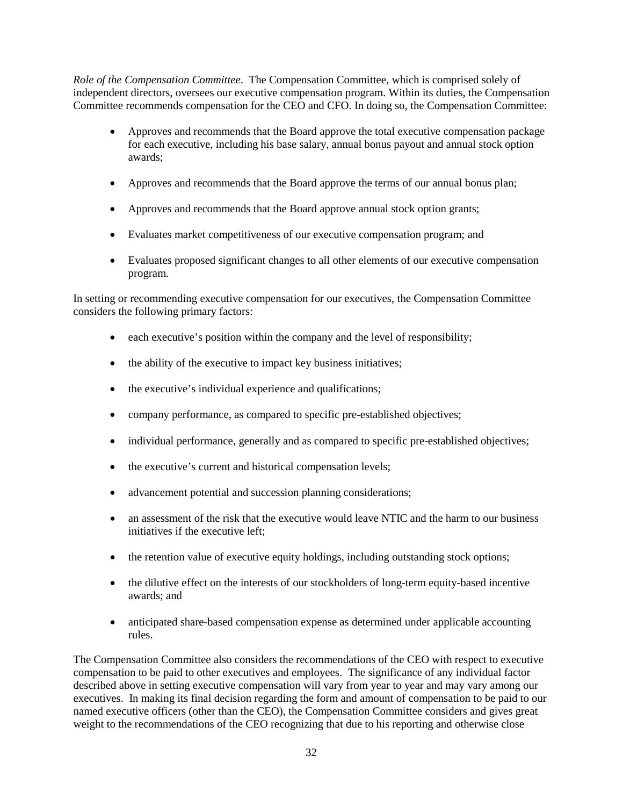*Role of the Compensation Committee*. The Compensation Committee, which is comprised solely of independent directors, oversees our executive compensation program. Within its duties, the Compensation Committee recommends compensation for the CEO and CFO. In doing so, the Compensation Committee:

- Approves and recommends that the Board approve the total executive compensation package for each executive, including his base salary, annual bonus payout and annual stock option awards;
- Approves and recommends that the Board approve the terms of our annual bonus plan;
- Approves and recommends that the Board approve annual stock option grants;
- Evaluates market competitiveness of our executive compensation program; and
- Evaluates proposed significant changes to all other elements of our executive compensation program.

In setting or recommending executive compensation for our executives, the Compensation Committee considers the following primary factors:

- each executive's position within the company and the level of responsibility;
- the ability of the executive to impact key business initiatives;
- the executive's individual experience and qualifications;
- company performance, as compared to specific pre-established objectives;
- individual performance, generally and as compared to specific pre-established objectives;
- the executive's current and historical compensation levels;
- advancement potential and succession planning considerations;
- an assessment of the risk that the executive would leave NTIC and the harm to our business initiatives if the executive left;
- the retention value of executive equity holdings, including outstanding stock options;
- the dilutive effect on the interests of our stockholders of long-term equity-based incentive awards; and
- anticipated share-based compensation expense as determined under applicable accounting rules.

The Compensation Committee also considers the recommendations of the CEO with respect to executive compensation to be paid to other executives and employees. The significance of any individual factor described above in setting executive compensation will vary from year to year and may vary among our executives. In making its final decision regarding the form and amount of compensation to be paid to our named executive officers (other than the CEO), the Compensation Committee considers and gives great weight to the recommendations of the CEO recognizing that due to his reporting and otherwise close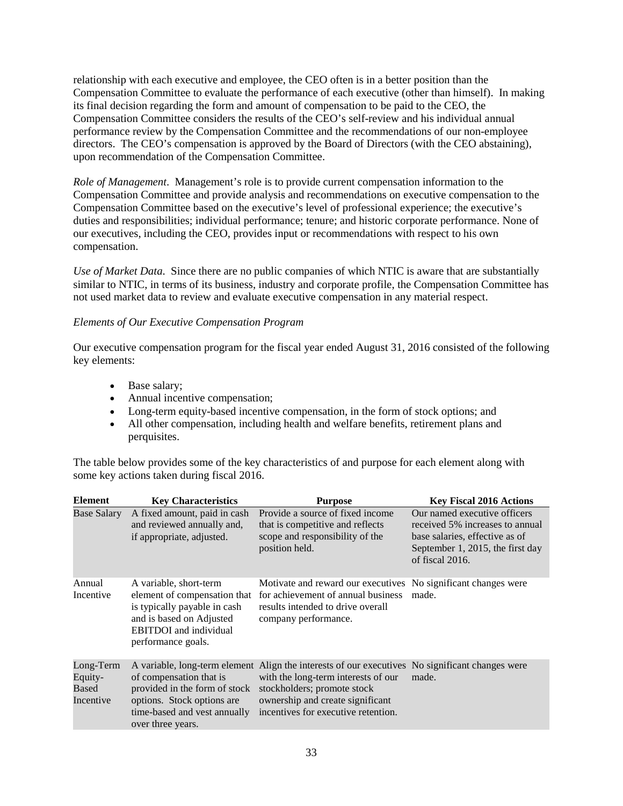relationship with each executive and employee, the CEO often is in a better position than the Compensation Committee to evaluate the performance of each executive (other than himself). In making its final decision regarding the form and amount of compensation to be paid to the CEO, the Compensation Committee considers the results of the CEO's self-review and his individual annual performance review by the Compensation Committee and the recommendations of our non-employee directors. The CEO's compensation is approved by the Board of Directors (with the CEO abstaining), upon recommendation of the Compensation Committee.

*Role of Management*. Management's role is to provide current compensation information to the Compensation Committee and provide analysis and recommendations on executive compensation to the Compensation Committee based on the executive's level of professional experience; the executive's duties and responsibilities; individual performance; tenure; and historic corporate performance. None of our executives, including the CEO, provides input or recommendations with respect to his own compensation.

*Use of Market Data*. Since there are no public companies of which NTIC is aware that are substantially similar to NTIC, in terms of its business, industry and corporate profile, the Compensation Committee has not used market data to review and evaluate executive compensation in any material respect.

# *Elements of Our Executive Compensation Program*

Our executive compensation program for the fiscal year ended August 31, 2016 consisted of the following key elements:

- Base salary;
- Annual incentive compensation;
- Long-term equity-based incentive compensation, in the form of stock options; and
- All other compensation, including health and welfare benefits, retirement plans and perquisites.

The table below provides some of the key characteristics of and purpose for each element along with some key actions taken during fiscal 2016.

| <b>Element</b>                             | <b>Key Characteristics</b>                                                                                                                                                   | <b>Purpose</b>                                                                                                                                                                                                     | <b>Key Fiscal 2016 Actions</b>                                                                                                                           |
|--------------------------------------------|------------------------------------------------------------------------------------------------------------------------------------------------------------------------------|--------------------------------------------------------------------------------------------------------------------------------------------------------------------------------------------------------------------|----------------------------------------------------------------------------------------------------------------------------------------------------------|
| <b>Base Salary</b>                         | A fixed amount, paid in cash<br>and reviewed annually and,<br>if appropriate, adjusted.                                                                                      | Provide a source of fixed income<br>that is competitive and reflects<br>scope and responsibility of the<br>position held.                                                                                          | Our named executive officers<br>received 5% increases to annual<br>base salaries, effective as of<br>September 1, 2015, the first day<br>of fiscal 2016. |
| Annual<br>Incentive                        | A variable, short-term<br>element of compensation that<br>is typically payable in cash<br>and is based on Adjusted<br><b>EBITDOI</b> and individual<br>performance goals.    | Motivate and reward our executives No significant changes were<br>for achievement of annual business<br>results intended to drive overall<br>company performance.                                                  | made.                                                                                                                                                    |
| Long-Term<br>Equity-<br>Based<br>Incentive | A variable, long-term element<br>of compensation that is<br>provided in the form of stock<br>options. Stock options are<br>time-based and vest annually<br>over three years. | Align the interests of our executives No significant changes were<br>with the long-term interests of our<br>stockholders; promote stock<br>ownership and create significant<br>incentives for executive retention. | made.                                                                                                                                                    |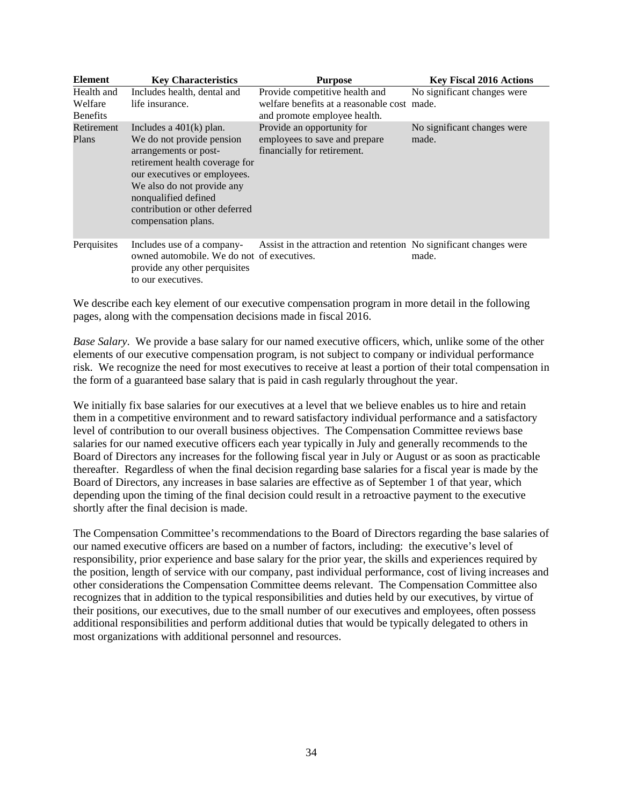| Element                                  | <b>Key Characteristics</b>                                                                                                                                                                                                                                       | <b>Purpose</b>                                                                                                | <b>Key Fiscal 2016 Actions</b>       |
|------------------------------------------|------------------------------------------------------------------------------------------------------------------------------------------------------------------------------------------------------------------------------------------------------------------|---------------------------------------------------------------------------------------------------------------|--------------------------------------|
| Health and<br>Welfare<br><b>Benefits</b> | Includes health, dental and<br>life insurance.                                                                                                                                                                                                                   | Provide competitive health and<br>welfare benefits at a reasonable cost made.<br>and promote employee health. | No significant changes were          |
| Retirement<br>Plans                      | Includes a $401(k)$ plan.<br>We do not provide pension<br>arrangements or post-<br>retirement health coverage for<br>our executives or employees.<br>We also do not provide any<br>nonqualified defined<br>contribution or other deferred<br>compensation plans. | Provide an opportunity for<br>employees to save and prepare<br>financially for retirement.                    | No significant changes were<br>made. |
| Perquisites                              | Includes use of a company-<br>owned automobile. We do not of executives.<br>provide any other perquisites<br>to our executives.                                                                                                                                  | Assist in the attraction and retention No significant changes were                                            | made.                                |

We describe each key element of our executive compensation program in more detail in the following pages, along with the compensation decisions made in fiscal 2016.

*Base Salary*. We provide a base salary for our named executive officers, which, unlike some of the other elements of our executive compensation program, is not subject to company or individual performance risk. We recognize the need for most executives to receive at least a portion of their total compensation in the form of a guaranteed base salary that is paid in cash regularly throughout the year.

We initially fix base salaries for our executives at a level that we believe enables us to hire and retain them in a competitive environment and to reward satisfactory individual performance and a satisfactory level of contribution to our overall business objectives. The Compensation Committee reviews base salaries for our named executive officers each year typically in July and generally recommends to the Board of Directors any increases for the following fiscal year in July or August or as soon as practicable thereafter. Regardless of when the final decision regarding base salaries for a fiscal year is made by the Board of Directors, any increases in base salaries are effective as of September 1 of that year, which depending upon the timing of the final decision could result in a retroactive payment to the executive shortly after the final decision is made.

The Compensation Committee's recommendations to the Board of Directors regarding the base salaries of our named executive officers are based on a number of factors, including: the executive's level of responsibility, prior experience and base salary for the prior year, the skills and experiences required by the position, length of service with our company, past individual performance, cost of living increases and other considerations the Compensation Committee deems relevant. The Compensation Committee also recognizes that in addition to the typical responsibilities and duties held by our executives, by virtue of their positions, our executives, due to the small number of our executives and employees, often possess additional responsibilities and perform additional duties that would be typically delegated to others in most organizations with additional personnel and resources.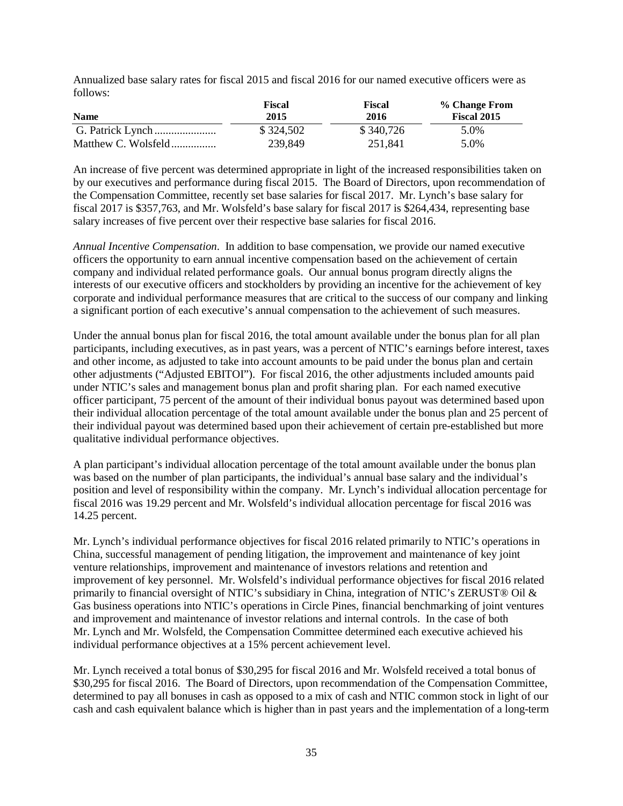Annualized base salary rates for fiscal 2015 and fiscal 2016 for our named executive officers were as follows:

|                     | <b>Fiscal</b> | <b>Fiscal</b> | % Change From      |
|---------------------|---------------|---------------|--------------------|
| <b>Name</b>         | 2015          | 2016          | <b>Fiscal 2015</b> |
|                     | \$324,502     | \$340,726     | 5.0%               |
| Matthew C. Wolsfeld | 239.849       | 251.841       | 5.0%               |

An increase of five percent was determined appropriate in light of the increased responsibilities taken on by our executives and performance during fiscal 2015. The Board of Directors, upon recommendation of the Compensation Committee, recently set base salaries for fiscal 2017. Mr. Lynch's base salary for fiscal 2017 is \$357,763, and Mr. Wolsfeld's base salary for fiscal 2017 is \$264,434, representing base salary increases of five percent over their respective base salaries for fiscal 2016.

*Annual Incentive Compensation*. In addition to base compensation, we provide our named executive officers the opportunity to earn annual incentive compensation based on the achievement of certain company and individual related performance goals. Our annual bonus program directly aligns the interests of our executive officers and stockholders by providing an incentive for the achievement of key corporate and individual performance measures that are critical to the success of our company and linking a significant portion of each executive's annual compensation to the achievement of such measures.

Under the annual bonus plan for fiscal 2016, the total amount available under the bonus plan for all plan participants, including executives, as in past years, was a percent of NTIC's earnings before interest, taxes and other income, as adjusted to take into account amounts to be paid under the bonus plan and certain other adjustments ("Adjusted EBITOI"). For fiscal 2016, the other adjustments included amounts paid under NTIC's sales and management bonus plan and profit sharing plan. For each named executive officer participant, 75 percent of the amount of their individual bonus payout was determined based upon their individual allocation percentage of the total amount available under the bonus plan and 25 percent of their individual payout was determined based upon their achievement of certain pre-established but more qualitative individual performance objectives.

A plan participant's individual allocation percentage of the total amount available under the bonus plan was based on the number of plan participants, the individual's annual base salary and the individual's position and level of responsibility within the company. Mr. Lynch's individual allocation percentage for fiscal 2016 was 19.29 percent and Mr. Wolsfeld's individual allocation percentage for fiscal 2016 was 14.25 percent.

Mr. Lynch's individual performance objectives for fiscal 2016 related primarily to NTIC's operations in China, successful management of pending litigation, the improvement and maintenance of key joint venture relationships, improvement and maintenance of investors relations and retention and improvement of key personnel. Mr. Wolsfeld's individual performance objectives for fiscal 2016 related primarily to financial oversight of NTIC's subsidiary in China, integration of NTIC's ZERUST® Oil & Gas business operations into NTIC's operations in Circle Pines, financial benchmarking of joint ventures and improvement and maintenance of investor relations and internal controls. In the case of both Mr. Lynch and Mr. Wolsfeld, the Compensation Committee determined each executive achieved his individual performance objectives at a 15% percent achievement level.

Mr. Lynch received a total bonus of \$30,295 for fiscal 2016 and Mr. Wolsfeld received a total bonus of \$30,295 for fiscal 2016. The Board of Directors, upon recommendation of the Compensation Committee, determined to pay all bonuses in cash as opposed to a mix of cash and NTIC common stock in light of our cash and cash equivalent balance which is higher than in past years and the implementation of a long-term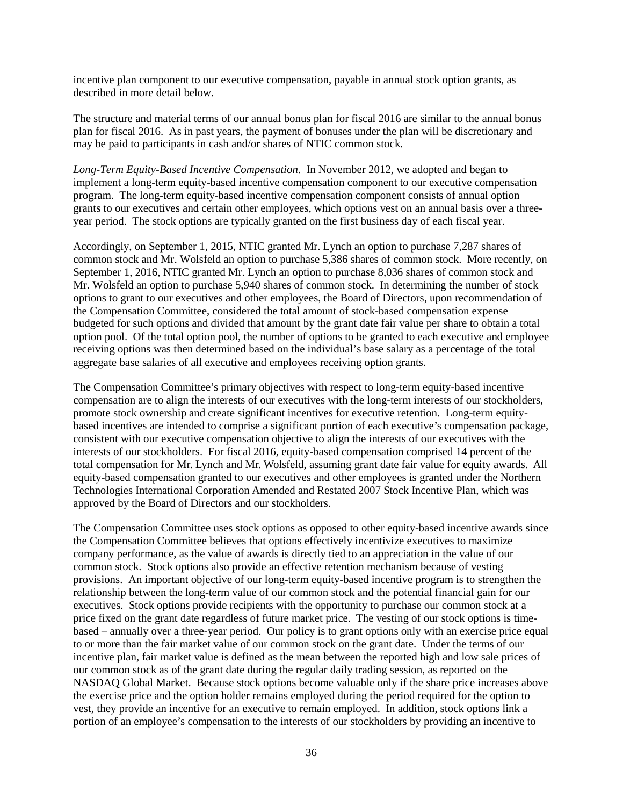incentive plan component to our executive compensation, payable in annual stock option grants, as described in more detail below.

The structure and material terms of our annual bonus plan for fiscal 2016 are similar to the annual bonus plan for fiscal 2016. As in past years, the payment of bonuses under the plan will be discretionary and may be paid to participants in cash and/or shares of NTIC common stock.

*Long-Term Equity-Based Incentive Compensation*. In November 2012, we adopted and began to implement a long-term equity-based incentive compensation component to our executive compensation program. The long-term equity-based incentive compensation component consists of annual option grants to our executives and certain other employees, which options vest on an annual basis over a threeyear period. The stock options are typically granted on the first business day of each fiscal year.

Accordingly, on September 1, 2015, NTIC granted Mr. Lynch an option to purchase 7,287 shares of common stock and Mr. Wolsfeld an option to purchase 5,386 shares of common stock. More recently, on September 1, 2016, NTIC granted Mr. Lynch an option to purchase 8,036 shares of common stock and Mr. Wolsfeld an option to purchase 5,940 shares of common stock. In determining the number of stock options to grant to our executives and other employees, the Board of Directors, upon recommendation of the Compensation Committee, considered the total amount of stock-based compensation expense budgeted for such options and divided that amount by the grant date fair value per share to obtain a total option pool. Of the total option pool, the number of options to be granted to each executive and employee receiving options was then determined based on the individual's base salary as a percentage of the total aggregate base salaries of all executive and employees receiving option grants.

The Compensation Committee's primary objectives with respect to long-term equity-based incentive compensation are to align the interests of our executives with the long-term interests of our stockholders, promote stock ownership and create significant incentives for executive retention. Long-term equitybased incentives are intended to comprise a significant portion of each executive's compensation package, consistent with our executive compensation objective to align the interests of our executives with the interests of our stockholders. For fiscal 2016, equity-based compensation comprised 14 percent of the total compensation for Mr. Lynch and Mr. Wolsfeld, assuming grant date fair value for equity awards. All equity-based compensation granted to our executives and other employees is granted under the Northern Technologies International Corporation Amended and Restated 2007 Stock Incentive Plan, which was approved by the Board of Directors and our stockholders.

The Compensation Committee uses stock options as opposed to other equity-based incentive awards since the Compensation Committee believes that options effectively incentivize executives to maximize company performance, as the value of awards is directly tied to an appreciation in the value of our common stock. Stock options also provide an effective retention mechanism because of vesting provisions. An important objective of our long-term equity-based incentive program is to strengthen the relationship between the long-term value of our common stock and the potential financial gain for our executives. Stock options provide recipients with the opportunity to purchase our common stock at a price fixed on the grant date regardless of future market price. The vesting of our stock options is timebased – annually over a three-year period. Our policy is to grant options only with an exercise price equal to or more than the fair market value of our common stock on the grant date. Under the terms of our incentive plan, fair market value is defined as the mean between the reported high and low sale prices of our common stock as of the grant date during the regular daily trading session, as reported on the NASDAQ Global Market. Because stock options become valuable only if the share price increases above the exercise price and the option holder remains employed during the period required for the option to vest, they provide an incentive for an executive to remain employed. In addition, stock options link a portion of an employee's compensation to the interests of our stockholders by providing an incentive to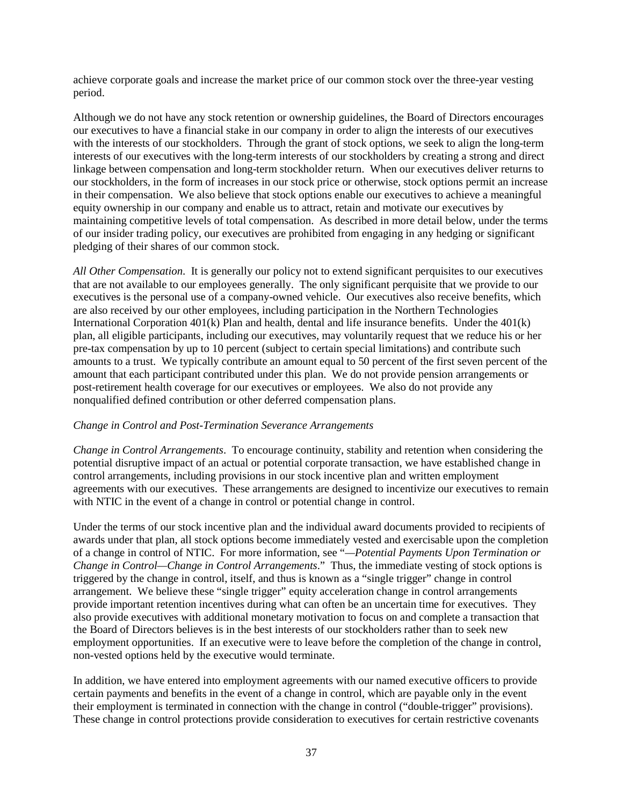achieve corporate goals and increase the market price of our common stock over the three-year vesting period.

Although we do not have any stock retention or ownership guidelines, the Board of Directors encourages our executives to have a financial stake in our company in order to align the interests of our executives with the interests of our stockholders. Through the grant of stock options, we seek to align the long-term interests of our executives with the long-term interests of our stockholders by creating a strong and direct linkage between compensation and long-term stockholder return. When our executives deliver returns to our stockholders, in the form of increases in our stock price or otherwise, stock options permit an increase in their compensation. We also believe that stock options enable our executives to achieve a meaningful equity ownership in our company and enable us to attract, retain and motivate our executives by maintaining competitive levels of total compensation. As described in more detail below, under the terms of our insider trading policy, our executives are prohibited from engaging in any hedging or significant pledging of their shares of our common stock.

*All Other Compensation*. It is generally our policy not to extend significant perquisites to our executives that are not available to our employees generally. The only significant perquisite that we provide to our executives is the personal use of a company-owned vehicle. Our executives also receive benefits, which are also received by our other employees, including participation in the Northern Technologies International Corporation 401(k) Plan and health, dental and life insurance benefits. Under the 401(k) plan, all eligible participants, including our executives, may voluntarily request that we reduce his or her pre-tax compensation by up to 10 percent (subject to certain special limitations) and contribute such amounts to a trust. We typically contribute an amount equal to 50 percent of the first seven percent of the amount that each participant contributed under this plan. We do not provide pension arrangements or post-retirement health coverage for our executives or employees. We also do not provide any nonqualified defined contribution or other deferred compensation plans.

# *Change in Control and Post-Termination Severance Arrangements*

*Change in Control Arrangements*. To encourage continuity, stability and retention when considering the potential disruptive impact of an actual or potential corporate transaction, we have established change in control arrangements, including provisions in our stock incentive plan and written employment agreements with our executives. These arrangements are designed to incentivize our executives to remain with NTIC in the event of a change in control or potential change in control.

Under the terms of our stock incentive plan and the individual award documents provided to recipients of awards under that plan, all stock options become immediately vested and exercisable upon the completion of a change in control of NTIC. For more information, see "*—Potential Payments Upon Termination or Change in Control—Change in Control Arrangements*." Thus, the immediate vesting of stock options is triggered by the change in control, itself, and thus is known as a "single trigger" change in control arrangement. We believe these "single trigger" equity acceleration change in control arrangements provide important retention incentives during what can often be an uncertain time for executives. They also provide executives with additional monetary motivation to focus on and complete a transaction that the Board of Directors believes is in the best interests of our stockholders rather than to seek new employment opportunities. If an executive were to leave before the completion of the change in control, non-vested options held by the executive would terminate.

In addition, we have entered into employment agreements with our named executive officers to provide certain payments and benefits in the event of a change in control, which are payable only in the event their employment is terminated in connection with the change in control ("double-trigger" provisions). These change in control protections provide consideration to executives for certain restrictive covenants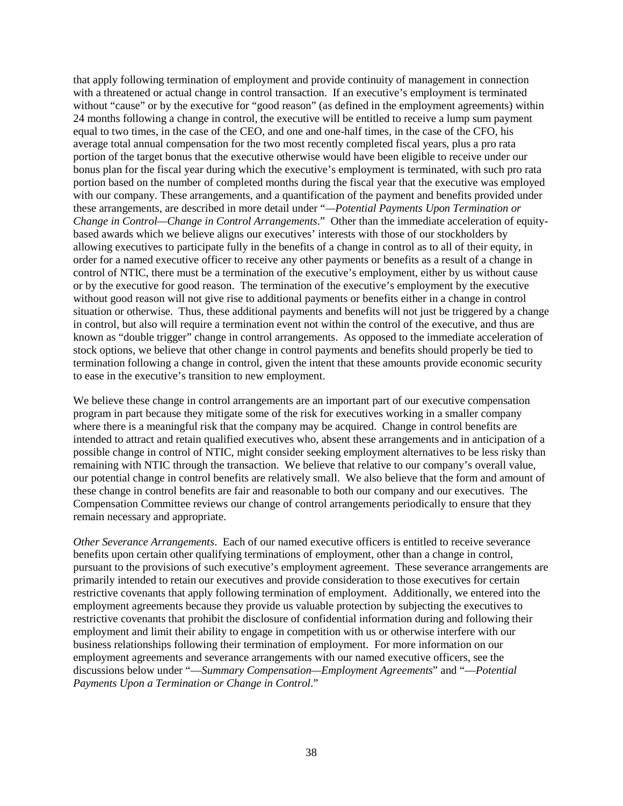that apply following termination of employment and provide continuity of management in connection with a threatened or actual change in control transaction. If an executive's employment is terminated without "cause" or by the executive for "good reason" (as defined in the employment agreements) within 24 months following a change in control, the executive will be entitled to receive a lump sum payment equal to two times, in the case of the CEO, and one and one-half times, in the case of the CFO, his average total annual compensation for the two most recently completed fiscal years, plus a pro rata portion of the target bonus that the executive otherwise would have been eligible to receive under our bonus plan for the fiscal year during which the executive's employment is terminated, with such pro rata portion based on the number of completed months during the fiscal year that the executive was employed with our company. These arrangements, and a quantification of the payment and benefits provided under these arrangements, are described in more detail under "*—Potential Payments Upon Termination or Change in Control—Change in Control Arrangements*." Other than the immediate acceleration of equitybased awards which we believe aligns our executives' interests with those of our stockholders by allowing executives to participate fully in the benefits of a change in control as to all of their equity, in order for a named executive officer to receive any other payments or benefits as a result of a change in control of NTIC, there must be a termination of the executive's employment, either by us without cause or by the executive for good reason. The termination of the executive's employment by the executive without good reason will not give rise to additional payments or benefits either in a change in control situation or otherwise. Thus, these additional payments and benefits will not just be triggered by a change in control, but also will require a termination event not within the control of the executive, and thus are known as "double trigger" change in control arrangements. As opposed to the immediate acceleration of stock options, we believe that other change in control payments and benefits should properly be tied to termination following a change in control, given the intent that these amounts provide economic security to ease in the executive's transition to new employment.

We believe these change in control arrangements are an important part of our executive compensation program in part because they mitigate some of the risk for executives working in a smaller company where there is a meaningful risk that the company may be acquired. Change in control benefits are intended to attract and retain qualified executives who, absent these arrangements and in anticipation of a possible change in control of NTIC, might consider seeking employment alternatives to be less risky than remaining with NTIC through the transaction. We believe that relative to our company's overall value, our potential change in control benefits are relatively small. We also believe that the form and amount of these change in control benefits are fair and reasonable to both our company and our executives. The Compensation Committee reviews our change of control arrangements periodically to ensure that they remain necessary and appropriate.

*Other Severance Arrangements*. Each of our named executive officers is entitled to receive severance benefits upon certain other qualifying terminations of employment, other than a change in control, pursuant to the provisions of such executive's employment agreement. These severance arrangements are primarily intended to retain our executives and provide consideration to those executives for certain restrictive covenants that apply following termination of employment. Additionally, we entered into the employment agreements because they provide us valuable protection by subjecting the executives to restrictive covenants that prohibit the disclosure of confidential information during and following their employment and limit their ability to engage in competition with us or otherwise interfere with our business relationships following their termination of employment. For more information on our employment agreements and severance arrangements with our named executive officers, see the discussions below under "—*Summary Compensation—Employment Agreements*" and "—*Potential Payments Upon a Termination or Change in Control*."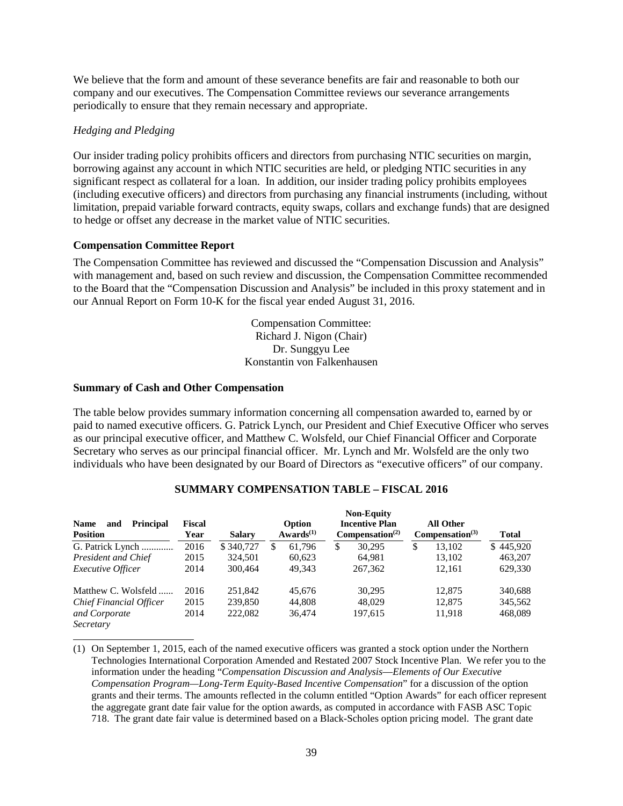We believe that the form and amount of these severance benefits are fair and reasonable to both our company and our executives. The Compensation Committee reviews our severance arrangements periodically to ensure that they remain necessary and appropriate.

# *Hedging and Pledging*

Our insider trading policy prohibits officers and directors from purchasing NTIC securities on margin, borrowing against any account in which NTIC securities are held, or pledging NTIC securities in any significant respect as collateral for a loan. In addition, our insider trading policy prohibits employees (including executive officers) and directors from purchasing any financial instruments (including, without limitation, prepaid variable forward contracts, equity swaps, collars and exchange funds) that are designed to hedge or offset any decrease in the market value of NTIC securities.

# **Compensation Committee Report**

The Compensation Committee has reviewed and discussed the "Compensation Discussion and Analysis" with management and, based on such review and discussion, the Compensation Committee recommended to the Board that the "Compensation Discussion and Analysis" be included in this proxy statement and in our Annual Report on Form 10-K for the fiscal year ended August 31, 2016.

> Compensation Committee: Richard J. Nigon (Chair) Dr. Sunggyu Lee Konstantin von Falkenhausen

### <span id="page-41-0"></span>**Summary of Cash and Other Compensation**

The table below provides summary information concerning all compensation awarded to, earned by or paid to named executive officers. G. Patrick Lynch, our President and Chief Executive Officer who serves as our principal executive officer, and Matthew C. Wolsfeld, our Chief Financial Officer and Corporate Secretary who serves as our principal financial officer. Mr. Lynch and Mr. Wolsfeld are the only two individuals who have been designated by our Board of Directors as "executive officers" of our company.

|                                                           |                |               |          |                        |   | <b>Non-Equity</b>                                    |   |                                                 |              |
|-----------------------------------------------------------|----------------|---------------|----------|------------------------|---|------------------------------------------------------|---|-------------------------------------------------|--------------|
| <b>Name</b><br><b>Principal</b><br>and<br><b>Position</b> | Fiscal<br>Year | <b>Salary</b> |          | Option<br>Awards $(1)$ |   | <b>Incentive Plan</b><br>Compensation <sup>(2)</sup> |   | <b>All Other</b><br>Compensation <sup>(3)</sup> | <b>Total</b> |
| G. Patrick Lynch                                          | 2016           | \$340.727     | <b>S</b> | 61.796                 | S | 30.295                                               | S | 13.102                                          | \$445,920    |
| President and Chief                                       | 2015           | 324,501       |          | 60,623                 |   | 64.981                                               |   | 13.102                                          | 463,207      |
| <b>Executive Officer</b>                                  | 2014           | 300,464       |          | 49.343                 |   | 267,362                                              |   | 12.161                                          | 629,330      |
| Matthew C. Wolsfeld                                       | 2016           | 251,842       |          | 45.676                 |   | 30.295                                               |   | 12.875                                          | 340,688      |
| Chief Financial Officer                                   | 2015           | 239,850       |          | 44.808                 |   | 48,029                                               |   | 12.875                                          | 345,562      |
| and Corporate                                             | 2014           | 222,082       |          | 36,474                 |   | 197,615                                              |   | 11.918                                          | 468,089      |
| Secretary                                                 |                |               |          |                        |   |                                                      |   |                                                 |              |

# **SUMMARY COMPENSATION TABLE – FISCAL 2016**

(1) On September 1, 2015, each of the named executive officers was granted a stock option under the Northern Technologies International Corporation Amended and Restated 2007 Stock Incentive Plan. We refer you to the information under the heading "*Compensation Discussion and Analysis*—*Elements of Our Executive Compensation Program—Long-Term Equity-Based Incentive Compensation*" for a discussion of the option grants and their terms. The amounts reflected in the column entitled "Option Awards" for each officer represent the aggregate grant date fair value for the option awards, as computed in accordance with FASB ASC Topic 718. The grant date fair value is determined based on a Black-Scholes option pricing model. The grant date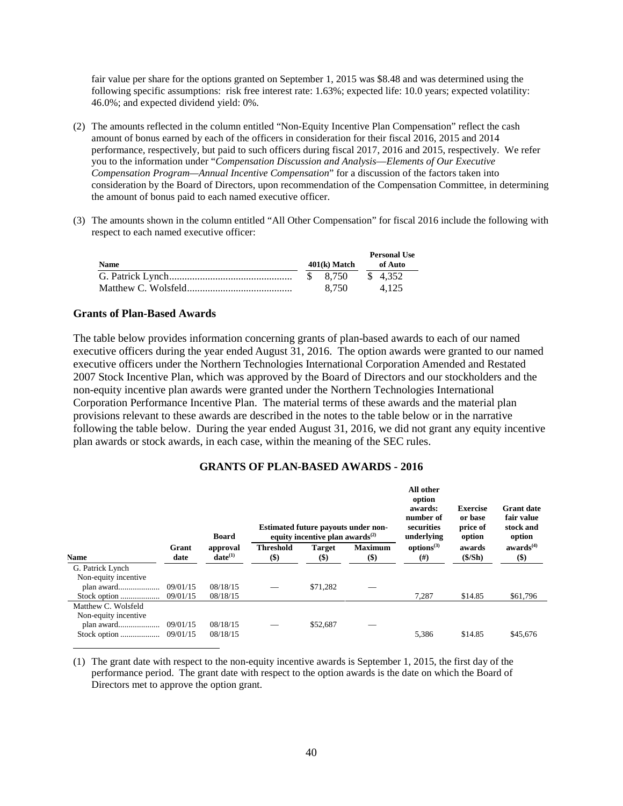fair value per share for the options granted on September 1, 2015 was \$8.48 and was determined using the following specific assumptions: risk free interest rate: 1.63%; expected life: 10.0 years; expected volatility: 46.0%; and expected dividend yield: 0%.

- (2) The amounts reflected in the column entitled "Non-Equity Incentive Plan Compensation" reflect the cash amount of bonus earned by each of the officers in consideration for their fiscal 2016, 2015 and 2014 performance, respectively, but paid to such officers during fiscal 2017, 2016 and 2015, respectively. We refer you to the information under "*Compensation Discussion and Analysis*—*Elements of Our Executive Compensation Program—Annual Incentive Compensation*" for a discussion of the factors taken into consideration by the Board of Directors, upon recommendation of the Compensation Committee, in determining the amount of bonus paid to each named executive officer.
- (3) The amounts shown in the column entitled "All Other Compensation" for fiscal 2016 include the following with respect to each named executive officer:

| <b>Name</b> | $401(k)$ Match | <b>Personal Use</b><br>of Auto |
|-------------|----------------|--------------------------------|
|             | \$ 8.750       | \$4.352                        |
|             | 8.750          | 4.125                          |

### <span id="page-42-0"></span>**Grants of Plan-Based Awards**

The table below provides information concerning grants of plan-based awards to each of our named executive officers during the year ended August 31, 2016. The option awards were granted to our named executive officers under the Northern Technologies International Corporation Amended and Restated 2007 Stock Incentive Plan, which was approved by the Board of Directors and our stockholders and the non-equity incentive plan awards were granted under the Northern Technologies International Corporation Performance Incentive Plan. The material terms of these awards and the material plan provisions relevant to these awards are described in the notes to the table below or in the narrative following the table below. During the year ended August 31, 2016, we did not grant any equity incentive plan awards or stock awards, in each case, within the meaning of the SEC rules.

#### **GRANTS OF PLAN-BASED AWARDS - 2016**

|                                                             |                      | <b>Board</b>             |                           | equity incentive plan awards $^{(2)}$ | <b>Estimated future payouts under non-</b> | All other<br>option<br>awards:<br>number of<br>securities<br>underlying | <b>Exercise</b><br>or base<br>price of<br>option | <b>Grant</b> date<br>fair value<br>stock and<br>option |  |
|-------------------------------------------------------------|----------------------|--------------------------|---------------------------|---------------------------------------|--------------------------------------------|-------------------------------------------------------------------------|--------------------------------------------------|--------------------------------------------------------|--|
| <b>Name</b>                                                 | Grant<br>date        | approval<br>$date^{(1)}$ | <b>Threshold</b><br>$($)$ | <b>Target</b><br>$($)$                | <b>Maximum</b><br>$($ \$)                  | options <sup>(3)</sup><br>#)                                            | awards<br>$(\$/Sh)$                              | awards <sup>(4)</sup><br>$($)$                         |  |
| G. Patrick Lynch<br>Non-equity incentive                    |                      |                          |                           |                                       |                                            |                                                                         |                                                  |                                                        |  |
| plan award                                                  | 09/01/15             | 08/18/15                 |                           | \$71.282                              |                                            |                                                                         |                                                  |                                                        |  |
| Stock option                                                | 09/01/15             | 08/18/15                 |                           |                                       |                                            | 7,287                                                                   | \$14.85                                          | \$61,796                                               |  |
| Matthew C. Wolsfeld<br>Non-equity incentive<br>Stock option | 09/01/15<br>09/01/15 | 08/18/15<br>08/18/15     |                           | \$52,687                              |                                            | 5,386                                                                   | \$14.85                                          | \$45,676                                               |  |
|                                                             |                      |                          |                           |                                       |                                            |                                                                         |                                                  |                                                        |  |

(1) The grant date with respect to the non-equity incentive awards is September 1, 2015, the first day of the performance period. The grant date with respect to the option awards is the date on which the Board of Directors met to approve the option grant.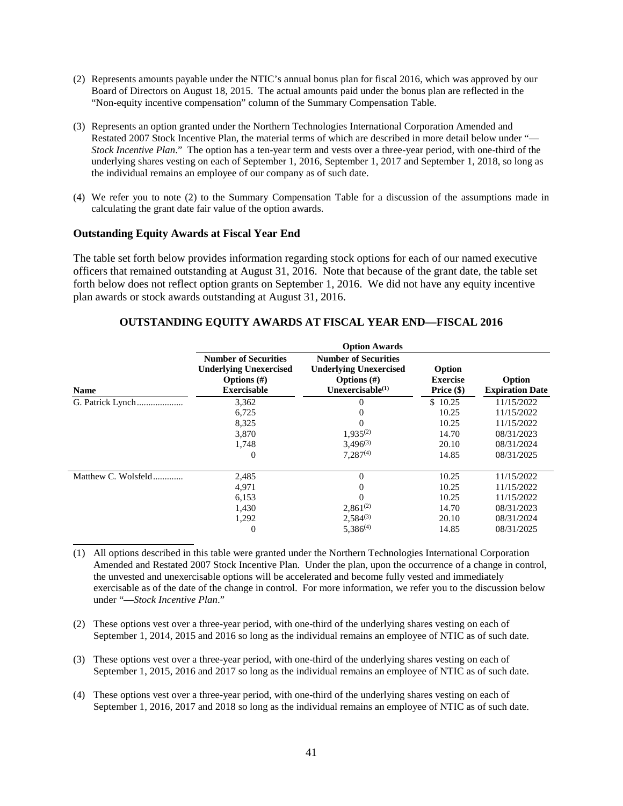- (2) Represents amounts payable under the NTIC's annual bonus plan for fiscal 2016, which was approved by our Board of Directors on August 18, 2015. The actual amounts paid under the bonus plan are reflected in the "Non-equity incentive compensation" column of the Summary Compensation Table.
- (3) Represents an option granted under the Northern Technologies International Corporation Amended and Restated 2007 Stock Incentive Plan, the material terms of which are described in more detail below under "— *Stock Incentive Plan*." The option has a ten-year term and vests over a three-year period, with one-third of the underlying shares vesting on each of September 1, 2016, September 1, 2017 and September 1, 2018, so long as the individual remains an employee of our company as of such date.
- (4) We refer you to note (2) to the Summary Compensation Table for a discussion of the assumptions made in calculating the grant date fair value of the option awards.

#### <span id="page-43-0"></span>**Outstanding Equity Awards at Fiscal Year End**

The table set forth below provides information regarding stock options for each of our named executive officers that remained outstanding at August 31, 2016. Note that because of the grant date, the table set forth below does not reflect option grants on September 1, 2016. We did not have any equity incentive plan awards or stock awards outstanding at August 31, 2016.

| <b>OUTSTANDING EQUITY AWARDS AT FISCAL YEAR END-FISCAL 2016</b> |  |  |  |  |
|-----------------------------------------------------------------|--|--|--|--|
|-----------------------------------------------------------------|--|--|--|--|

|                     |                                                                                                      | <b>Option Awards</b>                                                                                     |                                           |                                  |
|---------------------|------------------------------------------------------------------------------------------------------|----------------------------------------------------------------------------------------------------------|-------------------------------------------|----------------------------------|
| <b>Name</b>         | <b>Number of Securities</b><br><b>Underlying Unexercised</b><br>Options $(\#)$<br><b>Exercisable</b> | <b>Number of Securities</b><br><b>Underlying Unexercised</b><br>Options $(\#)$<br>Unexercisable $^{(1)}$ | Option<br><b>Exercise</b><br>Price $(\$)$ | Option<br><b>Expiration Date</b> |
|                     | 3,362                                                                                                | 0                                                                                                        | \$10.25                                   | 11/15/2022                       |
|                     | 6,725                                                                                                | $\theta$                                                                                                 | 10.25                                     | 11/15/2022                       |
|                     | 8,325                                                                                                |                                                                                                          | 10.25                                     | 11/15/2022                       |
|                     | 3,870                                                                                                | $1,935^{(2)}$                                                                                            | 14.70                                     | 08/31/2023                       |
|                     | 1,748                                                                                                | $3,496^{(3)}$                                                                                            | 20.10                                     | 08/31/2024                       |
|                     | 0                                                                                                    | $7,287^{(4)}$                                                                                            | 14.85                                     | 08/31/2025                       |
| Matthew C. Wolsfeld | 2,485                                                                                                | 0                                                                                                        | 10.25                                     | 11/15/2022                       |
|                     | 4,971                                                                                                | $\theta$                                                                                                 | 10.25                                     | 11/15/2022                       |
|                     | 6,153                                                                                                | $\theta$                                                                                                 | 10.25                                     | 11/15/2022                       |
|                     | 1,430                                                                                                | $2,861^{(2)}$                                                                                            | 14.70                                     | 08/31/2023                       |
|                     | 1,292                                                                                                | $2,584^{(3)}$                                                                                            | 20.10                                     | 08/31/2024                       |
|                     | $\overline{0}$                                                                                       | $5,386^{(4)}$                                                                                            | 14.85                                     | 08/31/2025                       |

(1) All options described in this table were granted under the Northern Technologies International Corporation Amended and Restated 2007 Stock Incentive Plan. Under the plan, upon the occurrence of a change in control, the unvested and unexercisable options will be accelerated and become fully vested and immediately exercisable as of the date of the change in control. For more information, we refer you to the discussion below under "—*Stock Incentive Plan*."

- (2) These options vest over a three-year period, with one-third of the underlying shares vesting on each of September 1, 2014, 2015 and 2016 so long as the individual remains an employee of NTIC as of such date.
- (3) These options vest over a three-year period, with one-third of the underlying shares vesting on each of September 1, 2015, 2016 and 2017 so long as the individual remains an employee of NTIC as of such date.
- (4) These options vest over a three-year period, with one-third of the underlying shares vesting on each of September 1, 2016, 2017 and 2018 so long as the individual remains an employee of NTIC as of such date.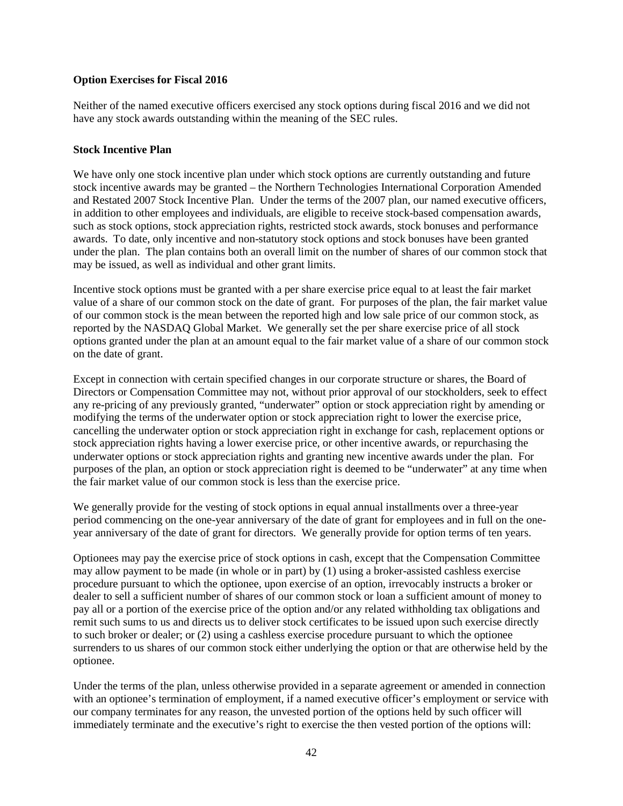# **Option Exercises for Fiscal 2016**

Neither of the named executive officers exercised any stock options during fiscal 2016 and we did not have any stock awards outstanding within the meaning of the SEC rules.

### <span id="page-44-0"></span>**Stock Incentive Plan**

We have only one stock incentive plan under which stock options are currently outstanding and future stock incentive awards may be granted – the Northern Technologies International Corporation Amended and Restated 2007 Stock Incentive Plan. Under the terms of the 2007 plan, our named executive officers, in addition to other employees and individuals, are eligible to receive stock-based compensation awards, such as stock options, stock appreciation rights, restricted stock awards, stock bonuses and performance awards. To date, only incentive and non-statutory stock options and stock bonuses have been granted under the plan. The plan contains both an overall limit on the number of shares of our common stock that may be issued, as well as individual and other grant limits.

Incentive stock options must be granted with a per share exercise price equal to at least the fair market value of a share of our common stock on the date of grant. For purposes of the plan, the fair market value of our common stock is the mean between the reported high and low sale price of our common stock, as reported by the NASDAQ Global Market. We generally set the per share exercise price of all stock options granted under the plan at an amount equal to the fair market value of a share of our common stock on the date of grant.

Except in connection with certain specified changes in our corporate structure or shares, the Board of Directors or Compensation Committee may not, without prior approval of our stockholders, seek to effect any re-pricing of any previously granted, "underwater" option or stock appreciation right by amending or modifying the terms of the underwater option or stock appreciation right to lower the exercise price, cancelling the underwater option or stock appreciation right in exchange for cash, replacement options or stock appreciation rights having a lower exercise price, or other incentive awards, or repurchasing the underwater options or stock appreciation rights and granting new incentive awards under the plan. For purposes of the plan, an option or stock appreciation right is deemed to be "underwater" at any time when the fair market value of our common stock is less than the exercise price.

We generally provide for the vesting of stock options in equal annual installments over a three-year period commencing on the one-year anniversary of the date of grant for employees and in full on the oneyear anniversary of the date of grant for directors. We generally provide for option terms of ten years.

Optionees may pay the exercise price of stock options in cash, except that the Compensation Committee may allow payment to be made (in whole or in part) by (1) using a broker-assisted cashless exercise procedure pursuant to which the optionee, upon exercise of an option, irrevocably instructs a broker or dealer to sell a sufficient number of shares of our common stock or loan a sufficient amount of money to pay all or a portion of the exercise price of the option and/or any related withholding tax obligations and remit such sums to us and directs us to deliver stock certificates to be issued upon such exercise directly to such broker or dealer; or (2) using a cashless exercise procedure pursuant to which the optionee surrenders to us shares of our common stock either underlying the option or that are otherwise held by the optionee.

Under the terms of the plan, unless otherwise provided in a separate agreement or amended in connection with an optionee's termination of employment, if a named executive officer's employment or service with our company terminates for any reason, the unvested portion of the options held by such officer will immediately terminate and the executive's right to exercise the then vested portion of the options will: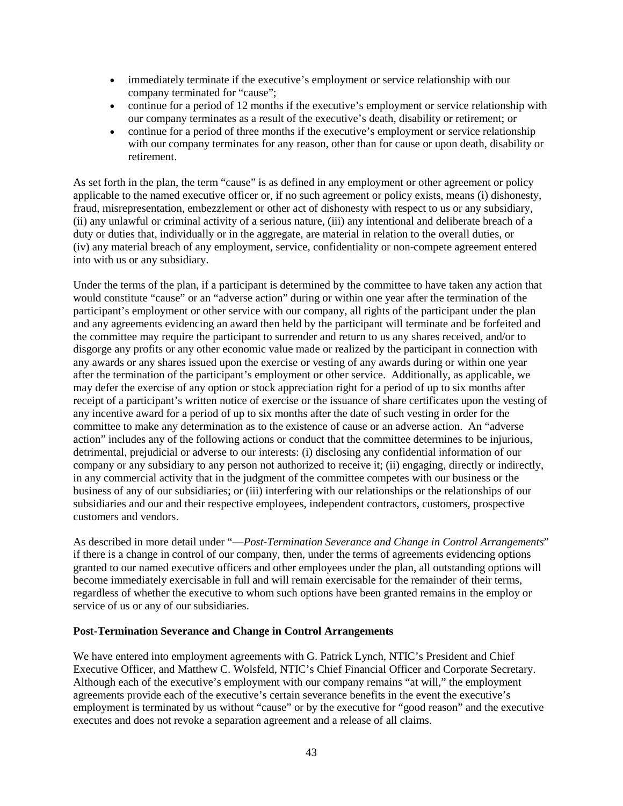- immediately terminate if the executive's employment or service relationship with our company terminated for "cause";
- continue for a period of 12 months if the executive's employment or service relationship with our company terminates as a result of the executive's death, disability or retirement; or
- continue for a period of three months if the executive's employment or service relationship with our company terminates for any reason, other than for cause or upon death, disability or retirement.

As set forth in the plan, the term "cause" is as defined in any employment or other agreement or policy applicable to the named executive officer or, if no such agreement or policy exists, means (i) dishonesty, fraud, misrepresentation, embezzlement or other act of dishonesty with respect to us or any subsidiary, (ii) any unlawful or criminal activity of a serious nature, (iii) any intentional and deliberate breach of a duty or duties that, individually or in the aggregate, are material in relation to the overall duties, or (iv) any material breach of any employment, service, confidentiality or non-compete agreement entered into with us or any subsidiary.

Under the terms of the plan, if a participant is determined by the committee to have taken any action that would constitute "cause" or an "adverse action" during or within one year after the termination of the participant's employment or other service with our company, all rights of the participant under the plan and any agreements evidencing an award then held by the participant will terminate and be forfeited and the committee may require the participant to surrender and return to us any shares received, and/or to disgorge any profits or any other economic value made or realized by the participant in connection with any awards or any shares issued upon the exercise or vesting of any awards during or within one year after the termination of the participant's employment or other service. Additionally, as applicable, we may defer the exercise of any option or stock appreciation right for a period of up to six months after receipt of a participant's written notice of exercise or the issuance of share certificates upon the vesting of any incentive award for a period of up to six months after the date of such vesting in order for the committee to make any determination as to the existence of cause or an adverse action. An "adverse action" includes any of the following actions or conduct that the committee determines to be injurious, detrimental, prejudicial or adverse to our interests: (i) disclosing any confidential information of our company or any subsidiary to any person not authorized to receive it; (ii) engaging, directly or indirectly, in any commercial activity that in the judgment of the committee competes with our business or the business of any of our subsidiaries; or (iii) interfering with our relationships or the relationships of our subsidiaries and our and their respective employees, independent contractors, customers, prospective customers and vendors.

As described in more detail under "—*Post-Termination Severance and Change in Control Arrangements*" if there is a change in control of our company, then, under the terms of agreements evidencing options granted to our named executive officers and other employees under the plan, all outstanding options will become immediately exercisable in full and will remain exercisable for the remainder of their terms, regardless of whether the executive to whom such options have been granted remains in the employ or service of us or any of our subsidiaries.

# <span id="page-45-0"></span>**Post-Termination Severance and Change in Control Arrangements**

We have entered into employment agreements with G. Patrick Lynch, NTIC's President and Chief Executive Officer, and Matthew C. Wolsfeld, NTIC's Chief Financial Officer and Corporate Secretary. Although each of the executive's employment with our company remains "at will," the employment agreements provide each of the executive's certain severance benefits in the event the executive's employment is terminated by us without "cause" or by the executive for "good reason" and the executive executes and does not revoke a separation agreement and a release of all claims.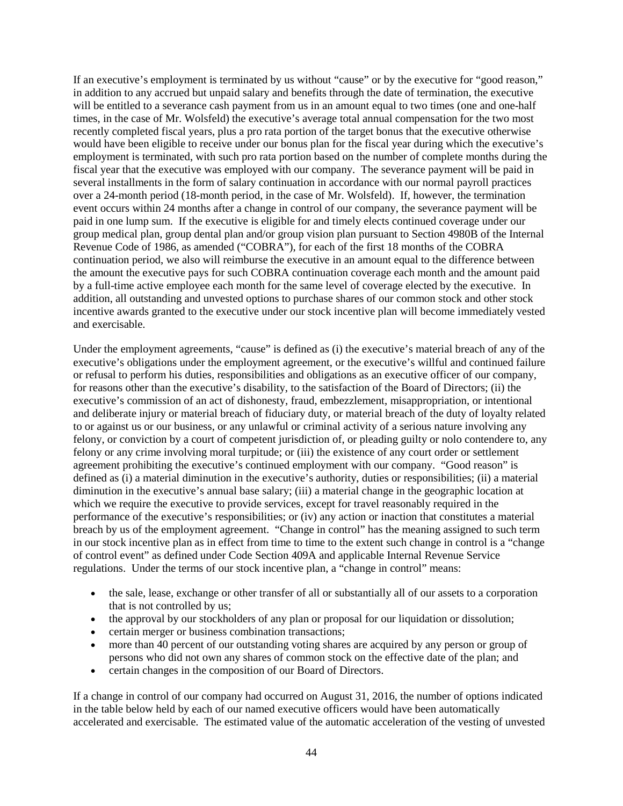If an executive's employment is terminated by us without "cause" or by the executive for "good reason," in addition to any accrued but unpaid salary and benefits through the date of termination, the executive will be entitled to a severance cash payment from us in an amount equal to two times (one and one-half times, in the case of Mr. Wolsfeld) the executive's average total annual compensation for the two most recently completed fiscal years, plus a pro rata portion of the target bonus that the executive otherwise would have been eligible to receive under our bonus plan for the fiscal year during which the executive's employment is terminated, with such pro rata portion based on the number of complete months during the fiscal year that the executive was employed with our company. The severance payment will be paid in several installments in the form of salary continuation in accordance with our normal payroll practices over a 24-month period (18-month period, in the case of Mr. Wolsfeld). If, however, the termination event occurs within 24 months after a change in control of our company, the severance payment will be paid in one lump sum. If the executive is eligible for and timely elects continued coverage under our group medical plan, group dental plan and/or group vision plan pursuant to Section 4980B of the Internal Revenue Code of 1986, as amended ("COBRA"), for each of the first 18 months of the COBRA continuation period, we also will reimburse the executive in an amount equal to the difference between the amount the executive pays for such COBRA continuation coverage each month and the amount paid by a full-time active employee each month for the same level of coverage elected by the executive. In addition, all outstanding and unvested options to purchase shares of our common stock and other stock incentive awards granted to the executive under our stock incentive plan will become immediately vested and exercisable.

Under the employment agreements, "cause" is defined as (i) the executive's material breach of any of the executive's obligations under the employment agreement, or the executive's willful and continued failure or refusal to perform his duties, responsibilities and obligations as an executive officer of our company, for reasons other than the executive's disability, to the satisfaction of the Board of Directors; (ii) the executive's commission of an act of dishonesty, fraud, embezzlement, misappropriation, or intentional and deliberate injury or material breach of fiduciary duty, or material breach of the duty of loyalty related to or against us or our business, or any unlawful or criminal activity of a serious nature involving any felony, or conviction by a court of competent jurisdiction of, or pleading guilty or nolo contendere to, any felony or any crime involving moral turpitude; or (iii) the existence of any court order or settlement agreement prohibiting the executive's continued employment with our company. "Good reason" is defined as (i) a material diminution in the executive's authority, duties or responsibilities; (ii) a material diminution in the executive's annual base salary; (iii) a material change in the geographic location at which we require the executive to provide services, except for travel reasonably required in the performance of the executive's responsibilities; or (iv) any action or inaction that constitutes a material breach by us of the employment agreement. "Change in control" has the meaning assigned to such term in our stock incentive plan as in effect from time to time to the extent such change in control is a "change of control event" as defined under Code Section 409A and applicable Internal Revenue Service regulations. Under the terms of our stock incentive plan, a "change in control" means:

- the sale, lease, exchange or other transfer of all or substantially all of our assets to a corporation that is not controlled by us;
- the approval by our stockholders of any plan or proposal for our liquidation or dissolution;
- certain merger or business combination transactions;
- more than 40 percent of our outstanding voting shares are acquired by any person or group of persons who did not own any shares of common stock on the effective date of the plan; and
- certain changes in the composition of our Board of Directors.

If a change in control of our company had occurred on August 31, 2016, the number of options indicated in the table below held by each of our named executive officers would have been automatically accelerated and exercisable. The estimated value of the automatic acceleration of the vesting of unvested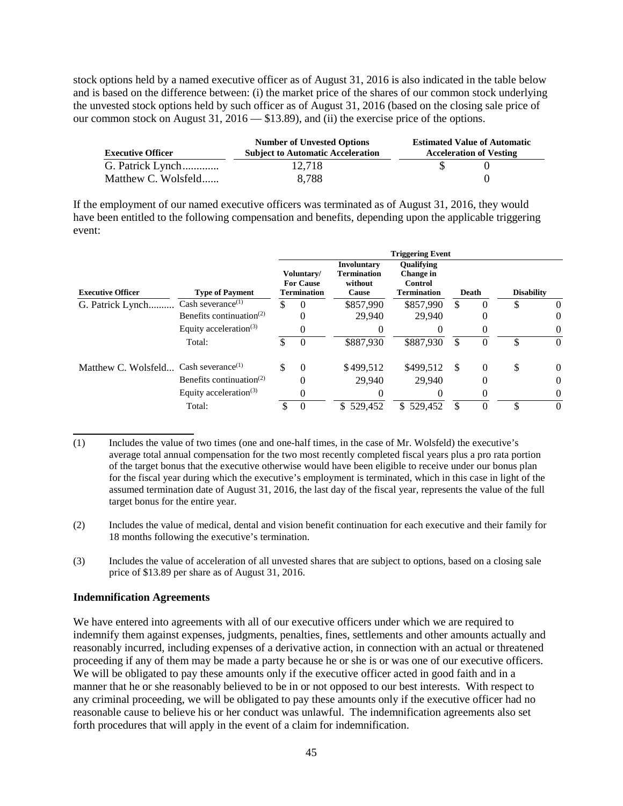stock options held by a named executive officer as of August 31, 2016 is also indicated in the table below and is based on the difference between: (i) the market price of the shares of our common stock underlying the unvested stock options held by such officer as of August 31, 2016 (based on the closing sale price of our common stock on August 31, 2016 — \$13.89), and (ii) the exercise price of the options.

| <b>Executive Officer</b> | <b>Number of Unvested Options</b><br><b>Subject to Automatic Acceleration</b> | <b>Estimated Value of Automatic</b><br><b>Acceleration of Vesting</b> |  |  |  |
|--------------------------|-------------------------------------------------------------------------------|-----------------------------------------------------------------------|--|--|--|
| G. Patrick Lynch         | 12.718                                                                        |                                                                       |  |  |  |
| Matthew C. Wolsfeld      | 8.788                                                                         |                                                                       |  |  |  |

If the employment of our named executive officers was terminated as of August 31, 2016, they would have been entitled to the following compensation and benefits, depending upon the applicable triggering event:

|                                                   |                                                   |     |                                                      |                                                       | <b>Triggering Event</b>                                         |     |          |                   |          |
|---------------------------------------------------|---------------------------------------------------|-----|------------------------------------------------------|-------------------------------------------------------|-----------------------------------------------------------------|-----|----------|-------------------|----------|
| <b>Executive Officer</b>                          | <b>Type of Payment</b>                            |     | Voluntary/<br><b>For Cause</b><br><b>Termination</b> | <b>Involuntary</b><br>Termination<br>without<br>Cause | <b>Oualifying</b><br>Change in<br>Control<br><b>Termination</b> |     | Death    | <b>Disability</b> |          |
| G. Patrick Lynch                                  | Cash severance <sup>(1)</sup>                     | S   | $\theta$                                             | \$857,990                                             | \$857,990                                                       | \$. |          | \$                | $\Omega$ |
|                                                   | Benefits continuation <sup><math>(2)</math></sup> |     | 0                                                    | 29.940                                                | 29.940                                                          |     |          |                   | 0        |
|                                                   | Equity acceleration <sup>(3)</sup>                |     |                                                      |                                                       |                                                                 |     |          |                   | $^{(1)}$ |
|                                                   | Total:                                            | \$  |                                                      | \$887,930                                             | \$887,930                                                       | S   |          | S                 | $\Omega$ |
| Matthew C. Wolsfeld Cash severance <sup>(1)</sup> |                                                   | \$. | $\Omega$                                             | \$499,512                                             | \$499.512                                                       | -S  | $\Omega$ | \$                | $\Omega$ |
|                                                   | Benefits continuation <sup><math>(2)</math></sup> |     | 0                                                    | 29.940                                                | 29,940                                                          |     |          |                   | $\theta$ |
|                                                   | Equity acceleration <sup>(3)</sup>                |     |                                                      |                                                       | $\theta$                                                        |     |          |                   | 0        |
|                                                   | Total:                                            |     |                                                      | \$529,452                                             | \$529.452                                                       |     |          | \$                | $\Omega$ |

<sup>(1)</sup> Includes the value of two times (one and one-half times, in the case of Mr. Wolsfeld) the executive's average total annual compensation for the two most recently completed fiscal years plus a pro rata portion of the target bonus that the executive otherwise would have been eligible to receive under our bonus plan for the fiscal year during which the executive's employment is terminated, which in this case in light of the assumed termination date of August 31, 2016, the last day of the fiscal year, represents the value of the full target bonus for the entire year.

- (2) Includes the value of medical, dental and vision benefit continuation for each executive and their family for 18 months following the executive's termination.
- (3) Includes the value of acceleration of all unvested shares that are subject to options, based on a closing sale price of \$13.89 per share as of August 31, 2016.

#### <span id="page-47-0"></span>**Indemnification Agreements**

We have entered into agreements with all of our executive officers under which we are required to indemnify them against expenses, judgments, penalties, fines, settlements and other amounts actually and reasonably incurred, including expenses of a derivative action, in connection with an actual or threatened proceeding if any of them may be made a party because he or she is or was one of our executive officers. We will be obligated to pay these amounts only if the executive officer acted in good faith and in a manner that he or she reasonably believed to be in or not opposed to our best interests. With respect to any criminal proceeding, we will be obligated to pay these amounts only if the executive officer had no reasonable cause to believe his or her conduct was unlawful. The indemnification agreements also set forth procedures that will apply in the event of a claim for indemnification.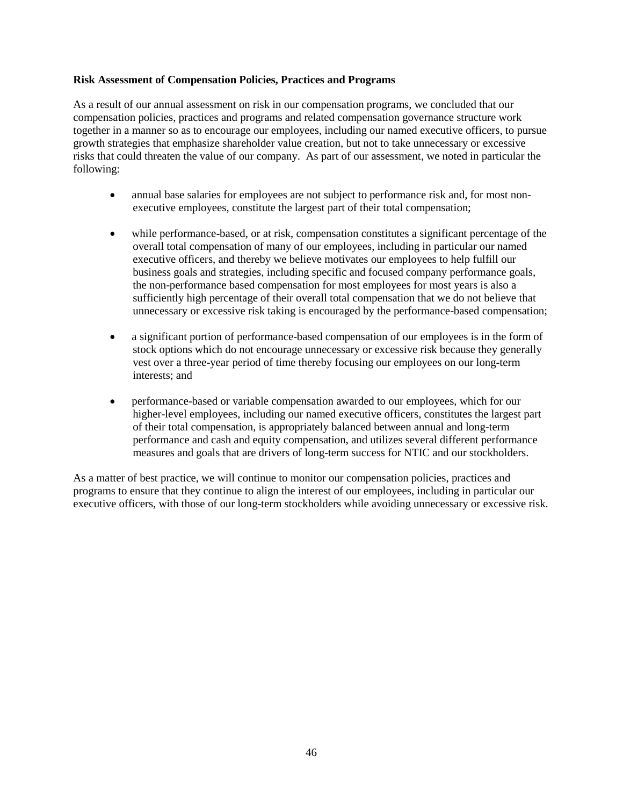### **Risk Assessment of Compensation Policies, Practices and Programs**

As a result of our annual assessment on risk in our compensation programs, we concluded that our compensation policies, practices and programs and related compensation governance structure work together in a manner so as to encourage our employees, including our named executive officers, to pursue growth strategies that emphasize shareholder value creation, but not to take unnecessary or excessive risks that could threaten the value of our company. As part of our assessment, we noted in particular the following:

- annual base salaries for employees are not subject to performance risk and, for most nonexecutive employees, constitute the largest part of their total compensation;
- while performance-based, or at risk, compensation constitutes a significant percentage of the overall total compensation of many of our employees, including in particular our named executive officers, and thereby we believe motivates our employees to help fulfill our business goals and strategies, including specific and focused company performance goals, the non-performance based compensation for most employees for most years is also a sufficiently high percentage of their overall total compensation that we do not believe that unnecessary or excessive risk taking is encouraged by the performance-based compensation;
- a significant portion of performance-based compensation of our employees is in the form of stock options which do not encourage unnecessary or excessive risk because they generally vest over a three-year period of time thereby focusing our employees on our long-term interests; and
- performance-based or variable compensation awarded to our employees, which for our higher-level employees, including our named executive officers, constitutes the largest part of their total compensation, is appropriately balanced between annual and long-term performance and cash and equity compensation, and utilizes several different performance measures and goals that are drivers of long-term success for NTIC and our stockholders.

As a matter of best practice, we will continue to monitor our compensation policies, practices and programs to ensure that they continue to align the interest of our employees, including in particular our executive officers, with those of our long-term stockholders while avoiding unnecessary or excessive risk.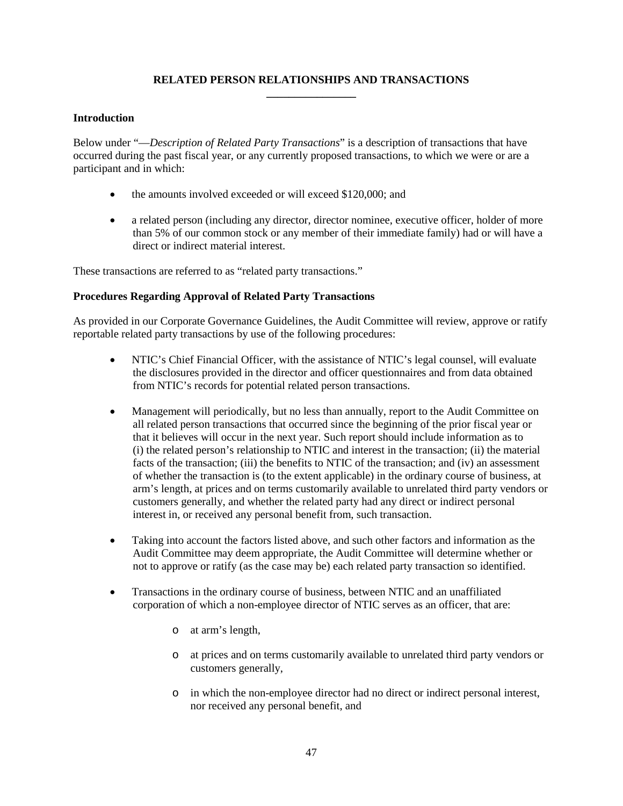# **RELATED PERSON RELATIONSHIPS AND TRANSACTIONS \_\_\_\_\_\_\_\_\_\_\_\_\_\_\_\_**

# <span id="page-49-0"></span>**Introduction**

Below under "—*Description of Related Party Transactions*" is a description of transactions that have occurred during the past fiscal year, or any currently proposed transactions, to which we were or are a participant and in which:

- the amounts involved exceeded or will exceed \$120,000; and
- a related person (including any director, director nominee, executive officer, holder of more than 5% of our common stock or any member of their immediate family) had or will have a direct or indirect material interest.

These transactions are referred to as "related party transactions."

# **Procedures Regarding Approval of Related Party Transactions**

As provided in our Corporate Governance Guidelines, the Audit Committee will review, approve or ratify reportable related party transactions by use of the following procedures:

- NTIC's Chief Financial Officer, with the assistance of NTIC's legal counsel, will evaluate the disclosures provided in the director and officer questionnaires and from data obtained from NTIC's records for potential related person transactions.
- Management will periodically, but no less than annually, report to the Audit Committee on all related person transactions that occurred since the beginning of the prior fiscal year or that it believes will occur in the next year. Such report should include information as to (i) the related person's relationship to NTIC and interest in the transaction; (ii) the material facts of the transaction; (iii) the benefits to NTIC of the transaction; and (iv) an assessment of whether the transaction is (to the extent applicable) in the ordinary course of business, at arm's length, at prices and on terms customarily available to unrelated third party vendors or customers generally, and whether the related party had any direct or indirect personal interest in, or received any personal benefit from, such transaction.
- Taking into account the factors listed above, and such other factors and information as the Audit Committee may deem appropriate, the Audit Committee will determine whether or not to approve or ratify (as the case may be) each related party transaction so identified.
- Transactions in the ordinary course of business, between NTIC and an unaffiliated corporation of which a non-employee director of NTIC serves as an officer, that are:
	- o at arm's length,
	- o at prices and on terms customarily available to unrelated third party vendors or customers generally,
	- o in which the non-employee director had no direct or indirect personal interest, nor received any personal benefit, and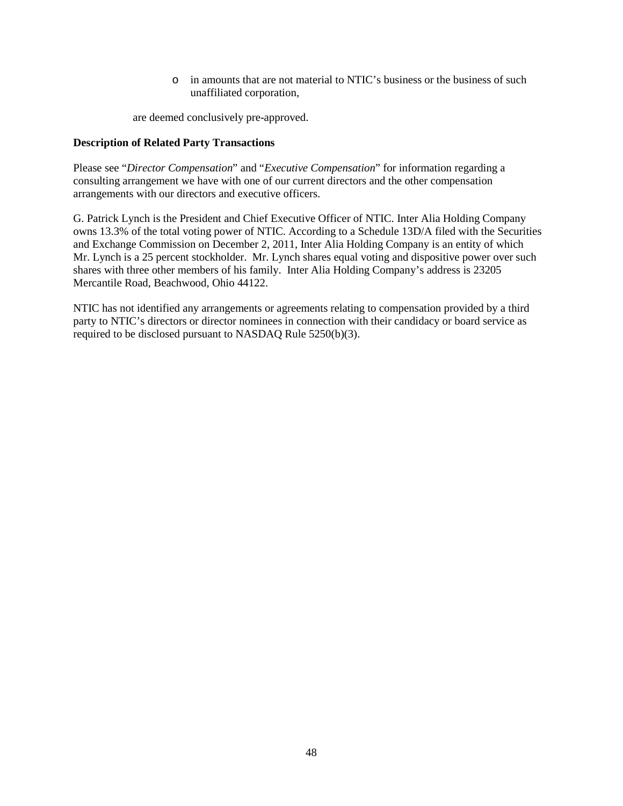o in amounts that are not material to NTIC's business or the business of such unaffiliated corporation,

are deemed conclusively pre-approved.

# **Description of Related Party Transactions**

Please see "*Director Compensation*" and "*Executive Compensation*" for information regarding a consulting arrangement we have with one of our current directors and the other compensation arrangements with our directors and executive officers.

G. Patrick Lynch is the President and Chief Executive Officer of NTIC. Inter Alia Holding Company owns 13.3% of the total voting power of NTIC. According to a Schedule 13D/A filed with the Securities and Exchange Commission on December 2, 2011, Inter Alia Holding Company is an entity of which Mr. Lynch is a 25 percent stockholder. Mr. Lynch shares equal voting and dispositive power over such shares with three other members of his family. Inter Alia Holding Company's address is 23205 Mercantile Road, Beachwood, Ohio 44122.

NTIC has not identified any arrangements or agreements relating to compensation provided by a third party to NTIC's directors or director nominees in connection with their candidacy or board service as required to be disclosed pursuant to NASDAQ Rule 5250(b)(3).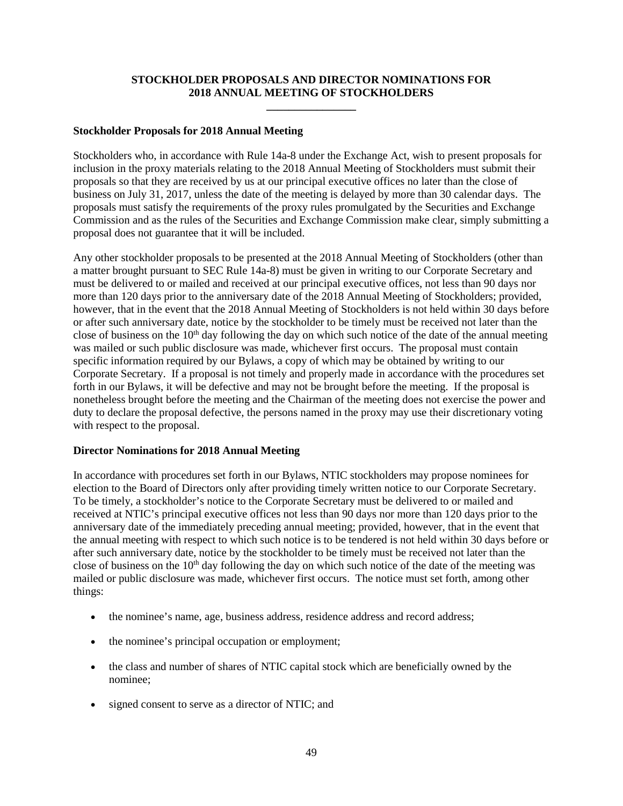# **STOCKHOLDER PROPOSALS AND DIRECTOR NOMINATIONS FOR 2018 ANNUAL MEETING OF STOCKHOLDERS \_\_\_\_\_\_\_\_\_\_\_\_\_\_\_\_**

### <span id="page-51-2"></span><span id="page-51-1"></span><span id="page-51-0"></span>**Stockholder Proposals for 2018 Annual Meeting**

Stockholders who, in accordance with Rule 14a-8 under the Exchange Act, wish to present proposals for inclusion in the proxy materials relating to the 2018 Annual Meeting of Stockholders must submit their proposals so that they are received by us at our principal executive offices no later than the close of business on July 31, 2017, unless the date of the meeting is delayed by more than 30 calendar days. The proposals must satisfy the requirements of the proxy rules promulgated by the Securities and Exchange Commission and as the rules of the Securities and Exchange Commission make clear, simply submitting a proposal does not guarantee that it will be included.

Any other stockholder proposals to be presented at the 2018 Annual Meeting of Stockholders (other than a matter brought pursuant to SEC Rule 14a-8) must be given in writing to our Corporate Secretary and must be delivered to or mailed and received at our principal executive offices, not less than 90 days nor more than 120 days prior to the anniversary date of the 2018 Annual Meeting of Stockholders; provided, however, that in the event that the 2018 Annual Meeting of Stockholders is not held within 30 days before or after such anniversary date, notice by the stockholder to be timely must be received not later than the close of business on the  $10<sup>th</sup>$  day following the day on which such notice of the date of the annual meeting was mailed or such public disclosure was made, whichever first occurs. The proposal must contain specific information required by our Bylaws, a copy of which may be obtained by writing to our Corporate Secretary. If a proposal is not timely and properly made in accordance with the procedures set forth in our Bylaws, it will be defective and may not be brought before the meeting. If the proposal is nonetheless brought before the meeting and the Chairman of the meeting does not exercise the power and duty to declare the proposal defective, the persons named in the proxy may use their discretionary voting with respect to the proposal.

# <span id="page-51-3"></span>**Director Nominations for 2018 Annual Meeting**

In accordance with procedures set forth in our Bylaws, NTIC stockholders may propose nominees for election to the Board of Directors only after providing timely written notice to our Corporate Secretary. To be timely, a stockholder's notice to the Corporate Secretary must be delivered to or mailed and received at NTIC's principal executive offices not less than 90 days nor more than 120 days prior to the anniversary date of the immediately preceding annual meeting; provided, however, that in the event that the annual meeting with respect to which such notice is to be tendered is not held within 30 days before or after such anniversary date, notice by the stockholder to be timely must be received not later than the close of business on the 10<sup>th</sup> day following the day on which such notice of the date of the meeting was mailed or public disclosure was made, whichever first occurs. The notice must set forth, among other things:

- the nominee's name, age, business address, residence address and record address;
- the nominee's principal occupation or employment;
- the class and number of shares of NTIC capital stock which are beneficially owned by the nominee;
- signed consent to serve as a director of NTIC; and